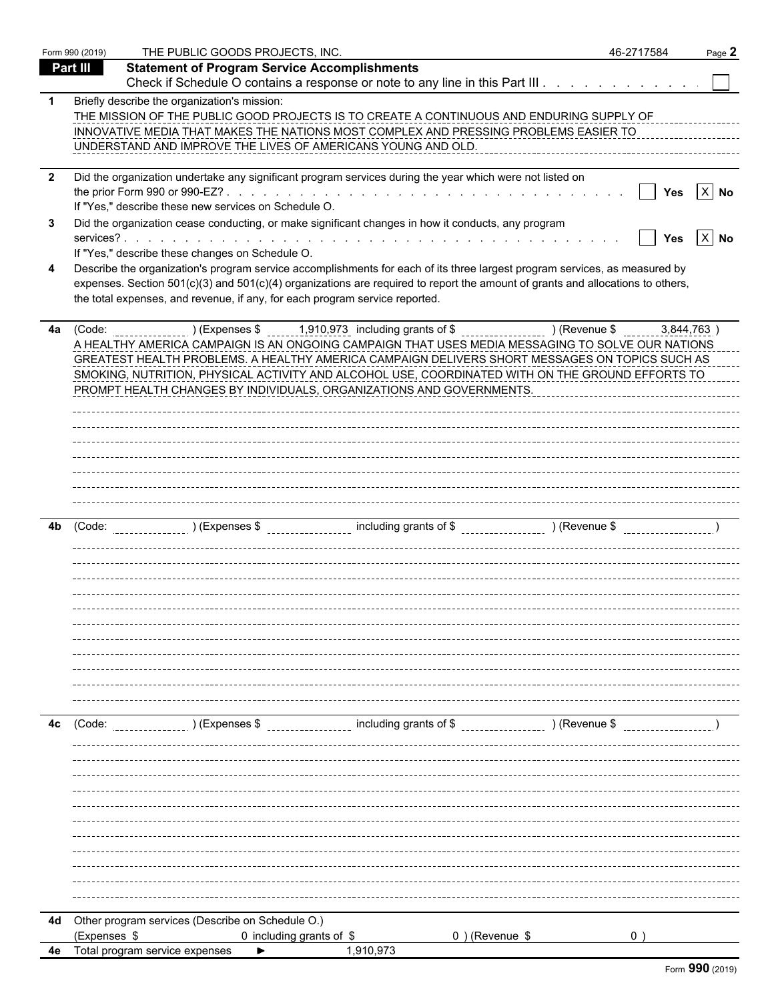|                              | Form 990 (2019) | THE PUBLIC GOODS PROJECTS, INC.                                             |                                                                                                                                                                                                                                                                                                                                                                                                                                                       |                   | 46-2717584 | Page 2             |
|------------------------------|-----------------|-----------------------------------------------------------------------------|-------------------------------------------------------------------------------------------------------------------------------------------------------------------------------------------------------------------------------------------------------------------------------------------------------------------------------------------------------------------------------------------------------------------------------------------------------|-------------------|------------|--------------------|
|                              | Part III        | <b>Statement of Program Service Accomplishments</b>                         |                                                                                                                                                                                                                                                                                                                                                                                                                                                       |                   |            |                    |
|                              |                 |                                                                             | Check if Schedule O contains a response or note to any line in this Part III                                                                                                                                                                                                                                                                                                                                                                          |                   |            |                    |
| $\mathbf 1$                  |                 | Briefly describe the organization's mission:                                | THE MISSION OF THE PUBLIC GOOD PROJECTS IS TO CREATE A CONTINUOUS AND ENDURING SUPPLY OF<br>INNOVATIVE MEDIA THAT MAKES THE NATIONS MOST COMPLEX AND PRESSING PROBLEMS EASIER TO<br>UNDERSTAND AND IMPROVE THE LIVES OF AMERICANS YOUNG AND OLD.                                                                                                                                                                                                      |                   |            |                    |
| $\overline{\mathbf{2}}$<br>3 |                 | If "Yes," describe these new services on Schedule O.                        | Did the organization undertake any significant program services during the year which were not listed on<br>Did the organization cease conducting, or make significant changes in how it conducts, any program                                                                                                                                                                                                                                        |                   |            | Yes $ X $ No       |
|                              |                 | If "Yes," describe these changes on Schedule O.                             |                                                                                                                                                                                                                                                                                                                                                                                                                                                       |                   |            | Yes $\boxed{X}$ No |
| 4                            |                 | the total expenses, and revenue, if any, for each program service reported. | Describe the organization's program service accomplishments for each of its three largest program services, as measured by<br>expenses. Section 501(c)(3) and 501(c)(4) organizations are required to report the amount of grants and allocations to others,                                                                                                                                                                                          |                   |            |                    |
| 4a                           |                 |                                                                             | (Code: ) (Expenses \$1,910,973 including grants of \$ ) (Revenue \$<br>A HEALTHY AMERICA CAMPAIGN IS AN ONGOING CAMPAIGN THAT USES MEDIA MESSAGING TO SOLVE OUR NATIONS<br>GREATEST HEALTH PROBLEMS. A HEALTHY AMERICA CAMPAIGN DELIVERS SHORT MESSAGES ON TOPICS SUCH AS<br>SMOKING, NUTRITION, PHYSICAL ACTIVITY AND ALCOHOL USE, COORDINATED WITH ON THE GROUND EFFORTS TO<br>PROMPT HEALTH CHANGES BY INDIVIDUALS, ORGANIZATIONS AND GOVERNMENTS. |                   |            | 3,844,763          |
|                              |                 |                                                                             |                                                                                                                                                                                                                                                                                                                                                                                                                                                       |                   |            |                    |
| 4b                           | (Code:          |                                                                             | ______________)(Expenses \$___________________ including grants of \$__________________)(Revenue \$_______________                                                                                                                                                                                                                                                                                                                                    |                   |            |                    |
|                              |                 |                                                                             |                                                                                                                                                                                                                                                                                                                                                                                                                                                       |                   |            |                    |
|                              |                 |                                                                             |                                                                                                                                                                                                                                                                                                                                                                                                                                                       |                   |            |                    |
| 4c                           | (Code:          |                                                                             | ) (Expenses \$ including grants of \$ ) (Revenue \$                                                                                                                                                                                                                                                                                                                                                                                                   |                   |            |                    |
|                              |                 |                                                                             |                                                                                                                                                                                                                                                                                                                                                                                                                                                       |                   |            |                    |
|                              |                 |                                                                             |                                                                                                                                                                                                                                                                                                                                                                                                                                                       |                   |            |                    |
|                              |                 |                                                                             |                                                                                                                                                                                                                                                                                                                                                                                                                                                       |                   |            |                    |
|                              |                 |                                                                             |                                                                                                                                                                                                                                                                                                                                                                                                                                                       |                   |            |                    |
| 4d                           |                 | Other program services (Describe on Schedule O.)                            |                                                                                                                                                                                                                                                                                                                                                                                                                                                       |                   |            |                    |
|                              | (Expenses \$    |                                                                             | 0 including grants of \$                                                                                                                                                                                                                                                                                                                                                                                                                              | $0$ ) (Revenue \$ |            |                    |
|                              |                 | 4e Total program service expenses                                           | 1,910,973                                                                                                                                                                                                                                                                                                                                                                                                                                             |                   |            |                    |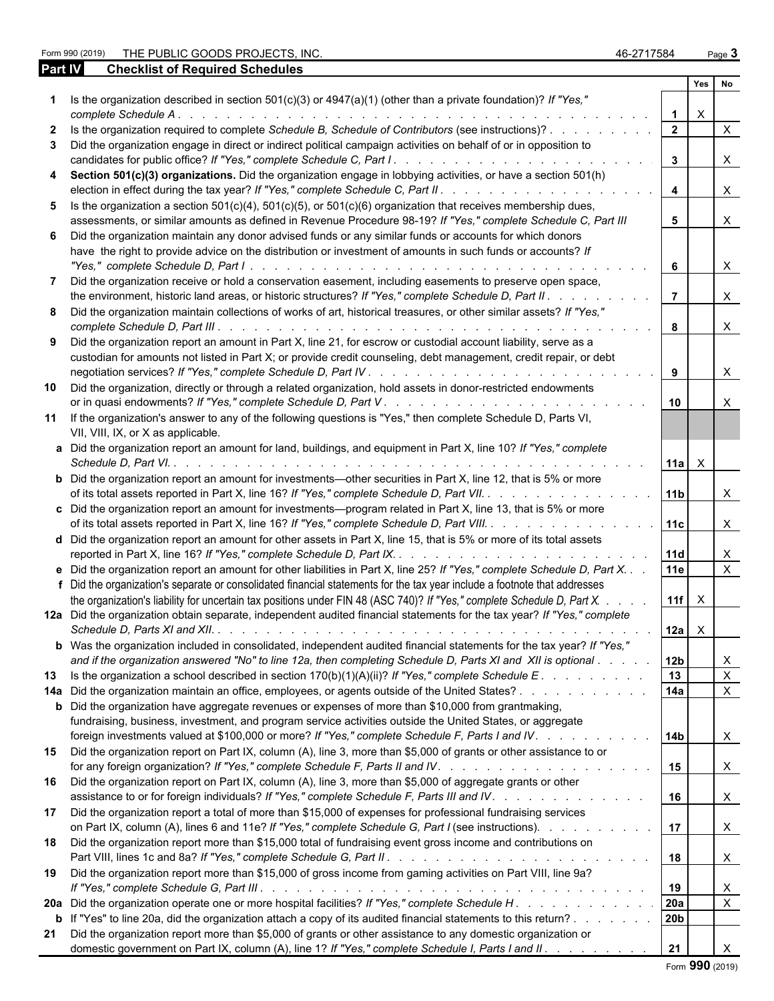Form 990 (2019) THE PUBLIC GOODS PROJECTS, INC. 46-2717584 Page **3** 

| <b>Part IV</b> | <b>Checklist of Required Schedules</b>                                                                                                                                                                                                                       |                         |              |                           |
|----------------|--------------------------------------------------------------------------------------------------------------------------------------------------------------------------------------------------------------------------------------------------------------|-------------------------|--------------|---------------------------|
|                |                                                                                                                                                                                                                                                              |                         | Yes          | <b>No</b>                 |
|                | Is the organization described in section $501(c)(3)$ or $4947(a)(1)$ (other than a private foundation)? If "Yes,"<br>complete Schedule A.<br><u>. In the second contract of the second contract of the second contract of the second</u>                     | $\mathbf{1}$            | $\times$     |                           |
| 2              | Is the organization required to complete Schedule B, Schedule of Contributors (see instructions)?                                                                                                                                                            | $\overline{2}$          |              | $\mathsf{X}$              |
| 3              | Did the organization engage in direct or indirect political campaign activities on behalf of or in opposition to<br>candidates for public office? If "Yes," complete Schedule C, Part I.<br>.                                                                | $\mathbf{3}$            |              | $\mathsf{X}$              |
|                |                                                                                                                                                                                                                                                              |                         |              |                           |
| 4              | Section 501(c)(3) organizations. Did the organization engage in lobbying activities, or have a section 501(h)<br>election in effect during the tax year? If "Yes," complete Schedule C, Part II. .                                                           | $\overline{\mathbf{4}}$ |              | $\mathsf{X}$              |
|                | 5 Is the organization a section $501(c)(4)$ , $501(c)(5)$ , or $501(c)(6)$ organization that receives membership dues,                                                                                                                                       |                         |              |                           |
|                | assessments, or similar amounts as defined in Revenue Procedure 98-19? If "Yes," complete Schedule C, Part III                                                                                                                                               | 5 <sup>5</sup>          |              | $\mathsf{X}$              |
|                | 6 Did the organization maintain any donor advised funds or any similar funds or accounts for which donors                                                                                                                                                    |                         |              |                           |
|                | have the right to provide advice on the distribution or investment of amounts in such funds or accounts? If                                                                                                                                                  | 6                       |              | $\mathsf{X}$              |
|                | Did the organization receive or hold a conservation easement, including easements to preserve open space,                                                                                                                                                    |                         |              |                           |
|                | the environment, historic land areas, or historic structures? If "Yes," complete Schedule D, Part II.                                                                                                                                                        | $\overline{7}$          |              | $\mathsf{X}$              |
|                | 8 Did the organization maintain collections of works of art, historical treasures, or other similar assets? If "Yes,"                                                                                                                                        |                         |              |                           |
|                |                                                                                                                                                                                                                                                              | 8                       |              | $\mathsf{X}$              |
|                | 9 Did the organization report an amount in Part X, line 21, for escrow or custodial account liability, serve as a<br>custodian for amounts not listed in Part X; or provide credit counseling, debt management, credit repair, or debt                       |                         |              |                           |
|                |                                                                                                                                                                                                                                                              | 9                       |              | $\mathsf{X}$              |
| 10             | Did the organization, directly or through a related organization, hold assets in donor-restricted endowments                                                                                                                                                 | 10                      |              | X                         |
|                | 11 If the organization's answer to any of the following questions is "Yes," then complete Schedule D, Parts VI,<br>VII, VIII, IX, or X as applicable.                                                                                                        |                         |              |                           |
|                | a Did the organization report an amount for land, buildings, and equipment in Part X, line 10? If "Yes," complete<br>Schedule D, Part VI.<br>and the state of the state of the state of the state of the state of the state of the state of the state of the | $11a \times$            |              |                           |
|                | <b>b</b> Did the organization report an amount for investments—other securities in Part X, line 12, that is 5% or more<br>of its total assets reported in Part X, line 16? If "Yes," complete Schedule D, Part VII.                                          | 11b                     |              | $\boldsymbol{\mathsf{X}}$ |
|                | c Did the organization report an amount for investments—program related in Part X, line 13, that is 5% or more                                                                                                                                               |                         |              |                           |
|                | of its total assets reported in Part X, line 16? If "Yes," complete Schedule D, Part VIII.                                                                                                                                                                   | 11c                     |              | $\times$                  |
|                | d Did the organization report an amount for other assets in Part X, line 15, that is 5% or more of its total assets                                                                                                                                          | 11d                     |              | $\mathsf{X}$              |
|                | <b>e</b> Did the organization report an amount for other liabilities in Part X, line 25? If "Yes," complete Schedule D, Part X.<br>f Did the organization's separate or consolidated financial statements for the tax year include a footnote that addresses | 11e                     |              | $\mathsf{X}$              |
|                | the organization's liability for uncertain tax positions under FIN 48 (ASC 740)? If "Yes," complete Schedule D, Part X.                                                                                                                                      | 11f                     | $\mathsf{X}$ |                           |
|                | 12a Did the organization obtain separate, independent audited financial statements for the tax year? If "Yes," complete                                                                                                                                      | $12a \mid X$            |              |                           |
|                | <b>b</b> Was the organization included in consolidated, independent audited financial statements for the tax year? If "Yes,"                                                                                                                                 |                         |              |                           |
|                | and if the organization answered "No" to line 12a, then completing Schedule D, Parts XI and XII is optional                                                                                                                                                  | 12 <sub>b</sub>         |              | X                         |
| 13             | Is the organization a school described in section $170(b)(1)(A)(ii)?$ If "Yes," complete Schedule E.                                                                                                                                                         | 13                      |              | $\mathsf{X}$              |
|                | 14a Did the organization maintain an office, employees, or agents outside of the United States?                                                                                                                                                              | 14a                     |              | $\mathsf{X}$              |
|                | <b>b</b> Did the organization have aggregate revenues or expenses of more than \$10,000 from grantmaking,<br>fundraising, business, investment, and program service activities outside the United States, or aggregate                                       |                         |              |                           |
|                | foreign investments valued at \$100,000 or more? If "Yes," complete Schedule F, Parts I and IV.                                                                                                                                                              | 14b                     |              | $\mathsf{X}$              |
|                | 15 Did the organization report on Part IX, column (A), line 3, more than \$5,000 of grants or other assistance to or                                                                                                                                         | 15                      |              | $\mathsf{X}$              |
| 16             | Did the organization report on Part IX, column (A), line 3, more than \$5,000 of aggregate grants or other<br>assistance to or for foreign individuals? If "Yes," complete Schedule F, Parts III and IV.                                                     | 16                      |              | $\mathsf{X}$              |
| 17             | Did the organization report a total of more than \$15,000 of expenses for professional fundraising services<br>on Part IX, column (A), lines 6 and 11e? If "Yes," complete Schedule G, Part I (see instructions).                                            | 17                      |              | $\mathsf{X}$              |
| 18             | Did the organization report more than \$15,000 total of fundraising event gross income and contributions on                                                                                                                                                  | 18                      |              | $\mathsf{X}$              |
| 19             | Did the organization report more than \$15,000 of gross income from gaming activities on Part VIII, line 9a?                                                                                                                                                 |                         |              |                           |
|                |                                                                                                                                                                                                                                                              | 19                      |              | $\mathsf{X}$              |
|                |                                                                                                                                                                                                                                                              | 20a                     |              | $\mathsf{X}$              |
|                | <b>b</b> If "Yes" to line 20a, did the organization attach a copy of its audited financial statements to this return?                                                                                                                                        | 20b                     |              |                           |
|                | 21 Did the organization report more than \$5,000 of grants or other assistance to any domestic organization or<br>domestic government on Part IX, column (A), line 1? If "Yes," complete Schedule I, Parts I and II.                                         | 21                      |              |                           |

Form **990** (2019)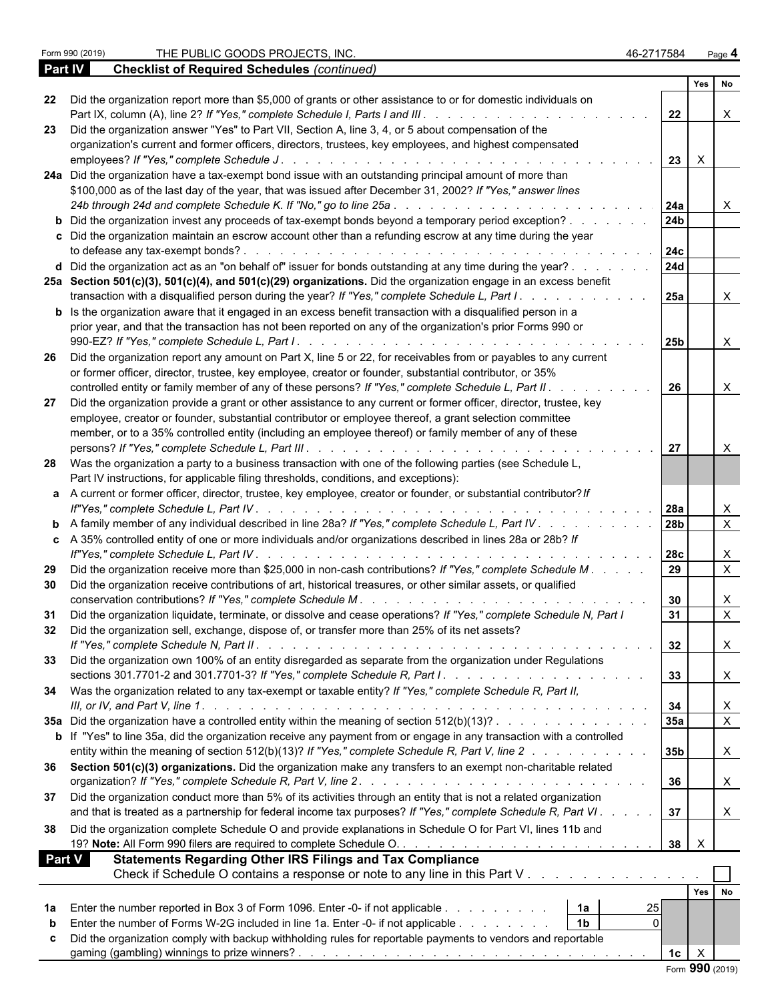**Checklist of Required Schedules** *(continued)* 

|    |                                                                                                                                                                                                                             |                 | Yes No       |                          |
|----|-----------------------------------------------------------------------------------------------------------------------------------------------------------------------------------------------------------------------------|-----------------|--------------|--------------------------|
| 22 | Did the organization report more than \$5,000 of grants or other assistance to or for domestic individuals on                                                                                                               | 22              |              | X                        |
| 23 | Did the organization answer "Yes" to Part VII, Section A, line 3, 4, or 5 about compensation of the                                                                                                                         |                 |              |                          |
|    | organization's current and former officers, directors, trustees, key employees, and highest compensated                                                                                                                     | 23              | $\mathsf{X}$ |                          |
|    | 24a Did the organization have a tax-exempt bond issue with an outstanding principal amount of more than                                                                                                                     |                 |              |                          |
|    | \$100,000 as of the last day of the year, that was issued after December 31, 2002? If "Yes," answer lines                                                                                                                   |                 |              |                          |
|    |                                                                                                                                                                                                                             | 24a             |              | $\mathsf{X}$             |
|    | <b>b</b> Did the organization invest any proceeds of tax-exempt bonds beyond a temporary period exception?                                                                                                                  | 24 <sub>b</sub> |              |                          |
|    | c Did the organization maintain an escrow account other than a refunding escrow at any time during the year                                                                                                                 |                 |              |                          |
|    |                                                                                                                                                                                                                             | 24c             |              |                          |
|    | <b>d</b> Did the organization act as an "on behalf of" issuer for bonds outstanding at any time during the year? $\ldots$                                                                                                   | 24d             |              |                          |
|    | 25a Section 501(c)(3), 501(c)(4), and 501(c)(29) organizations. Did the organization engage in an excess benefit<br>transaction with a disqualified person during the year? If "Yes," complete Schedule L, Part I.          | <b>25a</b>      |              | X                        |
|    | <b>b</b> Is the organization aware that it engaged in an excess benefit transaction with a disqualified person in a                                                                                                         |                 |              |                          |
|    | prior year, and that the transaction has not been reported on any of the organization's prior Forms 990 or                                                                                                                  | 25b             |              | $\mathsf{X}$             |
| 26 | Did the organization report any amount on Part X, line 5 or 22, for receivables from or payables to any current                                                                                                             |                 |              |                          |
|    | or former officer, director, trustee, key employee, creator or founder, substantial contributor, or 35%                                                                                                                     |                 |              |                          |
|    | controlled entity or family member of any of these persons? If "Yes," complete Schedule L, Part II.                                                                                                                         | 26              |              | $\mathsf{X}$             |
| 27 | Did the organization provide a grant or other assistance to any current or former officer, director, trustee, key                                                                                                           |                 |              |                          |
|    | employee, creator or founder, substantial contributor or employee thereof, a grant selection committee<br>member, or to a 35% controlled entity (including an employee thereof) or family member of any of these            |                 |              |                          |
|    |                                                                                                                                                                                                                             | 27              |              | $\mathsf{X}$             |
|    | 28 Was the organization a party to a business transaction with one of the following parties (see Schedule L,                                                                                                                |                 |              |                          |
|    | Part IV instructions, for applicable filing thresholds, conditions, and exceptions):                                                                                                                                        |                 |              |                          |
|    | a A current or former officer, director, trustee, key employee, creator or founder, or substantial contributor? If                                                                                                          |                 |              |                          |
|    |                                                                                                                                                                                                                             |                 |              | X                        |
|    | <b>b</b> A family member of any individual described in line 28a? If "Yes," complete Schedule L, Part IV                                                                                                                    | 28 <sub>b</sub> |              | $\overline{X}$           |
|    | c A 35% controlled entity of one or more individuals and/or organizations described in lines 28a or 28b? If                                                                                                                 |                 |              |                          |
|    |                                                                                                                                                                                                                             |                 |              | X<br>$\overline{X}$      |
| 29 | Did the organization receive more than \$25,000 in non-cash contributions? If "Yes," complete Schedule M.<br>Did the organization receive contributions of art, historical treasures, or other similar assets, or qualified |                 |              |                          |
| 30 |                                                                                                                                                                                                                             | 30              |              | X                        |
| 31 | Did the organization liquidate, terminate, or dissolve and cease operations? If "Yes," complete Schedule N, Part I                                                                                                          | 31              |              | $\mathsf X$              |
| 32 | Did the organization sell, exchange, dispose of, or transfer more than 25% of its net assets?                                                                                                                               |                 |              |                          |
|    | If "Yes." complete Schedule N, Part II.                                                                                                                                                                                     | 32              |              | $\overline{\phantom{a}}$ |
|    | Did the organization own 100% of an entity disregarded as separate from the organization under Regulations                                                                                                                  | 33              |              | X                        |
|    | 34 Was the organization related to any tax-exempt or taxable entity? If "Yes," complete Schedule R, Part II,                                                                                                                |                 |              |                          |
|    |                                                                                                                                                                                                                             | 34<br>35a       |              | X<br>$\overline{X}$      |
|    | 35a Did the organization have a controlled entity within the meaning of section $512(b)(13)?$<br>b If "Yes" to line 35a, did the organization receive any payment from or engage in any transaction with a controlled       |                 |              |                          |
|    | entity within the meaning of section 512(b)(13)? If "Yes," complete Schedule R, Part V, line 2                                                                                                                              | 35 <sub>b</sub> |              | X                        |
|    | 36 Section 501(c)(3) organizations. Did the organization make any transfers to an exempt non-charitable related                                                                                                             |                 |              |                          |
|    |                                                                                                                                                                                                                             | 36              |              | X                        |
|    | 37 Did the organization conduct more than 5% of its activities through an entity that is not a related organization                                                                                                         |                 |              |                          |
|    | and that is treated as a partnership for federal income tax purposes? If "Yes," complete Schedule R, Part VI.                                                                                                               | 37              |              | X                        |
| 38 | Did the organization complete Schedule O and provide explanations in Schedule O for Part VI, lines 11b and                                                                                                                  |                 |              |                          |
|    |                                                                                                                                                                                                                             |                 |              |                          |
|    | <b>Statements Regarding Other IRS Filings and Tax Compliance</b><br>Part V                                                                                                                                                  |                 |              |                          |
|    | Check if Schedule O contains a response or note to any line in this Part V                                                                                                                                                  |                 |              |                          |
|    |                                                                                                                                                                                                                             |                 | Yes No       |                          |
| 1a | Enter the number reported in Box 3 of Form 1096. Enter -0- if not applicable<br>1a<br>25                                                                                                                                    |                 |              |                          |
| b  | $\mathbf{0}$<br>Enter the number of Forms W-2G included in line 1a. Enter -0- if not applicable<br>1 <sub>b</sub>                                                                                                           |                 |              |                          |
| c  | Did the organization comply with backup withholding rules for reportable payments to vendors and reportable                                                                                                                 |                 |              |                          |
|    |                                                                                                                                                                                                                             | 1c              | $\mathsf{X}$ |                          |
|    |                                                                                                                                                                                                                             | Form 990 (2019) |              |                          |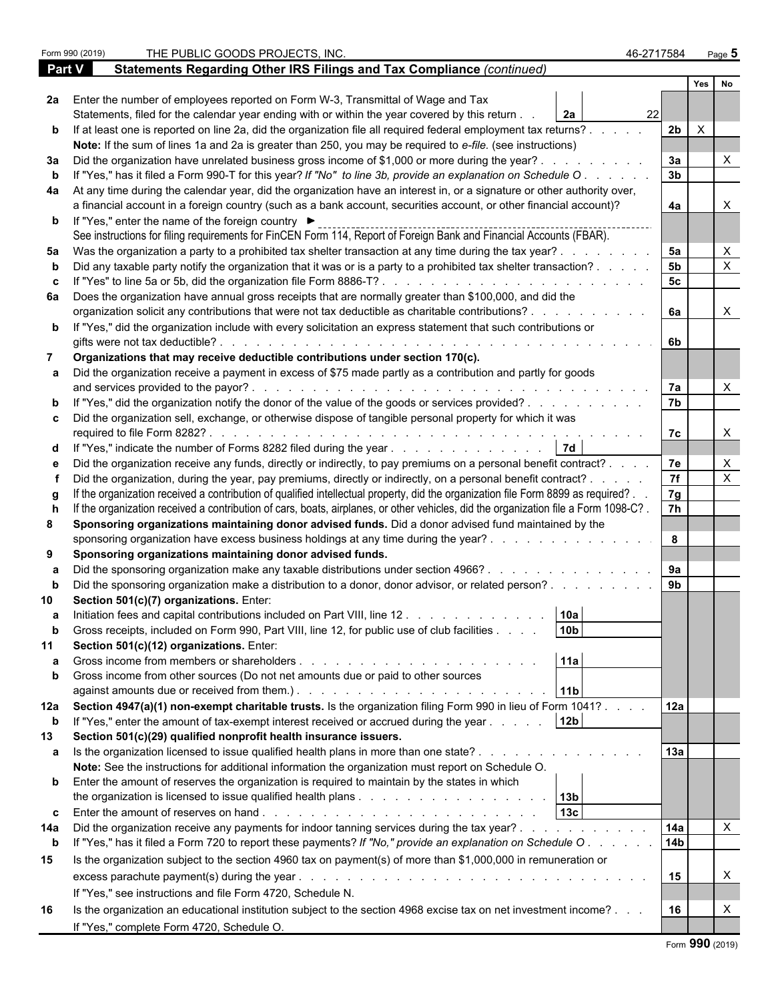|             | Form 990 (2019) | THE PUBLIC GOODS PROJECTS, INC.                                                                                                                                                                                 | 46-2717584      | Page $5$                  |  |  |
|-------------|-----------------|-----------------------------------------------------------------------------------------------------------------------------------------------------------------------------------------------------------------|-----------------|---------------------------|--|--|
| Part V      |                 | Statements Regarding Other IRS Filings and Tax Compliance (continued)                                                                                                                                           |                 |                           |  |  |
|             |                 |                                                                                                                                                                                                                 |                 | Yes  <br>No               |  |  |
|             |                 | 2a Enter the number of employees reported on Form W-3, Transmittal of Wage and Tax                                                                                                                              |                 |                           |  |  |
|             |                 | Statements, filed for the calendar year ending with or within the year covered by this return.<br><b>2a</b>                                                                                                     | 22              |                           |  |  |
|             |                 | b If at least one is reported on line 2a, did the organization file all required federal employment tax returns?.                                                                                               | 2 <sub>b</sub>  | $\mathsf{X}$              |  |  |
|             |                 | Note: If the sum of lines 1a and 2a is greater than 250, you may be required to e-file. (see instructions)                                                                                                      |                 |                           |  |  |
| За          |                 | Did the organization have unrelated business gross income of \$1,000 or more during the year?.                                                                                                                  | 3a              | Χ                         |  |  |
|             |                 | If "Yes," has it filed a Form 990-T for this year? If "No" to line 3b, provide an explanation on Schedule O                                                                                                     | 3 <sub>b</sub>  |                           |  |  |
|             |                 | 4a At any time during the calendar year, did the organization have an interest in, or a signature or other authority over,                                                                                      |                 |                           |  |  |
|             |                 | a financial account in a foreign country (such as a bank account, securities account, or other financial account)?                                                                                              | 4a              |                           |  |  |
|             |                 | <b>b</b> If "Yes," enter the name of the foreign country ▶                                                                                                                                                      |                 |                           |  |  |
|             |                 | See instructions for filing requirements for FinCEN Form 114, Report of Foreign Bank and Financial Accounts (FBAR).                                                                                             |                 |                           |  |  |
| 5а          |                 | Was the organization a party to a prohibited tax shelter transaction at any time during the tax year?.                                                                                                          | 5a              | X                         |  |  |
|             |                 | Did any taxable party notify the organization that it was or is a party to a prohibited tax shelter transaction?.                                                                                               | 5 <sub>b</sub>  | X                         |  |  |
|             |                 |                                                                                                                                                                                                                 | 5 <sub>c</sub>  |                           |  |  |
|             |                 | 6a Does the organization have annual gross receipts that are normally greater than \$100,000, and did the                                                                                                       |                 |                           |  |  |
|             |                 | organization solicit any contributions that were not tax deductible as charitable contributions?.                                                                                                               | 6a              | $\mathsf{X}$              |  |  |
|             |                 | <b>b</b> If "Yes," did the organization include with every solicitation an express statement that such contributions or<br>gifts were not tax deductible?                                                       | 6b              |                           |  |  |
|             |                 | Organizations that may receive deductible contributions under section 170(c).                                                                                                                                   |                 |                           |  |  |
|             |                 | Did the organization receive a payment in excess of \$75 made partly as a contribution and partly for goods                                                                                                     |                 |                           |  |  |
|             |                 | and services provided to the payor?.                                                                                                                                                                            | 7a              | $\boldsymbol{\mathsf{X}}$ |  |  |
|             |                 | If "Yes," did the organization notify the donor of the value of the goods or services provided?                                                                                                                 | 7b              |                           |  |  |
|             |                 | c Did the organization sell, exchange, or otherwise dispose of tangible personal property for which it was                                                                                                      |                 |                           |  |  |
|             |                 |                                                                                                                                                                                                                 | 7c              | $\times$                  |  |  |
|             |                 | <b>7d</b><br>d If "Yes," indicate the number of Forms 8282 filed during the year                                                                                                                                |                 |                           |  |  |
|             |                 | Did the organization receive any funds, directly or indirectly, to pay premiums on a personal benefit contract? .                                                                                               | 7e              | X                         |  |  |
|             |                 | Did the organization, during the year, pay premiums, directly or indirectly, on a personal benefit contract? .                                                                                                  | $\overline{7f}$ | X                         |  |  |
|             |                 | If the organization received a contribution of qualified intellectual property, did the organization file Form 8899 as required?.                                                                               | 7g              |                           |  |  |
|             |                 | If the organization received a contribution of cars, boats, airplanes, or other vehicles, did the organization file a Form 1098-C?.                                                                             | 7h              |                           |  |  |
| 8           |                 | Sponsoring organizations maintaining donor advised funds. Did a donor advised fund maintained by the                                                                                                            |                 |                           |  |  |
|             |                 | sponsoring organization have excess business holdings at any time during the year?                                                                                                                              | 8               |                           |  |  |
| 9           |                 | Sponsoring organizations maintaining donor advised funds.                                                                                                                                                       |                 |                           |  |  |
|             |                 | Did the sponsoring organization make any taxable distributions under section 4966?.<br>$\mathbf{r}$ , $\mathbf{r}$ , $\mathbf{r}$ , $\mathbf{r}$ , $\mathbf{r}$ , $\mathbf{r}$ , $\mathbf{r}$                   | 9a              |                           |  |  |
|             |                 | Did the sponsoring organization make a distribution to a donor, donor advisor, or related person?                                                                                                               | 9 <sub>b</sub>  |                           |  |  |
|             |                 | Section 501(c)(7) organizations. Enter:                                                                                                                                                                         |                 |                           |  |  |
|             |                 | 10a<br>Initiation fees and capital contributions included on Part VIII, line 12.                                                                                                                                |                 |                           |  |  |
| b           |                 | 10 <sub>b</sub><br>Gross receipts, included on Form 990, Part VIII, line 12, for public use of club facilities                                                                                                  |                 |                           |  |  |
| 11          |                 | Section 501(c)(12) organizations. Enter:                                                                                                                                                                        |                 |                           |  |  |
|             |                 | 11a<br>Gross income from members or shareholders<br>and the contract of the contract of the contract of                                                                                                         |                 |                           |  |  |
|             |                 | Gross income from other sources (Do not net amounts due or paid to other sources                                                                                                                                |                 |                           |  |  |
|             |                 | 11 <sub>b</sub>                                                                                                                                                                                                 |                 |                           |  |  |
|             |                 | 12a Section 4947(a)(1) non-exempt charitable trusts. Is the organization filing Form 990 in lieu of Form 1041?.                                                                                                 | 12a             |                           |  |  |
| $\mathbf b$ |                 | 12 <sub>b</sub><br>If "Yes," enter the amount of tax-exempt interest received or accrued during the year                                                                                                        |                 |                           |  |  |
| 13          |                 | Section 501(c)(29) qualified nonprofit health insurance issuers.                                                                                                                                                |                 |                           |  |  |
|             |                 | a Is the organization licensed to issue qualified health plans in more than one state?<br>$\mathbf{r}$ , $\mathbf{r}$ , $\mathbf{r}$ , $\mathbf{r}$ , $\mathbf{r}$ , $\mathbf{r}$ , $\mathbf{r}$ , $\mathbf{r}$ | 13a             |                           |  |  |
|             |                 | Note: See the instructions for additional information the organization must report on Schedule O.                                                                                                               |                 |                           |  |  |
|             |                 | <b>b</b> Enter the amount of reserves the organization is required to maintain by the states in which                                                                                                           |                 |                           |  |  |
|             |                 | 13 <sub>c</sub>                                                                                                                                                                                                 |                 |                           |  |  |
|             |                 |                                                                                                                                                                                                                 |                 |                           |  |  |
| 14a         |                 | Did the organization receive any payments for indoor tanning services during the tax year?.                                                                                                                     | 14a             | $\mathsf{X}$              |  |  |
| $\mathbf b$ |                 | If "Yes," has it filed a Form 720 to report these payments? If "No," provide an explanation on Schedule O.                                                                                                      | 14 <sub>b</sub> |                           |  |  |
| 15          |                 | Is the organization subject to the section 4960 tax on payment(s) of more than \$1,000,000 in remuneration or                                                                                                   |                 |                           |  |  |
|             |                 |                                                                                                                                                                                                                 | 15              | X                         |  |  |
|             |                 | If "Yes," see instructions and file Form 4720, Schedule N.                                                                                                                                                      |                 |                           |  |  |
| 16          |                 | Is the organization an educational institution subject to the section 4968 excise tax on net investment income?                                                                                                 | 16              |                           |  |  |
|             |                 | If "Yes," complete Form 4720, Schedule O.                                                                                                                                                                       |                 |                           |  |  |
|             |                 |                                                                                                                                                                                                                 |                 |                           |  |  |

|  |  | Form 990 (2019) |
|--|--|-----------------|
|--|--|-----------------|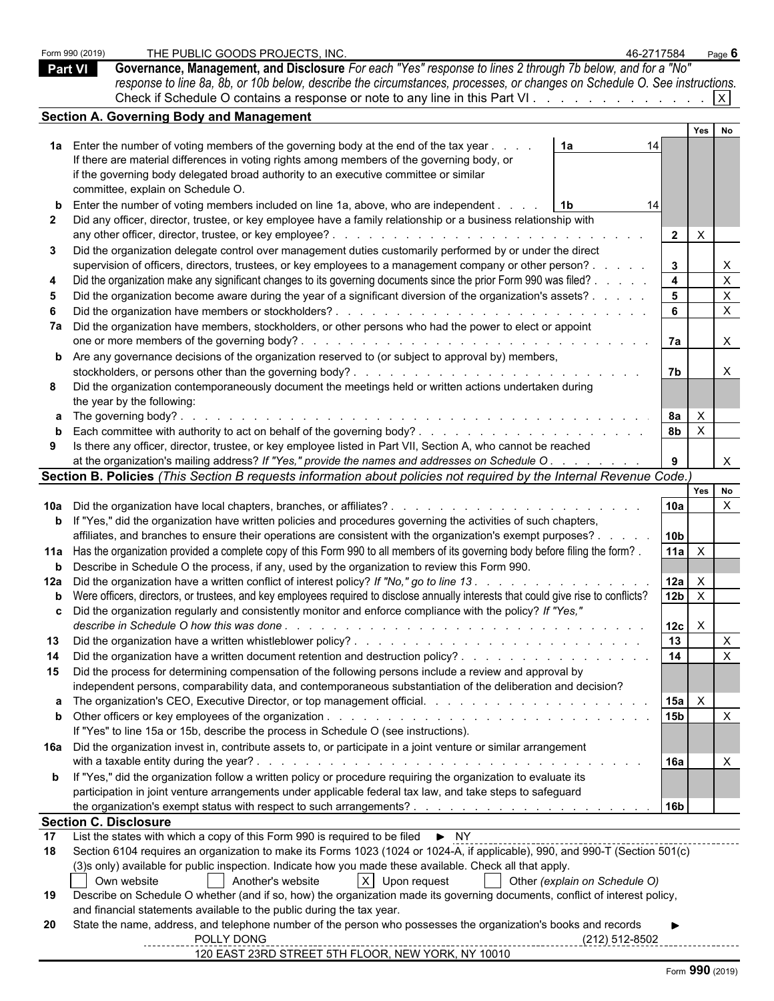Form 990 (2019) THE PUBLIC GOODS PROJECTS, INC. 46-2717584 Page **6 Part VI Governance, Management, and Disclosure** *For each "Yes" response to lines 2 through 7b below, and for a "No" response to line 8a, 8b, or 10b below, describe the circumstances, processes, or changes on Schedule O. See instructions.* Check if Schedule O contains a response or note to any line in this Part VI.  $\ldots$  . . . . . . . . . . . .  $\boxed{X}$ **Section A. Governing Body and Management Yes No 1a** Enter the number of voting members of the governing body at the end of the tax year . . . . . . . . . . . . . . . . . . . . . . . . . . . . . . . . . . . . . . . . . . . . . . . **1a** 14 If there are material differences in voting rights among members of the governing body, or if the governing body delegated broad authority to an executive committee or similar committee, explain on Schedule O. **b** Enter the number of voting members included on line 1a, above, who are independent . . . . . . . . . . . . . . . . . . . . . . . . . . . . . . . . . . . . . . . . . . . . . . . . **1b** 14 **2** Did any officer, director, trustee, or key employee have a family relationship or a business relationship with any other officer, director, trustee, or key employee? . . . . . . . . . . . . . . . . . . . . . . . . . . . . . . . . . . . . . . . . . . . . . . . . **2** X **3** Did the organization delegate control over management duties customarily performed by or under the direct supervision of officers, directors, trustees, or key employees to a management company or other person? . . . . . . | 3 | | X **4** Did the organization make any significant changes to its governing documents since the prior Form 990 was filed? . . . . . . . . . . . . . . . . . . . . . . . . . . . . . . . . **4** X **5** Did the organization become aware during the year of a significant diversion of the organization's assets? . . . . . . . . . . . . . . . . . . . . . . . . . . . . . . . . . . . . **5** X **6** Did the organization have members or stockholders? . . . . . . . . . . . . . . . . . . . . . . . . . . . . . . . . . . . . . . . . . . . . . . . . . **6** X **7a** Did the organization have members, stockholders, or other persons who had the power to elect or appoint one or more members of the governing body? . . . . . . . . . . . . . . . . . . . . . . . . . . . . . . . . . . . . . . . . . . . . . . . . . . . **7a** X **b** Are any governance decisions of the organization reserved to (or subject to approval by) members, stockholders, or persons other than the governing body? . . . . . . . . . . . . . . . . . . . . . . . . . . . . . . . . . . . . . . . . . . . . . . . . **7b** X **8** Did the organization contemporaneously document the meetings held or written actions undertaken during the year by the following: **a** The governing body? . . . . . . . . . . . . . . . . . . . . . . . . . . . . . . . . . . . . . . . . . . . . . . . . . . . . . . . . . **8a** X **b** Each committee with authority to act on behalf of the governing body? . . . . . . . . . . . . . . . . . . . . . . . . . . . . . . . . . . . . . . . . . . . . **8b** X **9** Is there any officer, director, trustee, or key employee listed in Part VII, Section A, who cannot be reached at the organization's mailing address? If "Yes," provide the names and addresses on Schedule O . . . . . . . . . | 9 | | X **Section B. Policies** *(This Section B requests information about policies not required by the Internal Revenue Code.)* **Yes No 10a** Did the organization have local chapters, branches, or affiliates? . . . . . . . . . . . . . . . . . . . . . . . . . . . . . . . . . . . . . . . . . . . . . **10a** X **b** If "Yes," did the organization have written policies and procedures governing the activities of such chapters, affiliates, and branches to ensure their operations are consistent with the organization's exempt purposes? . . . . . . . . . . . . . . . . . . . . . . . . . . . . . . . . . . . **10b** 11a Has the organization provided a complete copy of this Form 990 to all members of its governing body before filing the form? [11a | X **b** Describe in Schedule O the process, if any, used by the organization to review this Form 990. **12a** Did the organization have a written conflict of interest policy? *If "No," go to line 13 . . . . . . . . . . . . . . . . . . . . . . . . . . . . . . . . . . . . . . . . . . .* **12a** X **b** Were officers, directors, or trustees, and key employees required to disclose annually interests that could give rise to conflicts?  $\vert$  12b  $\vert$  X **c** Did the organization regularly and consistently monitor and enforce compliance with the policy? *If "Yes," describe in Schedule O how this was done . . . . . . . . . . . . . . . . . . . . . . . . . . . . . . . . . . . . . . . . . . . . . . . . . . . .* **12c** X **13** Did the organization have a written whistleblower policy? . . . . . . . . . . . . . . . . . . . . . . . . . . . . . . . . . . . . . . . . . . . . . . . **13** X **14** Did the organization have a written document retention and destruction policy? . . . . . . . . . . . . . . . . . . . . . . . . . . . . . . . . . . . . . . . . . . **14** X **15** Did the process for determining compensation of the following persons include a review and approval by independent persons, comparability data, and contemporaneous substantiation of the deliberation and decision? **a** The organization's CEO, Executive Director, or top management official. . . . . . . . . . . . . . . . . . . . . . . . . . . . . . . . . . . . . . . . . . . . **15a** X **b** Other officers or key employees of the organization . . . . . . . . . . . . . . . . . . . . . . . . . . . . . . . . . . . . . . . . . . . . . . . . **15b** X If "Yes" to line 15a or 15b, describe the process in Schedule O (see instructions). **16a** Did the organization invest in, contribute assets to, or participate in a joint venture or similar arrangement with a taxable entity during the year? . . . . . . . . . . . . . . . . . . . . . . . . . . . . . . . . . . . . . . . . . . . . . . . . . . . . **16a** X **b** If "Yes," did the organization follow a written policy or procedure requiring the organization to evaluate its participation in joint venture arrangements under applicable federal tax law, and take steps to safeguard the organization's exempt status with respect to such arrangements? . . . . . . . . . . . . . . . . . . . . . . . . . . . . . . . . . . . . . . . . . . . . . **16b Section C. Disclosure 17** List the states with which a copy of this Form 990 is required to be filed ► NY **18** Section 6104 requires an organization to make its Forms 1023 (1024 or 1024-A, if applicable), 990, and 990-T (Section 501(c) (3)s only) available for public inspection. Indicate how you made these available. Check all that apply. Own website  $\begin{vmatrix} \end{vmatrix}$  Another's website  $\begin{vmatrix} \end{vmatrix}$  Upon request  $\begin{vmatrix} \end{vmatrix}$  Other *(explain on Schedule O)* **19** Describe on Schedule O whether (and if so, how) the organization made its governing documents, conflict of interest policy, and financial statements available to the public during the tax year. **20** State the name, address, and telephone number of the person who possesses the organization's books and records **Name:** POLLY DONG **Phone Number:** (212) 512-8502

#### **Physical Address:** 120 EAST 23RD STREET 5TH FLOOR, NEW YORK, NY 10010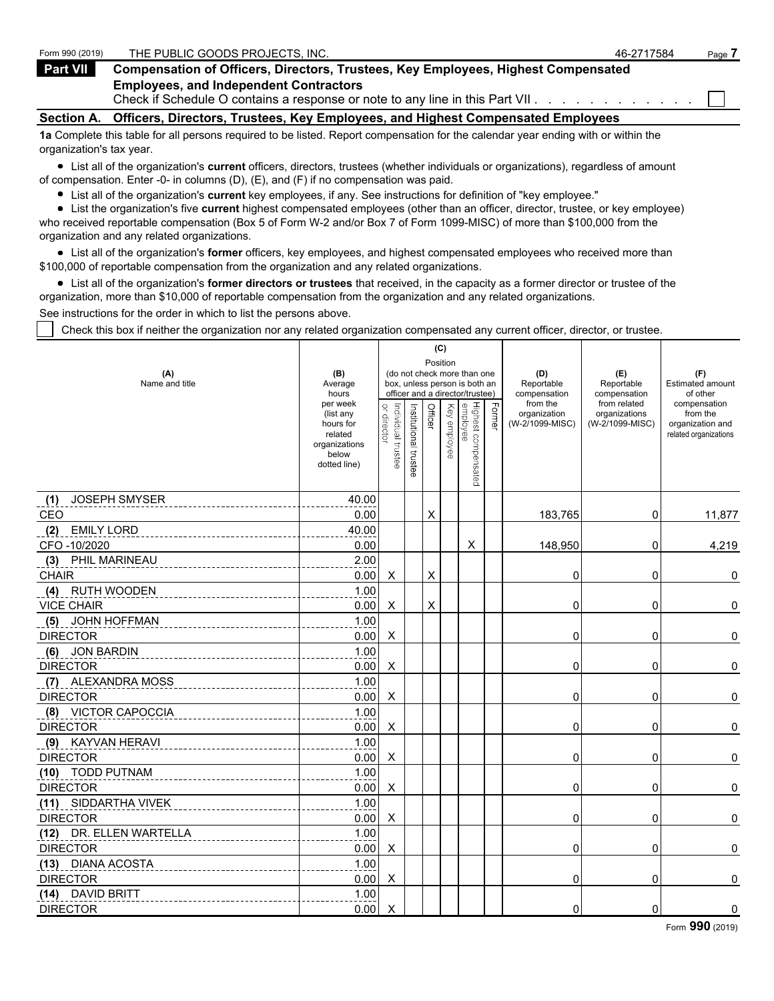| Form 990 (2019)   | THE PUBLIC GOODS PROJECTS. INC.                                                                                                   | 46-2717584 | Page |
|-------------------|-----------------------------------------------------------------------------------------------------------------------------------|------------|------|
| Part VII          | <b>Compensation of Officers, Directors, Trustees, Key Employees, Highest Compensated</b>                                          |            |      |
|                   | <b>Employees, and Independent Contractors</b><br>Check if Schedule O contains a response or note to any line in this Part VII.    |            |      |
| <b>Section A.</b> | Officers, Directors, Trustees, Key Employees, and Highest Compensated Employees                                                   |            |      |
|                   | 1a Complete this table for all persons required to be listed. Report compensation for the calendar year ending with or within the |            |      |

organization's tax year. List all of the organization's **current** officers, directors, trustees (whether individuals or organizations), regardless of amount of compensation. Enter -0- in columns (D), (E), and (F) if no compensation was paid.

- List all of the organization's **current** key employees, if any. See instructions for definition of "key employee."
- List the organization's five **current** highest compensated employees (other than an officer, director, trustee, or key employee)

who received reportable compensation (Box 5 of Form W-2 and/or Box 7 of Form 1099-MISC) of more than \$100,000 from the organization and any related organizations.

List all of the organization's **former** officers, key employees, and highest compensated employees who received more than \$100,000 of reportable compensation from the organization and any related organizations.

List all of the organization's **former directors or trustees** that received, in the capacity as a former director or trustee of the organization, more than \$10,000 of reportable compensation from the organization and any related organizations.

See instructions for the order in which to list the persons above.

Check this box if neither the organization nor any related organization compensated any current officer, director, or trustee.

|                             |                                                                                         |                                                                  |                       |          | (C)              |                                 |        |                                             |                                                                  |                                                                       |
|-----------------------------|-----------------------------------------------------------------------------------------|------------------------------------------------------------------|-----------------------|----------|------------------|---------------------------------|--------|---------------------------------------------|------------------------------------------------------------------|-----------------------------------------------------------------------|
| (A)                         | (B)                                                                                     |                                                                  |                       | Position |                  | (do not check more than one     |        | (D)                                         | (E)                                                              | (F)                                                                   |
| Name and title              | Average<br>hours                                                                        | box, unless person is both an<br>officer and a director/trustee) |                       |          |                  |                                 |        | Reportable<br>compensation                  | Reportable                                                       | <b>Estimated amount</b><br>of other                                   |
|                             | per week<br>(list any<br>hours for<br>related<br>organizations<br>below<br>dotted line) | or director<br>Individual trustee                                | Institutional trustee | Officer  | Key<br>wemployee | Highest compensated<br>employee | Former | from the<br>organization<br>(W-2/1099-MISC) | compensation<br>from related<br>organizations<br>(W-2/1099-MISC) | compensation<br>from the<br>organization and<br>related organizations |
| <b>JOSEPH SMYSER</b><br>(1) | 40.00                                                                                   |                                                                  |                       |          |                  |                                 |        |                                             |                                                                  |                                                                       |
| CEO                         | 0.00                                                                                    |                                                                  |                       | X        |                  |                                 |        | 183,765                                     | 0                                                                | 11,877                                                                |
| <b>EMILY LORD</b><br>(2)    | 40.00                                                                                   |                                                                  |                       |          |                  |                                 |        |                                             |                                                                  |                                                                       |
| CFO-10/2020                 | 0.00                                                                                    |                                                                  |                       |          |                  | X                               |        | 148,950                                     | 0                                                                | 4,219                                                                 |
| (3)<br>PHIL MARINEAU        | 2.00                                                                                    |                                                                  |                       |          |                  |                                 |        |                                             |                                                                  |                                                                       |
| <b>CHAIR</b>                | 0.00                                                                                    | Χ                                                                |                       | X        |                  |                                 |        | 0                                           | 0                                                                | 0                                                                     |
| (4) RUTH WOODEN             | 1.00                                                                                    |                                                                  |                       |          |                  |                                 |        |                                             |                                                                  |                                                                       |
| <b>VICE CHAIR</b>           | 0.00                                                                                    | Χ                                                                |                       | X        |                  |                                 |        | 0                                           | 0                                                                | 0                                                                     |
| (5) JOHN HOFFMAN            | 1.00                                                                                    |                                                                  |                       |          |                  |                                 |        |                                             |                                                                  |                                                                       |
| <b>DIRECTOR</b>             | 0.00                                                                                    | X                                                                |                       |          |                  |                                 |        | $\Omega$                                    | 0                                                                | 0                                                                     |
| (6) JON BARDIN              | 1.00                                                                                    |                                                                  |                       |          |                  |                                 |        |                                             |                                                                  |                                                                       |
| <b>DIRECTOR</b>             | 0.00                                                                                    | Χ                                                                |                       |          |                  |                                 |        | 0                                           | 0                                                                | 0                                                                     |
| (7) ALEXANDRA MOSS          | 1.00                                                                                    |                                                                  |                       |          |                  |                                 |        |                                             |                                                                  |                                                                       |
| <b>DIRECTOR</b>             | 0.00                                                                                    | X                                                                |                       |          |                  |                                 |        | 0                                           | 0                                                                | 0                                                                     |
| (8) VICTOR CAPOCCIA         | 1.00                                                                                    |                                                                  |                       |          |                  |                                 |        |                                             |                                                                  |                                                                       |
| <b>DIRECTOR</b>             | 0.00                                                                                    | X                                                                |                       |          |                  |                                 |        | 0                                           | 0                                                                | 0                                                                     |
| (9) KAYVAN HERAVI           | 1.00                                                                                    |                                                                  |                       |          |                  |                                 |        |                                             |                                                                  |                                                                       |
| <b>DIRECTOR</b>             | 0.00                                                                                    | X                                                                |                       |          |                  |                                 |        | 0                                           | 0                                                                | 0                                                                     |
| (10) TODD PUTNAM            | 1.00                                                                                    |                                                                  |                       |          |                  |                                 |        |                                             |                                                                  |                                                                       |
| <b>DIRECTOR</b>             | 0.00                                                                                    | X                                                                |                       |          |                  |                                 |        | 0                                           | 0                                                                | $\pmb{0}$                                                             |
| (11) SIDDARTHA VIVEK        | 1.00                                                                                    |                                                                  |                       |          |                  |                                 |        |                                             |                                                                  |                                                                       |
| <b>DIRECTOR</b>             | 0.00                                                                                    | X                                                                |                       |          |                  |                                 |        | 0                                           | 0                                                                | $\pmb{0}$                                                             |
| (12) DR. ELLEN WARTELLA     | 1.00                                                                                    |                                                                  |                       |          |                  |                                 |        |                                             |                                                                  |                                                                       |
| <b>DIRECTOR</b>             | 0.00                                                                                    | X                                                                |                       |          |                  |                                 |        | 0                                           | 0                                                                | $\pmb{0}$                                                             |
| (13) DIANA ACOSTA           | 1.00                                                                                    |                                                                  |                       |          |                  |                                 |        |                                             |                                                                  |                                                                       |
| <b>DIRECTOR</b>             | 0.00                                                                                    | X                                                                |                       |          |                  |                                 |        | 0                                           | 0                                                                | 0                                                                     |
| (14) DAVID BRITT            | 1.00                                                                                    |                                                                  |                       |          |                  |                                 |        |                                             |                                                                  |                                                                       |
| <b>DIRECTOR</b>             | 0.00                                                                                    | X                                                                |                       |          |                  |                                 |        | 0                                           | 0                                                                | 0                                                                     |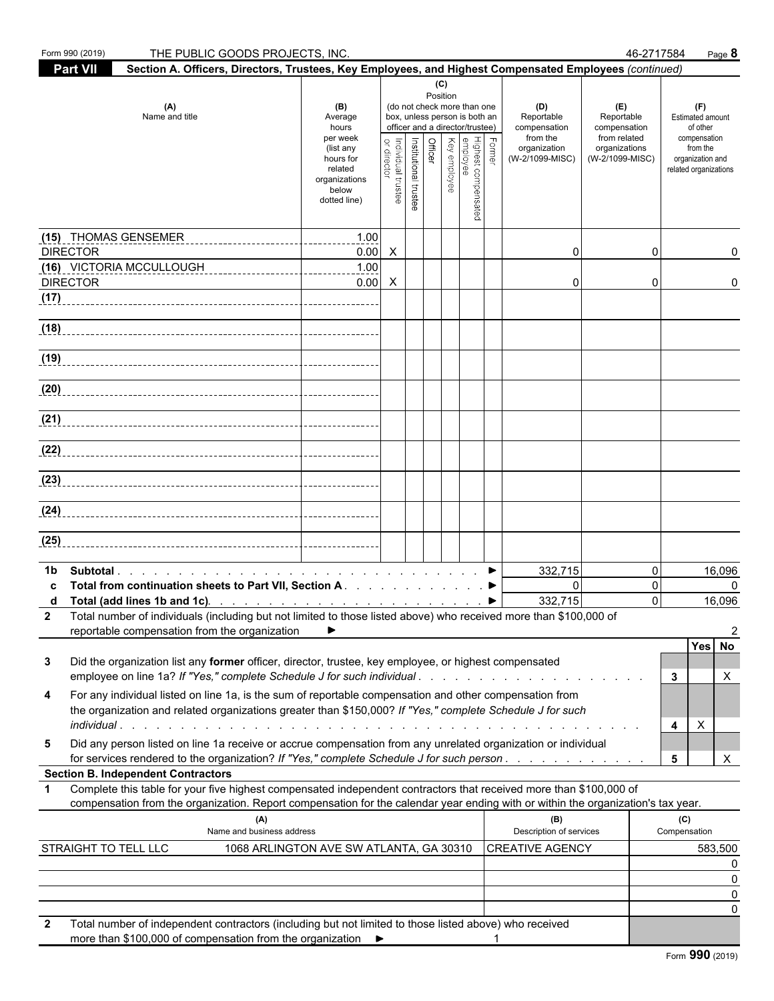|              | Form 990 (2019)<br>THE PUBLIC GOODS PROJECTS, INC.                                                                                                                                                                                                     | 46-2717584                                                                  | Page 8                          |                       |                                                                                                 |              |                                               |                                                   |                                                            |                                  |                                                       |
|--------------|--------------------------------------------------------------------------------------------------------------------------------------------------------------------------------------------------------------------------------------------------------|-----------------------------------------------------------------------------|---------------------------------|-----------------------|-------------------------------------------------------------------------------------------------|--------------|-----------------------------------------------|---------------------------------------------------|------------------------------------------------------------|----------------------------------|-------------------------------------------------------|
|              | <b>Part VII</b><br>Section A. Officers, Directors, Trustees, Key Employees, and Highest Compensated Employees (continued)                                                                                                                              |                                                                             |                                 |                       |                                                                                                 |              |                                               |                                                   |                                                            |                                  |                                                       |
|              | (A)<br>Name and title                                                                                                                                                                                                                                  | (B)<br>Average<br>hours<br>per week                                         | Position                        | (C)                   | (do not check more than one<br>box, unless person is both an<br>officer and a director/trustee) |              | (D)<br>Reportable<br>compensation<br>from the | (E)<br>Reportable<br>compensation<br>from related | (F)<br><b>Estimated amount</b><br>of other<br>compensation |                                  |                                                       |
|              |                                                                                                                                                                                                                                                        | (list any<br>hours for<br>related<br>organizations<br>below<br>dotted line) | or directo<br>ndividual trustee | Institutional trustee | <b>Officer</b>                                                                                  | Key employee | Highest compensated<br>employee               | Former                                            | organization<br>(W-2/1099-MISC)                            | organizations<br>(W-2/1099-MISC) | from the<br>organization and<br>related organizations |
|              | (15) THOMAS GENSEMER                                                                                                                                                                                                                                   | 1.00                                                                        |                                 |                       |                                                                                                 |              |                                               |                                                   |                                                            |                                  |                                                       |
|              | <b>DIRECTOR</b>                                                                                                                                                                                                                                        | 0.00<br>1.00                                                                | $\mathsf{X}$                    |                       |                                                                                                 |              |                                               |                                                   | 0                                                          | 0                                |                                                       |
|              | (16) VICTORIA MCCULLOUGH<br><b>DIRECTOR</b>                                                                                                                                                                                                            | 0.00                                                                        | $\boldsymbol{\mathsf{X}}$       |                       |                                                                                                 |              |                                               |                                                   | 0                                                          | 0                                | 0                                                     |
| (17)         |                                                                                                                                                                                                                                                        |                                                                             |                                 |                       |                                                                                                 |              |                                               |                                                   |                                                            |                                  |                                                       |
| (18)         |                                                                                                                                                                                                                                                        |                                                                             |                                 |                       |                                                                                                 |              |                                               |                                                   |                                                            |                                  |                                                       |
| (19)         |                                                                                                                                                                                                                                                        |                                                                             |                                 |                       |                                                                                                 |              |                                               |                                                   |                                                            |                                  |                                                       |
| (20)         |                                                                                                                                                                                                                                                        |                                                                             |                                 |                       |                                                                                                 |              |                                               |                                                   |                                                            |                                  |                                                       |
| (21)         |                                                                                                                                                                                                                                                        |                                                                             |                                 |                       |                                                                                                 |              |                                               |                                                   |                                                            |                                  |                                                       |
|              | (22)                                                                                                                                                                                                                                                   |                                                                             |                                 |                       |                                                                                                 |              |                                               |                                                   |                                                            |                                  |                                                       |
| (23)         |                                                                                                                                                                                                                                                        |                                                                             |                                 |                       |                                                                                                 |              |                                               |                                                   |                                                            |                                  |                                                       |
| (24)         |                                                                                                                                                                                                                                                        |                                                                             |                                 |                       |                                                                                                 |              |                                               |                                                   |                                                            |                                  |                                                       |
| (25)         |                                                                                                                                                                                                                                                        |                                                                             |                                 |                       |                                                                                                 |              |                                               |                                                   |                                                            |                                  |                                                       |
| 1b.          |                                                                                                                                                                                                                                                        |                                                                             |                                 |                       |                                                                                                 |              |                                               |                                                   | 332,715                                                    | 0                                | 16,096                                                |
| C<br>d       | Total from continuation sheets to Part VII, Section A.                                                                                                                                                                                                 |                                                                             |                                 |                       |                                                                                                 |              |                                               |                                                   | $\mathbf{0}$<br>332,715                                    | $\Omega$<br>$\Omega$             | 0<br>16,096                                           |
| 2            | Total number of individuals (including but not limited to those listed above) who received more than \$100,000 of<br>reportable compensation from the organization                                                                                     |                                                                             |                                 |                       |                                                                                                 |              |                                               |                                                   |                                                            |                                  | 2                                                     |
| 3            | Did the organization list any former officer, director, trustee, key employee, or highest compensated<br>employee on line 1a? If "Yes," complete Schedule J for such individual                                                                        |                                                                             |                                 |                       |                                                                                                 |              |                                               |                                                   |                                                            |                                  | Yes No<br>3<br>X                                      |
| 4            | For any individual listed on line 1a, is the sum of reportable compensation and other compensation from<br>the organization and related organizations greater than \$150,000? If "Yes," complete Schedule J for such                                   |                                                                             |                                 |                       |                                                                                                 |              |                                               |                                                   |                                                            |                                  | $\mathsf{X}$                                          |
| 5            | Did any person listed on line 1a receive or accrue compensation from any unrelated organization or individual<br>for services rendered to the organization? If "Yes," complete Schedule J for such person                                              |                                                                             |                                 |                       |                                                                                                 |              |                                               |                                                   |                                                            |                                  | 4<br>5<br>X                                           |
|              | <b>Section B. Independent Contractors</b>                                                                                                                                                                                                              |                                                                             |                                 |                       |                                                                                                 |              |                                               |                                                   |                                                            |                                  |                                                       |
| 1            | Complete this table for your five highest compensated independent contractors that received more than \$100,000 of<br>compensation from the organization. Report compensation for the calendar year ending with or within the organization's tax year. |                                                                             |                                 |                       |                                                                                                 |              |                                               |                                                   |                                                            |                                  |                                                       |
|              | (A)<br>Name and business address                                                                                                                                                                                                                       |                                                                             |                                 |                       |                                                                                                 |              |                                               |                                                   | (B)<br>Description of services                             |                                  | (C)<br>Compensation                                   |
|              | STRAIGHT TO TELL LLC                                                                                                                                                                                                                                   | 1068 ARLINGTON AVE SW ATLANTA, GA 30310                                     |                                 |                       |                                                                                                 |              |                                               |                                                   | <b>CREATIVE AGENCY</b>                                     |                                  | 583,500                                               |
|              |                                                                                                                                                                                                                                                        |                                                                             |                                 |                       |                                                                                                 |              |                                               |                                                   |                                                            |                                  | $\Omega$                                              |
|              |                                                                                                                                                                                                                                                        |                                                                             |                                 |                       |                                                                                                 |              |                                               |                                                   |                                                            |                                  | 0<br>0                                                |
| $\mathbf{2}$ | Total number of independent contractors (including but not limited to those listed above) who received<br>more than \$100,000 of compensation from the organization ▶                                                                                  |                                                                             |                                 |                       |                                                                                                 |              |                                               |                                                   |                                                            |                                  |                                                       |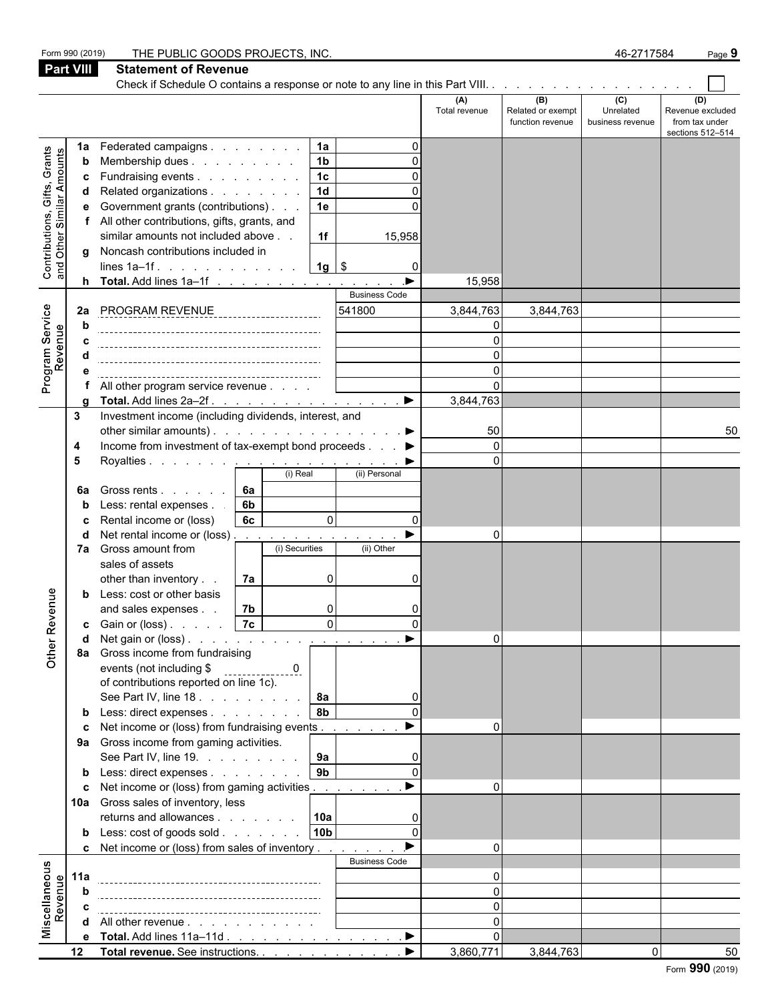|                                                           | Form 990 (2019)  | THE PUBLIC GOODS PROJECTS, INC.                                                   |    |                |                 |                       |                      |                                              | 46-2717584                                      | Page 9                                                        |
|-----------------------------------------------------------|------------------|-----------------------------------------------------------------------------------|----|----------------|-----------------|-----------------------|----------------------|----------------------------------------------|-------------------------------------------------|---------------------------------------------------------------|
|                                                           | <b>Part VIII</b> | <b>Statement of Revenue</b>                                                       |    |                |                 |                       |                      |                                              |                                                 |                                                               |
|                                                           |                  |                                                                                   |    |                |                 |                       |                      |                                              |                                                 |                                                               |
|                                                           |                  |                                                                                   |    |                |                 |                       | (A)<br>Total revenue | (B)<br>Related or exempt<br>function revenue | $\overline{c}$<br>Unrelated<br>business revenue | (D)<br>Revenue excluded<br>from tax under<br>sections 512-514 |
|                                                           | 1a               | Federated campaigns                                                               |    |                | 1a              | $\Omega$              |                      |                                              |                                                 |                                                               |
| Contributions, Gifts, Grants<br>and Other Similar Amounts | b                | Membership dues                                                                   |    |                | 1 <sub>b</sub>  | O                     |                      |                                              |                                                 |                                                               |
|                                                           | c                | Fundraising events                                                                |    |                | $\overline{1c}$ | O                     |                      |                                              |                                                 |                                                               |
|                                                           | d                | Related organizations                                                             |    |                | $\overline{1d}$ |                       |                      |                                              |                                                 |                                                               |
|                                                           | е                | Government grants (contributions)                                                 |    |                | 1e              |                       |                      |                                              |                                                 |                                                               |
|                                                           | f                | All other contributions, gifts, grants, and<br>similar amounts not included above |    |                | 1f              | 15,958                |                      |                                              |                                                 |                                                               |
|                                                           |                  | g Noncash contributions included in                                               |    |                |                 |                       |                      |                                              |                                                 |                                                               |
|                                                           |                  | lines $1a-1f$ .                                                                   |    |                | $1g$ \$         | 0                     |                      |                                              |                                                 |                                                               |
|                                                           |                  | <b>h</b> Total. Add lines $1a-1f$                                                 |    |                |                 | $\blacktriangleright$ | 15,958               |                                              |                                                 |                                                               |
|                                                           |                  |                                                                                   |    |                |                 | <b>Business Code</b>  |                      |                                              |                                                 |                                                               |
|                                                           | 2a               | <b>PROGRAM REVENUE</b>                                                            |    |                |                 | 541800                | 3,844,763            | 3,844,763                                    |                                                 |                                                               |
|                                                           | b                |                                                                                   |    |                |                 |                       | $\mathbf{0}$         |                                              |                                                 |                                                               |
|                                                           | C                |                                                                                   |    |                |                 |                       | $\Omega$             |                                              |                                                 |                                                               |
|                                                           | d                |                                                                                   |    |                |                 |                       | $\Omega$<br>$\Omega$ |                                              |                                                 |                                                               |
| Program Service<br>Revenue                                | e<br>f           | All other program service revenue                                                 |    |                |                 |                       | $\Omega$             |                                              |                                                 |                                                               |
|                                                           | a                |                                                                                   |    |                |                 |                       | 3,844,763            |                                              |                                                 |                                                               |
|                                                           | 3                | Investment income (including dividends, interest, and                             |    |                |                 |                       |                      |                                              |                                                 |                                                               |
|                                                           |                  | other similar amounts). $\ldots$ $\ldots$ $\ldots$ $\ldots$ $\ldots$ $\ldots$     |    |                |                 |                       | 50                   |                                              |                                                 | 50                                                            |
|                                                           | 4                | Income from investment of tax-exempt bond proceeds ▶                              |    |                |                 |                       | $\Omega$             |                                              |                                                 |                                                               |
|                                                           | 5                |                                                                                   |    |                |                 |                       | $\Omega$             |                                              |                                                 |                                                               |
|                                                           |                  |                                                                                   |    | (i) Real       |                 | (ii) Personal         |                      |                                              |                                                 |                                                               |
|                                                           | 6a               | Gross rents                                                                       | 6a |                |                 |                       |                      |                                              |                                                 |                                                               |
|                                                           | b                | Less: rental expenses.                                                            | 6b |                |                 |                       |                      |                                              |                                                 |                                                               |
|                                                           |                  | Rental income or (loss)<br>Net rental income or (loss)                            | 6c |                | $\Omega$        | $\Omega$              | $\Omega$             |                                              |                                                 |                                                               |
|                                                           |                  | 7a Gross amount from                                                              |    | (i) Securities |                 | (ii) Other            |                      |                                              |                                                 |                                                               |
|                                                           |                  | sales of assets                                                                   |    |                |                 |                       |                      |                                              |                                                 |                                                               |
|                                                           |                  | other than inventory                                                              | 7a |                | $\Omega$        | 0                     |                      |                                              |                                                 |                                                               |
| enue                                                      | b                | Less: cost or other basis                                                         |    |                |                 |                       |                      |                                              |                                                 |                                                               |
|                                                           |                  | and sales expenses.                                                               | 7b |                | $\Omega$        | O                     |                      |                                              |                                                 |                                                               |
| Other Rev                                                 | C                | Gain or (loss) 7c                                                                 |    |                | $\circ$         | $\Omega$              |                      |                                              |                                                 |                                                               |
|                                                           | d                |                                                                                   |    |                |                 |                       | 0                    |                                              |                                                 |                                                               |
|                                                           |                  | 8a Gross income from fundraising<br>events (not including \$                      |    |                |                 |                       |                      |                                              |                                                 |                                                               |
|                                                           |                  | of contributions reported on line 1c).                                            |    | <u>. 0</u>     |                 |                       |                      |                                              |                                                 |                                                               |
|                                                           |                  | See Part IV, line 18.                                                             |    |                | <b>8a</b>       | $\Omega$              |                      |                                              |                                                 |                                                               |
|                                                           |                  | <b>b</b> Less: direct expenses                                                    |    |                | 8 <sub>b</sub>  |                       |                      |                                              |                                                 |                                                               |
|                                                           |                  | <b>c</b> Net income or (loss) from fundraising events                             |    |                |                 |                       | ŋ                    |                                              |                                                 |                                                               |
|                                                           |                  | 9a Gross income from gaming activities.                                           |    |                |                 |                       |                      |                                              |                                                 |                                                               |
|                                                           |                  | See Part IV, line 19.                                                             |    |                | 9a              | 0                     |                      |                                              |                                                 |                                                               |
|                                                           |                  | <b>b</b> Less: direct expenses                                                    |    |                | 9 <sub>b</sub>  | $\Omega$              |                      |                                              |                                                 |                                                               |
|                                                           |                  | c Net income or (loss) from gaming activities                                     |    |                |                 | $\blacktriangleright$ | 0                    |                                              |                                                 |                                                               |
|                                                           |                  | 10a Gross sales of inventory, less<br>returns and allowances 10a                  |    |                |                 |                       |                      |                                              |                                                 |                                                               |
|                                                           |                  | <b>b</b> Less: $\cosh$ of goods $\sinh$                                           |    |                | 10 <sub>b</sub> | 0<br>$\Omega$         |                      |                                              |                                                 |                                                               |
|                                                           |                  | <b>c</b> Net income or (loss) from sales of inventory                             |    |                |                 |                       | 0                    |                                              |                                                 |                                                               |
|                                                           |                  |                                                                                   |    |                |                 | <b>Business Code</b>  |                      |                                              |                                                 |                                                               |
| Miscellaneous<br>Revenue                                  | 11a              |                                                                                   |    |                |                 |                       | ŋ                    |                                              |                                                 |                                                               |
|                                                           | b                |                                                                                   |    |                |                 |                       | 0                    |                                              |                                                 |                                                               |
|                                                           | C                |                                                                                   |    |                |                 |                       | 0                    |                                              |                                                 |                                                               |
|                                                           |                  | <b>d</b> All other revenue $\ldots$ $\ldots$ $\ldots$ $\ldots$                    |    |                |                 |                       | 0                    |                                              |                                                 |                                                               |
|                                                           |                  | e Total. Add lines 11a-11d ▶                                                      |    |                |                 |                       | $\Omega$             |                                              |                                                 |                                                               |
|                                                           | 12               | Total revenue. See instructions.                                                  |    |                |                 |                       | 3,860,771            | 3,844,763                                    | 0                                               | 50                                                            |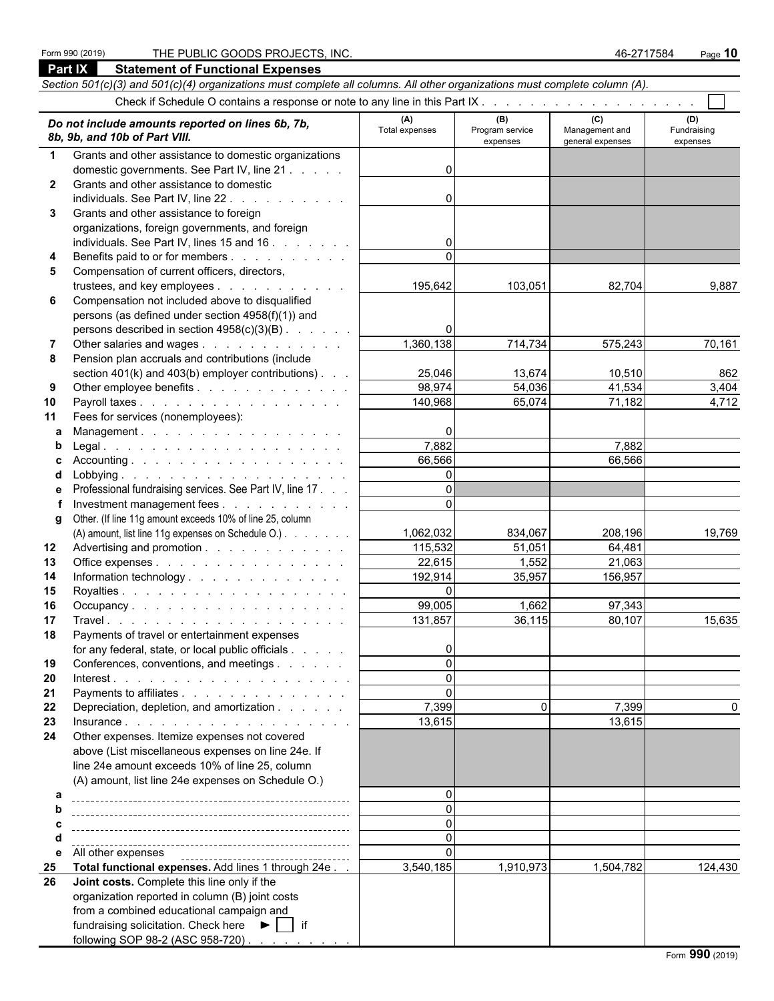#### Form 990 (2019) THE PUBLIC GOODS PROJECTS, INC. 46-2717584 Page **10**

fundraising solicitation. Check here  $\blacktriangleright$  | if

following SOP 98-2 (ASC 958-720)

**Part IX Statement of Functional Expenses** *Section 501(c)(3) and 501(c)(4) organizations must complete all columns. All other organizations must complete column (A).* Check if Schedule O contains a response or note to any line in this Part IX . .  *Do not include amounts reported on lines 6b, 7b, 8b, 9b, and 10b of Part VIII.* **(A) (B) (C) (D)** Total expenses **Program service** Management and **Pundraising** expenses general expenses expenses **1** Grants and other assistance to domestic organizations domestic governments. See Part IV, line 21 . . . . . . . . . . . . . . . . . . . . . . . . . . . . . . . . . . . . . . . . . . . . . . . . . . . 0 **2** Grants and other assistance to domestic  $\blacksquare$  individuals. See Part IV, line 22 . . . . . . . . . . . . . . . . . 0 **3** Grants and other assistance to foreign organizations, foreign governments, and foreign individuals. See Part IV, lines 15 and 16 .  $\ldots$  .  $\ldots$  . . . . . . . . . 0 **4** Benefits paid to or for members . . . . . . . . . . . . . . 0 **5** Compensation of current officers, directors, trustees, and key employees . . . . . . . . . . . | 195,642 103,051 82,704 9,887 **6** Compensation not included above to disqualified persons (as defined under section 4958(f)(1)) and persons described in section  $4958(c)(3)(B)$ . . . . . . **7** Other salaries and wages . . . . . . . . . . . . | 1,360,138 714,734 575,243 70,161 **8** Pension plan accruals and contributions (include section 401(k) and 403(b) employer contributions) . . .  $\vert$  25,046 13,674 10,510 862 **9** Other employee benefits . . . . . . . . . . . . . . . . 98,974 **54,036** 41,534 3,404 **10** Payroll taxes . . . . . . . . . . . . . . . . . . 140,968 65,074 71,182 4,712 **11** Fees for services (nonemployees): **a** Management . . . . . . . . . . . . . . . . . . . . . . . . . . . . . . . . . . . . . . . . . . . . . . . . . . . . . . . . . . 0 **b** Legal . . . . . . . . . . . . . . . . . . . . . . . . . . . . . . . . . . . . . . . . . . . . . . . . . . . . . . . . . . . . 7,882 7,882 **c** Accounting . . . . . . . . . . . . . . . . . . . . . . . . . . . . . . . . . . . . . . . . . . . . . . . . . . . . . . . . . . 66,566 66,566 **d** Lobbying . . . . . . . . . . . . . . . . . . . . . . . . . . . . . . . . . . . . . . . . . . . . . . . . . . . . . . . . . . . 0 **e** Professional fundraising services. See Part IV, line 17 . . . . . . . . . . . . . . . . . . . . . . . . . . . . . . . . . . . . . . . . . . . . . . . . . 0 **f** Investment management fees . . . . . . . . . . . . . . 0 **g** Other. (If line 11g amount exceeds 10% of line 25, column (A) amount, list line 11g expenses on Schedule O.) . . . . . . . . | 1,062,032 | 834,067 | 208,196 | 19,769 **12** Advertising and promotion . . . . . . . . . . . . . . 115,532 51,051 64,481 **13** Office expenses . . . . . . . . . . . . . . . . . . . . . . . . . . . . . . . . . . . . . . . . . . . . . . . . . . . . . . . . . 22,615 1,552 21,063 **14** Information technology . . . . . . . . . . . . . . 192,914 35,957 156,957 **15** Royalties . . . . . . . . . . . . . . . . . . . . . . . . . . . . . . . . . . . . . . . . . . . . . . . . . . . . . . . . . . . 0 **16** Occupancy . . . . . . . . . . . . . . . . . . . . . . . . . . . . . . . . . . . . . . . . . . . . . . . . . . . . . . . . . . . 99,005 1,662 97,343 **17** Travel . . . . . . . . . . . . . . . . . . . . . . . . . . . . . . . . . . . . . . . . . . . . . . . . . . . . . . . . . . . 131,857 36,115 80,107 15,635 **18** Payments of travel or entertainment expenses for any federal, state, or local public officials . . . . . . . . . . . . 0 **19** Conferences, conventions, and meetings . . . . . . . . . . . . . . 0 **20** Interest . . . . . . . . . . . . . . . . . . . . . . . . . . . . . . . . . . . . . . . . . . . . . . . . . . . . . . . . . . . 0 **21** Payments to affiliates . . . . . . . . . . . . . . . . . . . . . . . . . . . . . . . . . . . . . . . . . . . . . . . . . . . . . . . 0 **22** Depreciation, depletion, and amortization . . . . . . . . . . . 7,399 0 0 7,399 **23** Insurance . . . . . . . . . . . . . . . . . . . . . . . . . . . . . . . . . . . . . . . . . . . . . . . . . . . . . . . . . . . 13,615 13,615 **24** Other expenses. Itemize expenses not covered above (List miscellaneous expenses on line 24e. If line 24e amount exceeds 10% of line 25, column (A) amount, list line 24e expenses on Schedule O.) **a** 0 **b** 0 **c** 0 **d** 0 **e** All other expenses 0 **25 Total functional expenses.** Add lines 1 through 24e . . .  $\vert$  3,540,185 | 1,910,973 | 1,504,782 | 124,430 **26 Joint costs.** Complete this line only if the organization reported in column (B) joint costs from a combined educational campaign and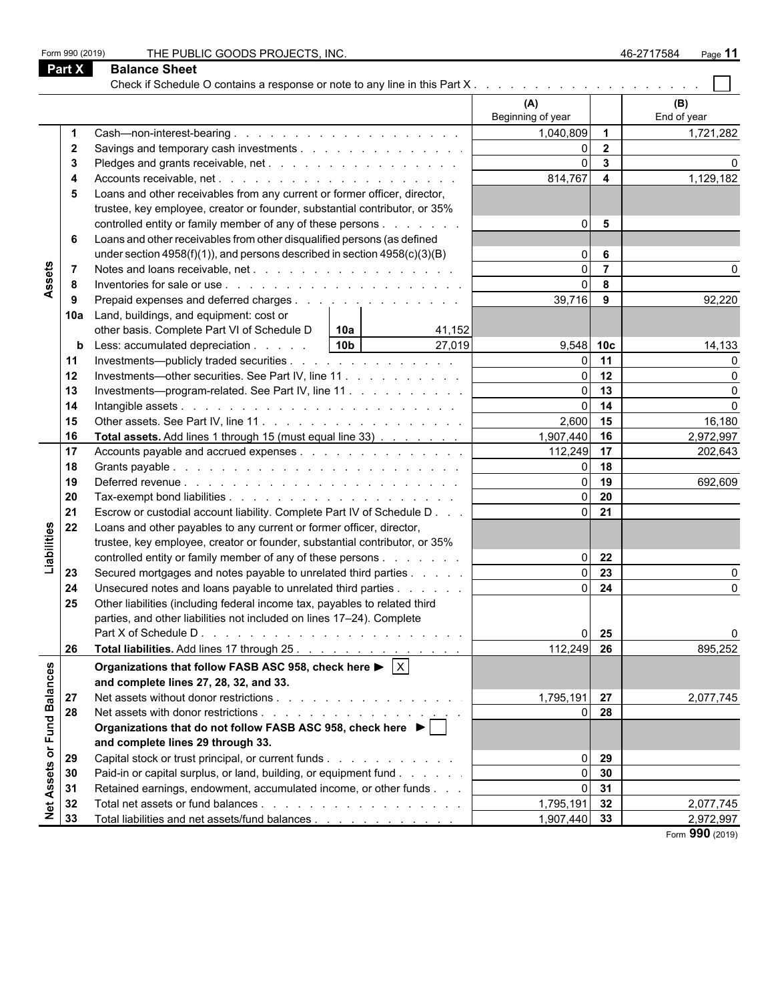**Part X Balance Sheet**

|                             |                |                                                                                                     | (A)               |                         | (B)             |
|-----------------------------|----------------|-----------------------------------------------------------------------------------------------------|-------------------|-------------------------|-----------------|
|                             |                |                                                                                                     | Beginning of year |                         | End of year     |
|                             | $\mathbf 1$    |                                                                                                     | 1,040,809         | $\mathbf{1}$            | 1,721,282       |
|                             | $\mathbf{2}$   | Savings and temporary cash investments                                                              | 0                 | $\mathbf{2}$            |                 |
|                             | 3              |                                                                                                     | $\Omega$          | $\mathbf{3}$            |                 |
|                             | 4              |                                                                                                     | 814,767           | $\overline{\mathbf{4}}$ | 1,129,182       |
|                             | 5              | Loans and other receivables from any current or former officer, director,                           |                   |                         |                 |
|                             |                | trustee, key employee, creator or founder, substantial contributor, or 35%                          |                   |                         |                 |
|                             |                | controlled entity or family member of any of these persons                                          | $\Omega$          | 5                       |                 |
|                             | 6              | Loans and other receivables from other disqualified persons (as defined                             |                   |                         |                 |
|                             |                | under section $4958(f)(1)$ , and persons described in section $4958(c)(3)(B)$                       | $\Omega$          | 6                       |                 |
|                             | $\overline{7}$ |                                                                                                     | $\Omega$          | $\overline{7}$          |                 |
| Assets                      | 8              |                                                                                                     | $\Omega$          | 8                       |                 |
|                             | 9              | Prepaid expenses and deferred charges                                                               | 39,716            | 9                       | 92,220          |
|                             |                |                                                                                                     |                   |                         |                 |
|                             | 10a            | Land, buildings, and equipment: cost or<br>other basis. Complete Part VI of Schedule D              |                   |                         |                 |
|                             |                | 41,152<br>10a                                                                                       |                   |                         |                 |
|                             |                | 27,019<br>Less: accumulated depreciation<br>10b                                                     | $9,548$ 10c       |                         | 14,133          |
|                             | 11             | Investments—publicly traded securities                                                              | C                 | 11                      |                 |
|                             | 12             | Investments—other securities. See Part IV, line 11.                                                 | $\Omega$          | 12                      |                 |
|                             | 13             | Investments---program-related. See Part IV, line 11                                                 | $\overline{0}$    | 13                      |                 |
|                             | 14             |                                                                                                     | $\Omega$          | 14                      |                 |
|                             | 15             |                                                                                                     | 2,600             | 15                      | 16,180          |
|                             | 16             | Total assets. Add lines 1 through 15 (must equal line 33)                                           | 1,907,440         | 16                      | 2,972,997       |
|                             | 17             | Accounts payable and accrued expenses                                                               | 112,249           | 17                      | 202,643         |
|                             | 18             |                                                                                                     | $\Omega$          | 18                      |                 |
|                             | 19             |                                                                                                     | $\Omega$          | 19                      | 692,609         |
|                             | 20             |                                                                                                     | $\Omega$          | 20                      |                 |
|                             | 21             | Escrow or custodial account liability. Complete Part IV of Schedule D                               | $\Omega$          | 21                      |                 |
|                             | 22             | Loans and other payables to any current or former officer, director,                                |                   |                         |                 |
| Liabilities                 |                | trustee, key employee, creator or founder, substantial contributor, or 35%                          |                   |                         |                 |
|                             |                | controlled entity or family member of any of these persons                                          | $\Omega$          | 22                      |                 |
|                             | 23             | Secured mortgages and notes payable to unrelated third parties                                      | $\Omega$          | 23                      |                 |
|                             | 24             | Unsecured notes and loans payable to unrelated third parties                                        | $\Omega$          | 24                      |                 |
|                             | 25             | Other liabilities (including federal income tax, payables to related third                          |                   |                         |                 |
|                             |                | parties, and other liabilities not included on lines 17-24). Complete                               |                   |                         |                 |
|                             |                |                                                                                                     | O                 | 25                      |                 |
|                             | 26             | Total liabilities. Add lines 17 through 25.                                                         | 112,249 26        |                         | 895,252         |
|                             |                | Organizations that follow FASB ASC 958, check here $\blacktriangleright \lceil \overline{X} \rceil$ |                   |                         |                 |
|                             |                | and complete lines 27, 28, 32, and 33.                                                              |                   |                         |                 |
|                             |                |                                                                                                     | 1,795,191         | 27                      |                 |
|                             | 27             |                                                                                                     | $\Omega$          |                         | 2,077,745       |
| Net Assets or Fund Balances | 28             |                                                                                                     |                   | 28                      |                 |
|                             |                | Organizations that do not follow FASB ASC 958, check here ▶                                         |                   |                         |                 |
|                             |                | and complete lines 29 through 33.                                                                   |                   |                         |                 |
|                             | 29             | Capital stock or trust principal, or current funds                                                  | 0                 | 29                      |                 |
|                             | 30             | Paid-in or capital surplus, or land, building, or equipment fund                                    | $\overline{0}$    | 30                      |                 |
|                             | 31             | Retained earnings, endowment, accumulated income, or other funds                                    | $\overline{0}$    | 31                      |                 |
|                             | 32             |                                                                                                     | 1,795,191         | 32                      | 2,077,745       |
|                             | 33             | Total liabilities and net assets/fund balances                                                      | 1,907,440 33      |                         | 2,972,997       |
|                             |                |                                                                                                     |                   |                         | Form 990 (2019) |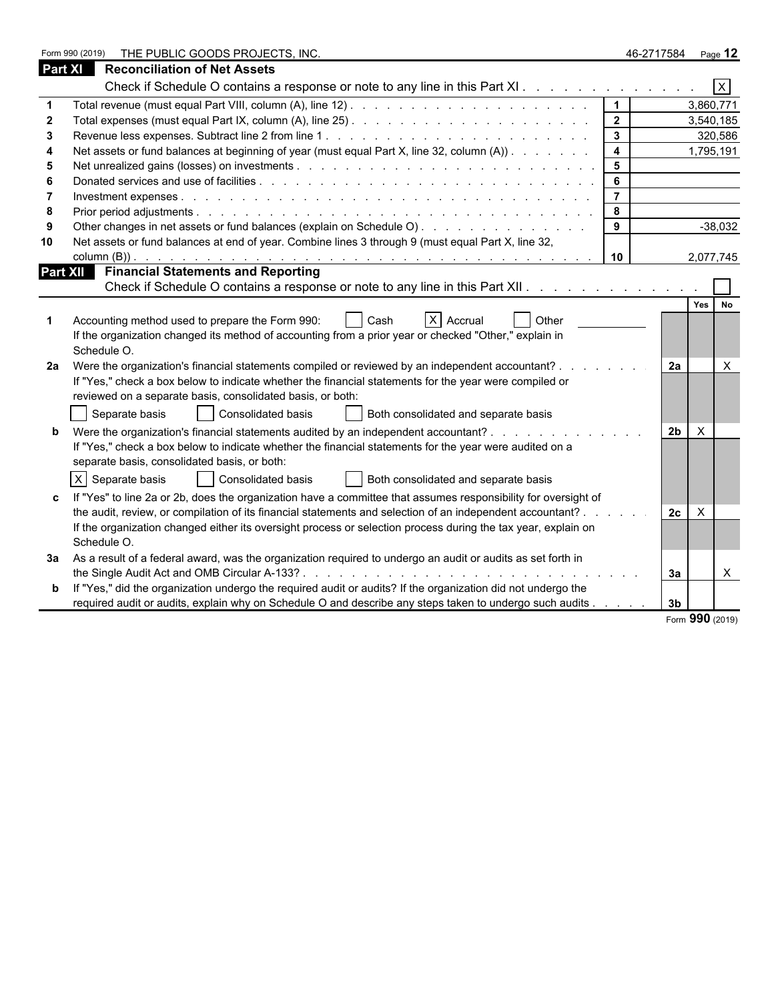|                | THE PUBLIC GOODS PROJECTS, INC.<br>Form 990 (2019)                                                                                                                                                                             |                         | 46-2717584                 | Page 12        |
|----------------|--------------------------------------------------------------------------------------------------------------------------------------------------------------------------------------------------------------------------------|-------------------------|----------------------------|----------------|
| <b>Part XI</b> | <b>Reconciliation of Net Assets</b>                                                                                                                                                                                            |                         |                            |                |
|                | Check if Schedule O contains a response or note to any line in this Part XI                                                                                                                                                    |                         |                            | $\overline{X}$ |
|                |                                                                                                                                                                                                                                | $\mathbf 1$             |                            | 3,860,771      |
|                |                                                                                                                                                                                                                                | $\overline{2}$          |                            | 3,540,185      |
| -3             |                                                                                                                                                                                                                                | $\mathbf{3}$            |                            | 320,586        |
|                | Net assets or fund balances at beginning of year (must equal Part X, line 32, column (A))                                                                                                                                      | $\overline{\mathbf{4}}$ |                            | 1,795,191      |
|                |                                                                                                                                                                                                                                | $5\phantom{1}$          |                            |                |
|                | Donated services and use of facilities entering to enter the contract of the contract of the contract of the contract of the contract of the contract of the contract of the contract of the contract of the contract of the c | 6                       |                            |                |
|                |                                                                                                                                                                                                                                | $\overline{7}$          |                            |                |
| -8             |                                                                                                                                                                                                                                | 8                       |                            |                |
|                | Other changes in net assets or fund balances (explain on Schedule O).                                                                                                                                                          | $\mathbf{9}$            |                            | $-38,032$      |
| 10             | Net assets or fund balances at end of year. Combine lines 3 through 9 (must equal Part X, line 32,                                                                                                                             |                         |                            |                |
|                |                                                                                                                                                                                                                                | 10                      |                            | 2,077,745      |
|                | Part XII Financial Statements and Reporting                                                                                                                                                                                    |                         |                            |                |
|                | Check if Schedule O contains a response or note to any line in this Part XII.                                                                                                                                                  |                         |                            |                |
|                |                                                                                                                                                                                                                                |                         |                            | Yes No         |
|                | $X$ Accrual<br>Accounting method used to prepare the Form 990:<br>Cash<br><b>Other</b>                                                                                                                                         |                         |                            |                |
|                | If the organization changed its method of accounting from a prior year or checked "Other," explain in                                                                                                                          |                         |                            |                |
|                | Schedule O.                                                                                                                                                                                                                    |                         |                            |                |
| 2a             | Were the organization's financial statements compiled or reviewed by an independent accountant?                                                                                                                                |                         | 2a                         | $\times$       |
|                | If "Yes," check a box below to indicate whether the financial statements for the year were compiled or                                                                                                                         |                         |                            |                |
|                | reviewed on a separate basis, consolidated basis, or both:                                                                                                                                                                     |                         |                            |                |
|                | Separate basis<br>  Consolidated basis<br>Both consolidated and separate basis                                                                                                                                                 |                         |                            |                |
|                | Were the organization's financial statements audited by an independent accountant?                                                                                                                                             |                         | $\times$<br>2 <sub>b</sub> |                |
|                | If "Yes," check a box below to indicate whether the financial statements for the year were audited on a                                                                                                                        |                         |                            |                |
|                | separate basis, consolidated basis, or both:                                                                                                                                                                                   |                         |                            |                |
|                | Consolidated basis                                                                                                                                                                                                             |                         |                            |                |
|                | X Separate basis<br>Both consolidated and separate basis                                                                                                                                                                       |                         |                            |                |
|                | If "Yes" to line 2a or 2b, does the organization have a committee that assumes responsibility for oversight of                                                                                                                 |                         |                            |                |
|                | the audit, review, or compilation of its financial statements and selection of an independent accountant?                                                                                                                      |                         | 2c<br>$\times$             |                |
|                | If the organization changed either its oversight process or selection process during the tax year, explain on                                                                                                                  |                         |                            |                |
|                | Schedule O.                                                                                                                                                                                                                    |                         |                            |                |
| За             | As a result of a federal award, was the organization required to undergo an audit or audits as set forth in                                                                                                                    |                         |                            |                |
|                |                                                                                                                                                                                                                                |                         | 3a                         | $\times$       |
|                | If "Yes," did the organization undergo the required audit or audits? If the organization did not undergo the                                                                                                                   |                         |                            |                |
|                | required audit or audits, explain why on Schedule O and describe any steps taken to undergo such audits                                                                                                                        |                         | 3 <sub>b</sub>             |                |

Form **990** (2019)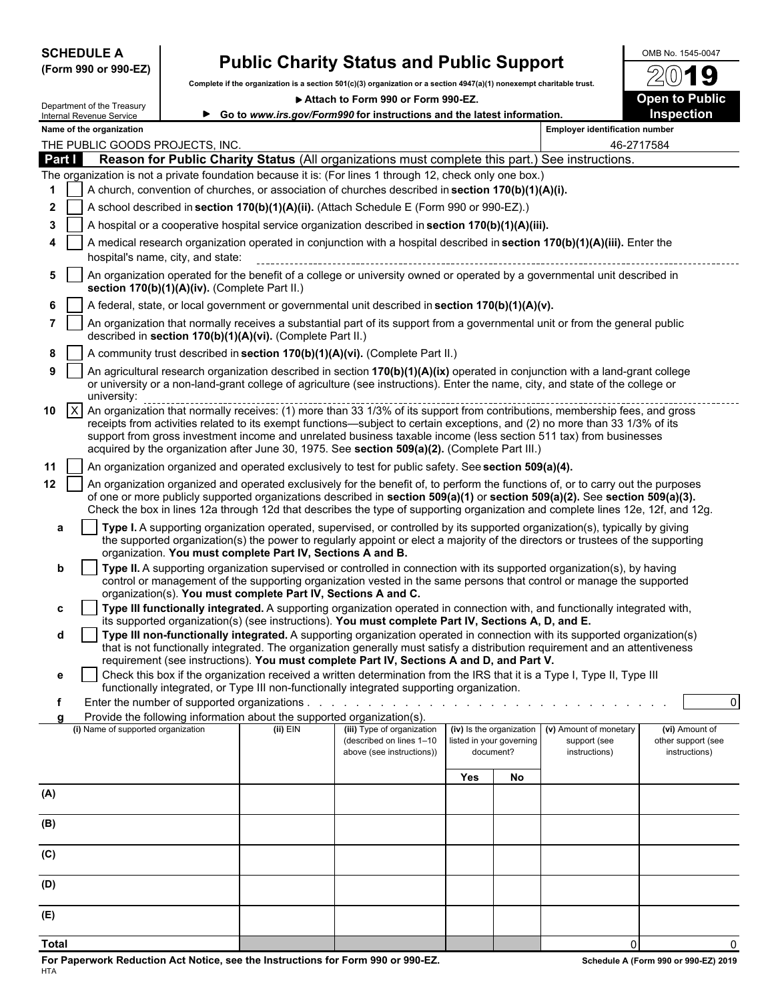| <b>SCHEDULE A</b> |  |                      |
|-------------------|--|----------------------|
|                   |  | (Form 990 or 990-EZ) |

# **Public Charity Status and Public Support**  $\frac{10018 N_0. 1545-0047}{20}$

**Complete if the organization is a section 501(c)(3) organization or a section 4947(a)(1) nonexempt charitable trust.**

▶ Attach to Form 990 or Form 990-EZ. **Open to Public** 



| Department of the Treasury |  |
|----------------------------|--|
| Internal Revenue Service   |  |
| Name of the organization   |  |

|                                       | шэг |
|---------------------------------------|-----|
| <b>Employer identification number</b> |     |

|                                                                                                           |              | THE PUBLIC GOODS PROJECTS, INC.                                                                                                                                                                                                                                                                                                                                                                                                                                                  |            |                                                       |     |                                       |                               | 46-2717584                          |  |
|-----------------------------------------------------------------------------------------------------------|--------------|----------------------------------------------------------------------------------------------------------------------------------------------------------------------------------------------------------------------------------------------------------------------------------------------------------------------------------------------------------------------------------------------------------------------------------------------------------------------------------|------------|-------------------------------------------------------|-----|---------------------------------------|-------------------------------|-------------------------------------|--|
| Part I<br>Reason for Public Charity Status (All organizations must complete this part.) See instructions. |              |                                                                                                                                                                                                                                                                                                                                                                                                                                                                                  |            |                                                       |     |                                       |                               |                                     |  |
|                                                                                                           |              | The organization is not a private foundation because it is: (For lines 1 through 12, check only one box.)                                                                                                                                                                                                                                                                                                                                                                        |            |                                                       |     |                                       |                               |                                     |  |
| A church, convention of churches, or association of churches described in section 170(b)(1)(A)(i).        |              |                                                                                                                                                                                                                                                                                                                                                                                                                                                                                  |            |                                                       |     |                                       |                               |                                     |  |
| 2                                                                                                         |              | A school described in section 170(b)(1)(A)(ii). (Attach Schedule E (Form 990 or 990-EZ).)                                                                                                                                                                                                                                                                                                                                                                                        |            |                                                       |     |                                       |                               |                                     |  |
| 3                                                                                                         |              | A hospital or a cooperative hospital service organization described in section 170(b)(1)(A)(iii).                                                                                                                                                                                                                                                                                                                                                                                |            |                                                       |     |                                       |                               |                                     |  |
| 4                                                                                                         |              | A medical research organization operated in conjunction with a hospital described in section 170(b)(1)(A)(iii). Enter the<br>hospital's name, city, and state:                                                                                                                                                                                                                                                                                                                   |            |                                                       |     |                                       |                               |                                     |  |
| 5                                                                                                         |              | An organization operated for the benefit of a college or university owned or operated by a governmental unit described in<br>section 170(b)(1)(A)(iv). (Complete Part II.)                                                                                                                                                                                                                                                                                                       |            |                                                       |     |                                       |                               |                                     |  |
| 6                                                                                                         |              | A federal, state, or local government or governmental unit described in section 170(b)(1)(A)(v).                                                                                                                                                                                                                                                                                                                                                                                 |            |                                                       |     |                                       |                               |                                     |  |
|                                                                                                           |              | An organization that normally receives a substantial part of its support from a governmental unit or from the general public<br>described in section 170(b)(1)(A)(vi). (Complete Part II.)                                                                                                                                                                                                                                                                                       |            |                                                       |     |                                       |                               |                                     |  |
| 8                                                                                                         |              | A community trust described in section 170(b)(1)(A)(vi). (Complete Part II.)                                                                                                                                                                                                                                                                                                                                                                                                     |            |                                                       |     |                                       |                               |                                     |  |
| 9                                                                                                         |              | An agricultural research organization described in section 170(b)(1)(A)(ix) operated in conjunction with a land-grant college<br>or university or a non-land-grant college of agriculture (see instructions). Enter the name, city, and state of the college or<br>university:                                                                                                                                                                                                   |            |                                                       |     |                                       |                               |                                     |  |
| 10                                                                                                        | $\mathsf{X}$ | An organization that normally receives: (1) more than 33 1/3% of its support from contributions, membership fees, and gross<br>receipts from activities related to its exempt functions—subject to certain exceptions, and (2) no more than 33 1/3% of its<br>support from gross investment income and unrelated business taxable income (less section 511 tax) from businesses<br>acquired by the organization after June 30, 1975. See section 509(a)(2). (Complete Part III.) |            |                                                       |     |                                       |                               |                                     |  |
| 11                                                                                                        |              | An organization organized and operated exclusively to test for public safety. See section 509(a)(4).                                                                                                                                                                                                                                                                                                                                                                             |            |                                                       |     |                                       |                               |                                     |  |
| 12                                                                                                        |              | An organization organized and operated exclusively for the benefit of, to perform the functions of, or to carry out the purposes<br>of one or more publicly supported organizations described in section 509(a)(1) or section 509(a)(2). See section 509(a)(3).<br>Check the box in lines 12a through 12d that describes the type of supporting organization and complete lines 12e, 12f, and 12g.                                                                               |            |                                                       |     |                                       |                               |                                     |  |
| a                                                                                                         |              | Type I. A supporting organization operated, supervised, or controlled by its supported organization(s), typically by giving<br>the supported organization(s) the power to regularly appoint or elect a majority of the directors or trustees of the supporting<br>organization. You must complete Part IV, Sections A and B.                                                                                                                                                     |            |                                                       |     |                                       |                               |                                     |  |
| b                                                                                                         |              | Type II. A supporting organization supervised or controlled in connection with its supported organization(s), by having<br>control or management of the supporting organization vested in the same persons that control or manage the supported                                                                                                                                                                                                                                  |            |                                                       |     |                                       |                               |                                     |  |
|                                                                                                           |              | organization(s). You must complete Part IV, Sections A and C.                                                                                                                                                                                                                                                                                                                                                                                                                    |            |                                                       |     |                                       |                               |                                     |  |
| c                                                                                                         |              | Type III functionally integrated. A supporting organization operated in connection with, and functionally integrated with,<br>its supported organization(s) (see instructions). You must complete Part IV, Sections A, D, and E.                                                                                                                                                                                                                                                 |            |                                                       |     |                                       |                               |                                     |  |
| d                                                                                                         |              | Type III non-functionally integrated. A supporting organization operated in connection with its supported organization(s)<br>that is not functionally integrated. The organization generally must satisfy a distribution requirement and an attentiveness                                                                                                                                                                                                                        |            |                                                       |     |                                       |                               |                                     |  |
|                                                                                                           |              | requirement (see instructions). You must complete Part IV, Sections A and D, and Part V.                                                                                                                                                                                                                                                                                                                                                                                         |            |                                                       |     |                                       |                               |                                     |  |
| е                                                                                                         |              | Check this box if the organization received a written determination from the IRS that it is a Type I, Type II, Type III<br>functionally integrated, or Type III non-functionally integrated supporting organization.                                                                                                                                                                                                                                                             |            |                                                       |     |                                       |                               |                                     |  |
|                                                                                                           |              | Enter the number of supported organizations                                                                                                                                                                                                                                                                                                                                                                                                                                      |            |                                                       |     |                                       |                               | $\overline{\mathbf{0}}$             |  |
| a                                                                                                         |              | Provide the following information about the supported organization(s).<br>(i) Name of supported organization                                                                                                                                                                                                                                                                                                                                                                     | $(ii)$ EIN | (iii) Type of organization                            |     | (iv) Is the organization              | (v) Amount of monetary        | (vi) Amount of                      |  |
|                                                                                                           |              |                                                                                                                                                                                                                                                                                                                                                                                                                                                                                  |            | (described on lines 1-10<br>above (see instructions)) |     | listed in your governing<br>document? | support (see<br>instructions) | other support (see<br>instructions) |  |
|                                                                                                           |              |                                                                                                                                                                                                                                                                                                                                                                                                                                                                                  |            |                                                       | Yes | <b>No</b>                             |                               |                                     |  |
| (A)                                                                                                       |              |                                                                                                                                                                                                                                                                                                                                                                                                                                                                                  |            |                                                       |     |                                       |                               |                                     |  |
| (B)                                                                                                       |              |                                                                                                                                                                                                                                                                                                                                                                                                                                                                                  |            |                                                       |     |                                       |                               |                                     |  |
| (C)                                                                                                       |              |                                                                                                                                                                                                                                                                                                                                                                                                                                                                                  |            |                                                       |     |                                       |                               |                                     |  |
| (D)                                                                                                       |              |                                                                                                                                                                                                                                                                                                                                                                                                                                                                                  |            |                                                       |     |                                       |                               |                                     |  |
| (E)                                                                                                       |              |                                                                                                                                                                                                                                                                                                                                                                                                                                                                                  |            |                                                       |     |                                       |                               |                                     |  |

**Total** 0 0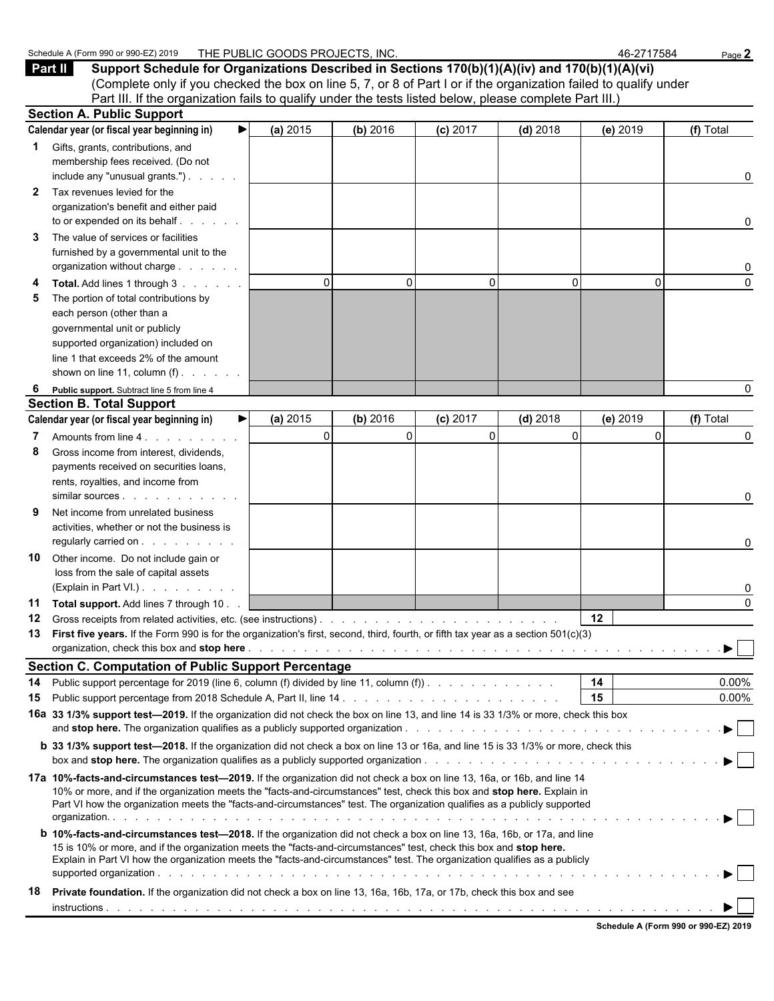|              | Schedule A (Form 990 or 990-EZ) 2019                                                                                                                                                                                                                                                                                                                                               | THE PUBLIC GOODS PROJECTS. INC. |             |                |            | 46-2717584      | Page 2                         |
|--------------|------------------------------------------------------------------------------------------------------------------------------------------------------------------------------------------------------------------------------------------------------------------------------------------------------------------------------------------------------------------------------------|---------------------------------|-------------|----------------|------------|-----------------|--------------------------------|
|              | Part II<br>Support Schedule for Organizations Described in Sections 170(b)(1)(A)(iv) and 170(b)(1)(A)(vi)<br>(Complete only if you checked the box on line 5, 7, or 8 of Part I or if the organization failed to qualify under                                                                                                                                                     |                                 |             |                |            |                 |                                |
|              | Part III. If the organization fails to qualify under the tests listed below, please complete Part III.)                                                                                                                                                                                                                                                                            |                                 |             |                |            |                 |                                |
|              | <b>Section A. Public Support</b>                                                                                                                                                                                                                                                                                                                                                   |                                 |             |                |            |                 |                                |
|              | Calendar year (or fiscal year beginning in)<br>▶                                                                                                                                                                                                                                                                                                                                   | (a) 2015                        | (b) 2016    | (c) 2017       | $(d)$ 2018 | (e) 2019        | (f) Total                      |
|              | Gifts, grants, contributions, and<br>membership fees received. (Do not<br>include any "unusual grants.")                                                                                                                                                                                                                                                                           |                                 |             |                |            |                 | 0                              |
| $\mathbf{2}$ | Tax revenues levied for the<br>organization's benefit and either paid<br>to or expended on its behalf.<br>and the con-                                                                                                                                                                                                                                                             |                                 |             |                |            |                 | 0                              |
| 3            | The value of services or facilities<br>furnished by a governmental unit to the<br>organization without charge                                                                                                                                                                                                                                                                      |                                 |             |                |            |                 | 0                              |
|              | Total. Add lines 1 through 3<br>The portion of total contributions by<br>each person (other than a<br>governmental unit or publicly<br>supported organization) included on<br>line 1 that exceeds 2% of the amount                                                                                                                                                                 | $\Omega$                        | $\Omega$    | 0              | 0          | $\Omega$        | $\Omega$                       |
|              | shown on line 11, column $(f)$ .                                                                                                                                                                                                                                                                                                                                                   |                                 |             |                |            |                 |                                |
| 6            | Public support. Subtract line 5 from line 4                                                                                                                                                                                                                                                                                                                                        |                                 |             |                |            |                 | 0                              |
|              | <b>Section B. Total Support</b>                                                                                                                                                                                                                                                                                                                                                    |                                 |             |                |            |                 |                                |
|              | Calendar year (or fiscal year beginning in)<br>▶                                                                                                                                                                                                                                                                                                                                   | (a) 2015                        | (b) 2016    | (c) 2017       | $(d)$ 2018 | (e) 2019        | (f) Total                      |
| 8            | Amounts from line 4.<br>Gross income from interest, dividends,<br>payments received on securities loans,<br>rents, royalties, and income from                                                                                                                                                                                                                                      | $\mathbf 0$                     | $\mathbf 0$ | $\overline{0}$ | 0          | $\Omega$        | 0<br>0                         |
| 9            | Net income from unrelated business<br>activities, whether or not the business is<br>regularly carried on                                                                                                                                                                                                                                                                           |                                 |             |                |            |                 | 0                              |
| 10           | Other income. Do not include gain or<br>loss from the sale of capital assets<br>(Explain in Part VI.)                                                                                                                                                                                                                                                                              |                                 |             |                |            |                 | 0                              |
| 12           | 11 Total support. Add lines 7 through 10.<br>13 First five years. If the Form 990 is for the organization's first, second, third, fourth, or fifth tax year as a section 501(c)(3)                                                                                                                                                                                                 |                                 |             |                |            | 12 <sub>2</sub> | $\Omega$<br>▶                  |
|              | <b>Section C. Computation of Public Support Percentage</b>                                                                                                                                                                                                                                                                                                                         |                                 |             |                |            |                 |                                |
| 14           | Public support percentage for 2019 (line 6, column (f) divided by line 11, column (f)).                                                                                                                                                                                                                                                                                            |                                 |             |                |            | 14              | 0.00%                          |
| 15           |                                                                                                                                                                                                                                                                                                                                                                                    |                                 |             |                |            | 15              | $0.00\%$                       |
|              | 16a 33 1/3% support test-2019. If the organization did not check the box on line 13, and line 14 is 33 1/3% or more, check this box                                                                                                                                                                                                                                                |                                 |             |                |            |                 |                                |
|              | <b>b</b> 33 1/3% support test-2018. If the organization did not check a box on line 13 or 16a, and line 15 is 33 1/3% or more, check this                                                                                                                                                                                                                                          |                                 |             |                |            |                 |                                |
|              | 17a 10%-facts-and-circumstances test—2019. If the organization did not check a box on line 13, 16a, or 16b, and line 14<br>10% or more, and if the organization meets the "facts-and-circumstances" test, check this box and stop here. Explain in<br>Part VI how the organization meets the "facts-and-circumstances" test. The organization qualifies as a publicly supported    |                                 |             |                |            |                 |                                |
|              | <b>b</b> 10%-facts-and-circumstances test-2018. If the organization did not check a box on line 13, 16a, 16b, or 17a, and line<br>15 is 10% or more, and if the organization meets the "facts-and-circumstances" test, check this box and stop here.<br>Explain in Part VI how the organization meets the "facts-and-circumstances" test. The organization qualifies as a publicly |                                 |             |                |            |                 | $\blacktriangleright$ $\vdash$ |
| 18           | Private foundation. If the organization did not check a box on line 13, 16a, 16b, 17a, or 17b, check this box and see                                                                                                                                                                                                                                                              |                                 |             |                |            |                 |                                |
|              |                                                                                                                                                                                                                                                                                                                                                                                    |                                 |             |                |            |                 |                                |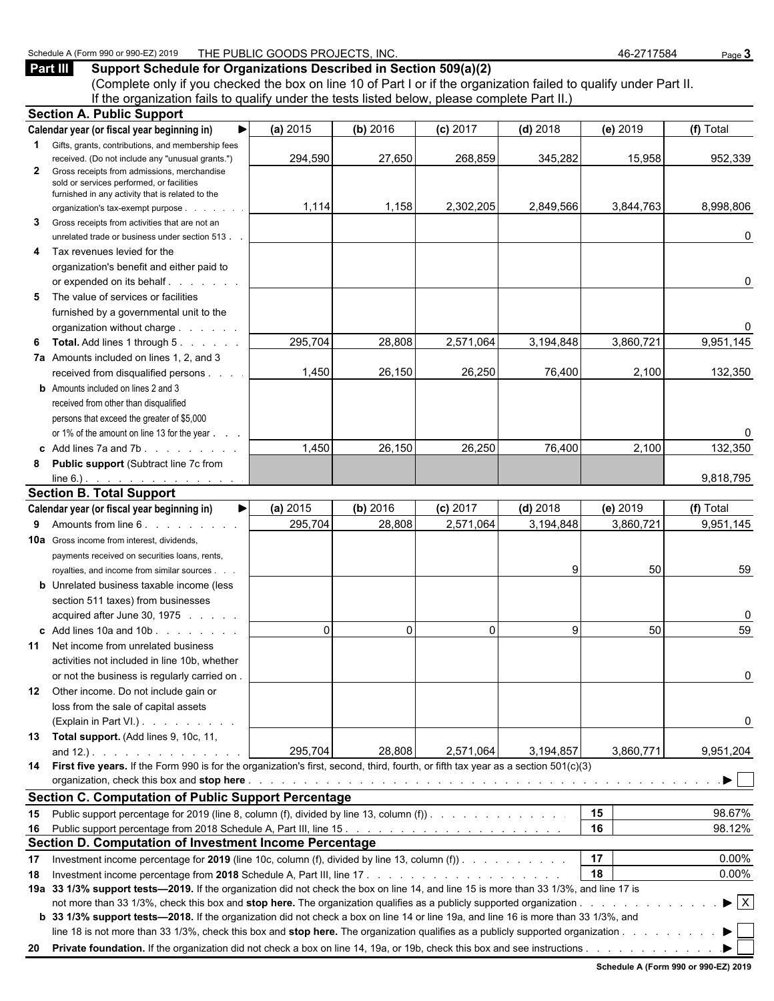#### Schedule A (Form 990 or 990-EZ) 2019 THE PUBLIC GOODS PROJECTS, INC. 46-2717584 Page 3

**Part III Support Schedule for Organizations Described in Section 509(a)(2)**

(Complete only if you checked the box on line 10 of Part I or if the organization failed to qualify under Part II. If the organization fails to qualify under the tests listed below, please complete Part II.)

|              | <b>Section A. Public Support</b>                                                                                                                                             |          |          |            |            |           |                                |
|--------------|------------------------------------------------------------------------------------------------------------------------------------------------------------------------------|----------|----------|------------|------------|-----------|--------------------------------|
|              | Calendar year (or fiscal year beginning in)                                                                                                                                  | (a) 2015 | (b) 2016 | $(c)$ 2017 | $(d)$ 2018 | (e) 2019  | (f) Total                      |
|              | <b>1</b> Gifts, grants, contributions, and membership fees                                                                                                                   |          |          |            |            |           |                                |
|              | received. (Do not include any "unusual grants.")                                                                                                                             | 294,590  | 27,650   | 268,859    | 345,282    | 15,958    | 952,339                        |
| $\mathbf{2}$ | Gross receipts from admissions, merchandise<br>sold or services performed, or facilities                                                                                     |          |          |            |            |           |                                |
|              | furnished in any activity that is related to the                                                                                                                             |          |          |            |            |           |                                |
|              | organization's tax-exempt purpose                                                                                                                                            | 1,114    | 1,158    | 2,302,205  | 2,849,566  | 3,844,763 | 8,998,806                      |
| 3            | Gross receipts from activities that are not an                                                                                                                               |          |          |            |            |           |                                |
|              | unrelated trade or business under section 513.                                                                                                                               |          |          |            |            |           | 0                              |
| 4            | Tax revenues levied for the                                                                                                                                                  |          |          |            |            |           |                                |
|              | organization's benefit and either paid to                                                                                                                                    |          |          |            |            |           |                                |
|              |                                                                                                                                                                              |          |          |            |            |           | 0                              |
| 5            | The value of services or facilities                                                                                                                                          |          |          |            |            |           |                                |
|              | furnished by a governmental unit to the                                                                                                                                      |          |          |            |            |           |                                |
|              | organization without charge                                                                                                                                                  |          |          |            |            |           | 0                              |
| 6            | <b>Total.</b> Add lines 1 through 5.                                                                                                                                         | 295,704  | 28,808   | 2,571,064  | 3,194,848  | 3,860,721 | 9,951,145                      |
|              | 7a Amounts included on lines 1, 2, and 3                                                                                                                                     |          |          |            |            |           |                                |
|              | received from disqualified persons                                                                                                                                           | 1,450    | 26,150   | 26,250     | 76,400     | 2,100     | 132,350                        |
|              | <b>b</b> Amounts included on lines 2 and 3                                                                                                                                   |          |          |            |            |           |                                |
|              | received from other than disqualified                                                                                                                                        |          |          |            |            |           |                                |
|              | persons that exceed the greater of \$5,000                                                                                                                                   |          |          |            |            |           |                                |
|              | or 1% of the amount on line 13 for the year                                                                                                                                  |          |          |            |            |           | 0                              |
|              | c Add lines $7a$ and $7b$ .                                                                                                                                                  | 1,450    | 26,150   | 26,250     | 76,400     | 2,100     | 132,350                        |
| 8            | <b>Public support (Subtract line 7c from</b>                                                                                                                                 |          |          |            |            |           |                                |
|              | line 6.) $\cdots$ $\cdots$ $\cdots$                                                                                                                                          |          |          |            |            |           | 9,818,795                      |
|              | <b>Section B. Total Support</b>                                                                                                                                              |          |          |            |            |           |                                |
|              | Calendar year (or fiscal year beginning in)<br>▶                                                                                                                             | (a) 2015 | (b) 2016 | $(c)$ 2017 | $(d)$ 2018 | (e) 2019  | (f) Total                      |
|              | 9 Amounts from line 6.                                                                                                                                                       | 295,704  | 28,808   | 2,571,064  | 3,194,848  | 3,860,721 | 9,951,145                      |
|              | <b>10a</b> Gross income from interest, dividends,                                                                                                                            |          |          |            |            |           |                                |
|              | payments received on securities loans, rents,                                                                                                                                |          |          |            |            |           |                                |
|              | royalties, and income from similar sources.                                                                                                                                  |          |          |            | 9          | 50        | 59                             |
|              | <b>b</b> Unrelated business taxable income (less                                                                                                                             |          |          |            |            |           |                                |
|              | section 511 taxes) from businesses                                                                                                                                           |          |          |            |            |           |                                |
|              | acquired after June 30, 1975                                                                                                                                                 | $\Omega$ | $\Omega$ | $\Omega$   |            |           | 0                              |
|              | c Add lines $10a$ and $10b$ . $\ldots$ $\ldots$                                                                                                                              |          |          |            | 9          | 50        | 59                             |
|              | <b>11</b> Net income from unrelated business                                                                                                                                 |          |          |            |            |           |                                |
|              | activities not included in line 10b, whether                                                                                                                                 |          |          |            |            |           |                                |
|              | or not the business is regularly carried on.                                                                                                                                 |          |          |            |            |           | 0                              |
|              | 12 Other income. Do not include gain or                                                                                                                                      |          |          |            |            |           |                                |
|              | loss from the sale of capital assets                                                                                                                                         |          |          |            |            |           |                                |
|              | (Explain in Part VI.)                                                                                                                                                        |          |          |            |            |           | 0                              |
|              | 13 Total support. (Add lines 9, 10c, 11,                                                                                                                                     |          |          |            |            |           |                                |
|              | and $12.$ ). $\qquad \qquad \qquad$<br>14 First five years. If the Form 990 is for the organization's first, second, third, fourth, or fifth tax year as a section 501(c)(3) | 295,704  | 28,808   | 2,571,064  | 3,194,857  | 3,860,771 | 9,951,204                      |
|              |                                                                                                                                                                              |          |          |            |            |           | ▶                              |
|              | <b>Section C. Computation of Public Support Percentage</b>                                                                                                                   |          |          |            |            |           |                                |
|              | 15 Public support percentage for 2019 (line 8, column (f), divided by line 13, column (f)).                                                                                  |          |          |            |            | 15        | 98.67%                         |
|              |                                                                                                                                                                              |          |          |            |            | 16        | 98.12%                         |
|              | Section D. Computation of Investment Income Percentage                                                                                                                       |          |          |            |            |           |                                |
| 17           | Investment income percentage for 2019 (line 10c, column (f), divided by line 13, column (f)).                                                                                |          |          |            |            | 17        | 0.00%                          |
| 18           |                                                                                                                                                                              |          |          |            |            | 18        | 0.00%                          |
|              | 19a 33 1/3% support tests-2019. If the organization did not check the box on line 14, and line 15 is more than 33 1/3%, and line 17 is                                       |          |          |            |            |           |                                |
|              |                                                                                                                                                                              |          |          |            |            |           | $\blacktriangleright$ $\mid$ X |
|              | b 33 1/3% support tests—2018. If the organization did not check a box on line 14 or line 19a, and line 16 is more than 33 1/3%, and                                          |          |          |            |            |           |                                |
|              | line 18 is not more than 33 1/3%, check this box and stop here. The organization qualifies as a publicly supported organization                                              |          |          |            |            |           |                                |
|              |                                                                                                                                                                              |          |          |            |            |           |                                |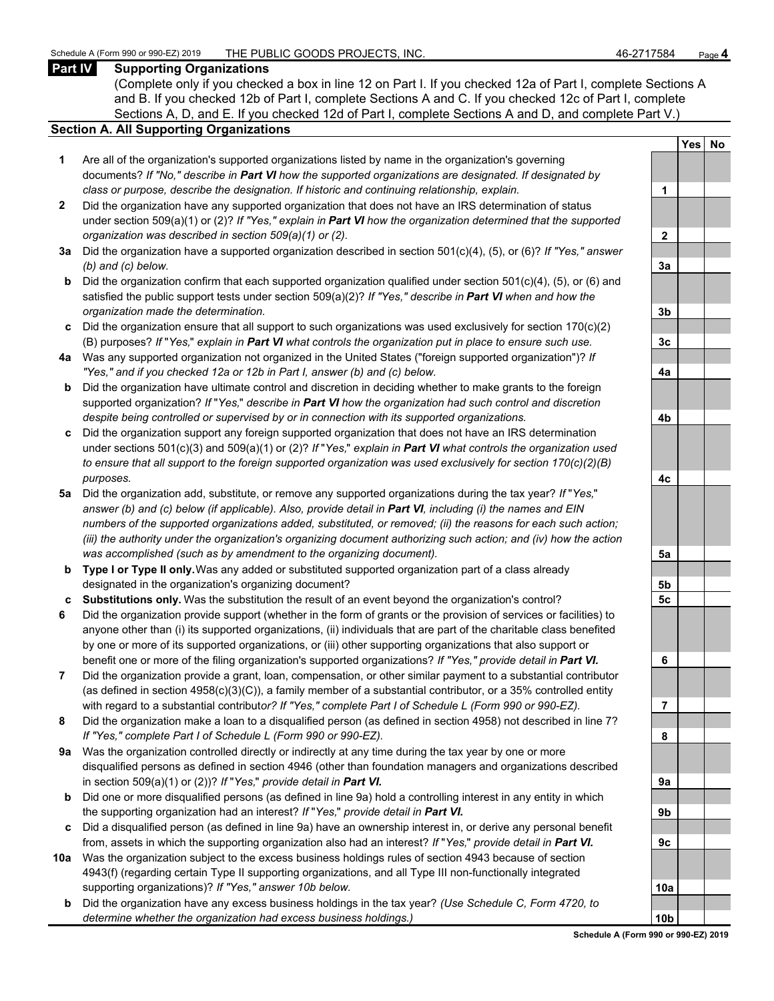#### **Part IV Supporting Organizations**

(Complete only if you checked a box in line 12 on Part I. If you checked 12a of Part I, complete Sections A and B. If you checked 12b of Part I, complete Sections A and C. If you checked 12c of Part I, complete Sections A, D, and E. If you checked 12d of Part I, complete Sections A and D, and complete Part V.)

#### **Section A. All Supporting Organizations**

- **1** Are all of the organization's supported organizations listed by name in the organization's governing documents? *If "No," describe in Part VI how the supported organizations are designated. If designated by class or purpose, describe the designation. If historic and continuing relationship, explain.* **1**
- **2** Did the organization have any supported organization that does not have an IRS determination of status under section 509(a)(1) or (2)? *If "Yes," explain in Part VI how the organization determined that the supported organization was described in section 509(a)(1) or (2).*
- **3a** Did the organization have a supported organization described in section 501(c)(4), (5), or (6)? *If "Yes," answer (b) and (c) below.* **3a**
- **b** Did the organization confirm that each supported organization qualified under section 501(c)(4), (5), or (6) and satisfied the public support tests under section 509(a)(2)? *If "Yes," describe in Part VI when and how the organization made the determination.* **3b**
- **c** Did the organization ensure that all support to such organizations was used exclusively for section 170(c)(2) (B) purposes? *If* "*Yes,*" *explain in Part VI what controls the organization put in place to ensure such use.* **3c**
- **4a** Was any supported organization not organized in the United States ("foreign supported organization")? *If "Yes," and if you checked 12a or 12b in Part I, answer (b) and (c) below.* **4a**
- **b** Did the organization have ultimate control and discretion in deciding whether to make grants to the foreign supported organization? *If* "*Yes,*" *describe in Part VI how the organization had such control and discretion despite being controlled or supervised by or in connection with its supported organizations.* **4b**
- **c** Did the organization support any foreign supported organization that does not have an IRS determination under sections 501(c)(3) and 509(a)(1) or (2)? *If* "*Yes,*" *explain in Part VI what controls the organization used to ensure that all support to the foreign supported organization was used exclusively for section 170(c)(2)(B) purposes.* **4c**
- **5a** Did the organization add, substitute, or remove any supported organizations during the tax year? *If* "*Yes,*" *answer (b) and (c) below (if applicable). Also, provide detail in Part VI, including (i) the names and EIN numbers of the supported organizations added, substituted, or removed; (ii) the reasons for each such action; (iii) the authority under the organization's organizing document authorizing such action; and (iv) how the action was accomplished (such as by amendment to the organizing document).* **5a**
- **b Type I or Type II only.** Was any added or substituted supported organization part of a class already designated in the organization's organizing document? **5b**
- **c Substitutions only.** Was the substitution the result of an event beyond the organization's control? **5c**
- **6** Did the organization provide support (whether in the form of grants or the provision of services or facilities) to anyone other than (i) its supported organizations, (ii) individuals that are part of the charitable class benefited by one or more of its supported organizations, or (iii) other supporting organizations that also support or benefit one or more of the filing organization's supported organizations? *If "Yes," provide detail in Part VI.* **6**
- **7** Did the organization provide a grant, loan, compensation, or other similar payment to a substantial contributor (as defined in section 4958(c)(3)(C)), a family member of a substantial contributor, or a 35% controlled entity with regard to a substantial contribut*or? If "Yes," complete Part I of Schedule L (Form 990 or 990-EZ).* **7**
- **8** Did the organization make a loan to a disqualified person (as defined in section 4958) not described in line 7? *If "Yes," complete Part I of Schedule L (Form 990 or 990-EZ).* **8**
- **9a** Was the organization controlled directly or indirectly at any time during the tax year by one or more disqualified persons as defined in section 4946 (other than foundation managers and organizations described in section 509(a)(1) or (2))? *If* "*Yes*," *provide detail in Part VI.*
- **b** Did one or more disqualified persons (as defined in line 9a) hold a controlling interest in any entity in which the supporting organization had an interest? *If* "*Yes,*" *provide detail in Part VI.* **9b**
- **c** Did a disqualified person (as defined in line 9a) have an ownership interest in, or derive any personal benefit from, assets in which the supporting organization also had an interest? *If* "*Yes,*" *provide detail in Part VI.* **9c**
- **10a** Was the organization subject to the excess business holdings rules of section 4943 because of section 4943(f) (regarding certain Type II supporting organizations, and all Type III non-functionally integrated supporting organizations)? If "Yes," answer 10b below.
	- **b** Did the organization have any excess business holdings in the tax year? *(Use Schedule C, Form 4720, to determine whether the organization had excess business holdings.)*

|                | Yes<br>$\overline{\phantom{a}}$ | <u>No</u> |
|----------------|---------------------------------|-----------|
|                |                                 |           |
| 1              |                                 |           |
|                |                                 |           |
| $\overline{2}$ |                                 |           |
|                |                                 |           |
| 3a             |                                 |           |
|                |                                 |           |
| 3 <sub>b</sub> |                                 |           |
|                |                                 |           |
| 3c             |                                 |           |
|                |                                 |           |
| 4a             |                                 |           |
|                |                                 |           |
| 4b             |                                 |           |
|                |                                 |           |
| 4c             |                                 |           |
|                |                                 |           |
| 5a             |                                 |           |
| 5 <sub>b</sub> |                                 |           |
| 5 <u>c</u>     |                                 |           |
|                |                                 |           |
| 6              |                                 |           |
|                |                                 |           |
| j<br>7         |                                 |           |
| 8              |                                 |           |
|                |                                 |           |
| 9а             |                                 |           |
|                |                                 |           |
| 9b             |                                 |           |
| 9с             |                                 |           |
|                |                                 |           |
| 10a            |                                 |           |
| ۱ŀ             |                                 |           |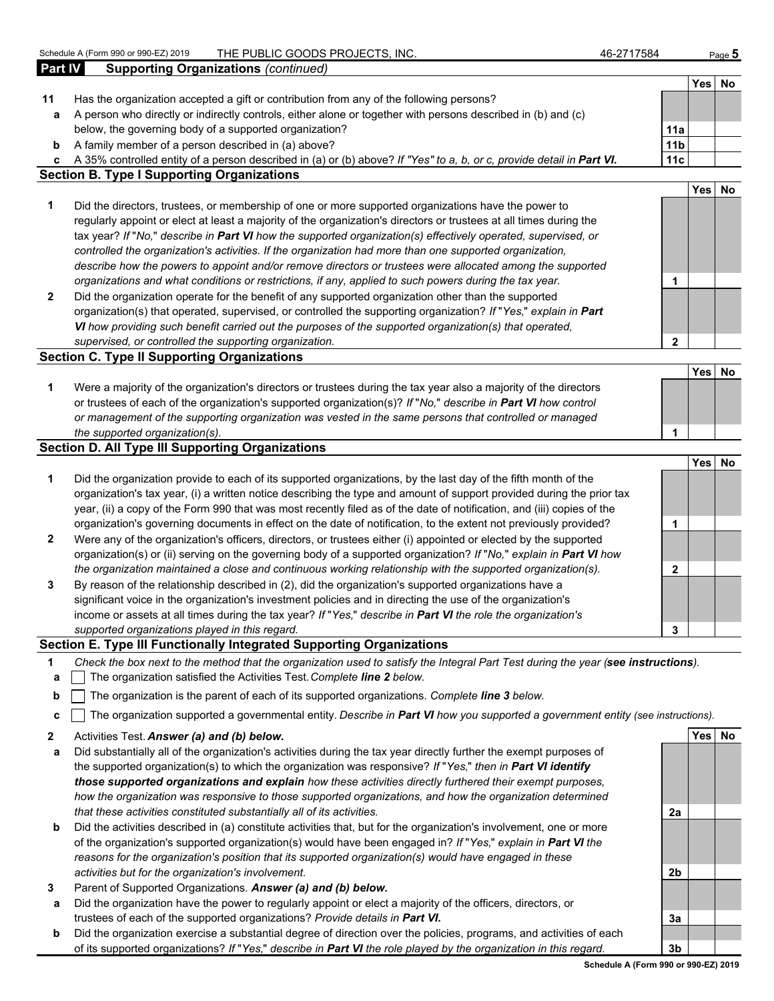**Yes No**

| 11           | Has the organization accepted a gift or contribution from any of the following persons?                                           |                 |        |    |
|--------------|-----------------------------------------------------------------------------------------------------------------------------------|-----------------|--------|----|
| a            | A person who directly or indirectly controls, either alone or together with persons described in (b) and (c)                      |                 |        |    |
|              | below, the governing body of a supported organization?                                                                            | 11a             |        |    |
| b            | A family member of a person described in (a) above?                                                                               | 11 <sub>b</sub> |        |    |
| с            | A 35% controlled entity of a person described in (a) or (b) above? If "Yes" to a, b, or c, provide detail in Part VI.             | 11c             |        |    |
|              | <b>Section B. Type I Supporting Organizations</b>                                                                                 |                 |        |    |
|              |                                                                                                                                   |                 | Yes    | No |
| 1            | Did the directors, trustees, or membership of one or more supported organizations have the power to                               |                 |        |    |
|              | regularly appoint or elect at least a majority of the organization's directors or trustees at all times during the                |                 |        |    |
|              | tax year? If "No," describe in Part VI how the supported organization(s) effectively operated, supervised, or                     |                 |        |    |
|              | controlled the organization's activities. If the organization had more than one supported organization,                           |                 |        |    |
|              | describe how the powers to appoint and/or remove directors or trustees were allocated among the supported                         |                 |        |    |
|              | organizations and what conditions or restrictions, if any, applied to such powers during the tax year.                            | 1               |        |    |
| $\mathbf{2}$ | Did the organization operate for the benefit of any supported organization other than the supported                               |                 |        |    |
|              | organization(s) that operated, supervised, or controlled the supporting organization? If "Yes," explain in Part                   |                 |        |    |
|              | VI how providing such benefit carried out the purposes of the supported organization(s) that operated,                            |                 |        |    |
|              | supervised, or controlled the supporting organization.                                                                            | $\overline{2}$  |        |    |
|              | <b>Section C. Type II Supporting Organizations</b>                                                                                |                 |        |    |
|              |                                                                                                                                   |                 | Yes    | No |
| 1            | Were a majority of the organization's directors or trustees during the tax year also a majority of the directors                  |                 |        |    |
|              | or trustees of each of the organization's supported organization(s)? If "No," describe in Part VI how control                     |                 |        |    |
|              | or management of the supporting organization was vested in the same persons that controlled or managed                            |                 |        |    |
|              | the supported organization(s).                                                                                                    | 1               |        |    |
|              | <b>Section D. All Type III Supporting Organizations</b>                                                                           |                 |        |    |
|              |                                                                                                                                   |                 | Yes    | No |
| 1            | Did the organization provide to each of its supported organizations, by the last day of the fifth month of the                    |                 |        |    |
|              | organization's tax year, (i) a written notice describing the type and amount of support provided during the prior tax             |                 |        |    |
|              | year, (ii) a copy of the Form 990 that was most recently filed as of the date of notification, and (iii) copies of the            |                 |        |    |
|              | organization's governing documents in effect on the date of notification, to the extent not previously provided?                  | 1               |        |    |
| $\mathbf{2}$ | Were any of the organization's officers, directors, or trustees either (i) appointed or elected by the supported                  |                 |        |    |
|              | organization(s) or (ii) serving on the governing body of a supported organization? If "No," explain in Part VI how                |                 |        |    |
|              | the organization maintained a close and continuous working relationship with the supported organization(s).                       | $\mathbf{2}$    |        |    |
| 3            | By reason of the relationship described in (2), did the organization's supported organizations have a                             |                 |        |    |
|              | significant voice in the organization's investment policies and in directing the use of the organization's                        |                 |        |    |
|              | income or assets at all times during the tax year? If "Yes," describe in Part VI the role the organization's                      |                 |        |    |
|              | supported organizations played in this regard.                                                                                    | 3               |        |    |
|              | Section E. Type III Functionally Integrated Supporting Organizations                                                              |                 |        |    |
|              | Check the box next to the method that the organization used to satisfy the Integral Part Test during the year (see instructions). |                 |        |    |
| а            | The organization satisfied the Activities Test. Complete line 2 below.                                                            |                 |        |    |
| b            | The organization is the parent of each of its supported organizations. Complete line 3 below.                                     |                 |        |    |
|              | The organization supported a governmental entity. Describe in Part VI how you supported a government entity (see instructions).   |                 |        |    |
| c            |                                                                                                                                   |                 |        |    |
| $\mathbf{2}$ | Activities Test. Answer (a) and (b) below.                                                                                        |                 | Yes No |    |
| a            | Did substantially all of the organization's activities during the tax year directly further the exempt purposes of                |                 |        |    |
|              | the supported organization(s) to which the organization was responsive? If "Yes," then in Part VI identify                        |                 |        |    |
|              | those supported organizations and explain how these activities directly furthered their exempt purposes,                          |                 |        |    |
|              | how the organization was responsive to those supported organizations, and how the organization determined                         |                 |        |    |
|              | that these activities constituted substantially all of its activities.                                                            | 2a              |        |    |
| b            | Did the activities described in (a) constitute activities that, but for the organization's involvement, one or more               |                 |        |    |
|              | of the organization's supported organization(s) would have been engaged in? If "Yes," explain in Part VI the                      |                 |        |    |
|              | reasons for the organization's position that its supported organization(s) would have engaged in these                            |                 |        |    |
|              | activities but for the organization's involvement.                                                                                | 2b              |        |    |
| 3            | Parent of Supported Organizations. Answer (a) and (b) below.                                                                      |                 |        |    |
| a            | Did the organization have the power to regularly appoint or elect a majority of the officers, directors, or                       |                 |        |    |
|              | trustees of each of the supported organizations? Provide details in Part VI.                                                      | За              |        |    |
| b            | Did the organization exercise a substantial degree of direction over the policies, programs, and activities of each               |                 |        |    |
|              | of its supported organizations? If "Yes," describe in Part VI the role played by the organization in this regard.                 | 3 <sub>b</sub>  |        |    |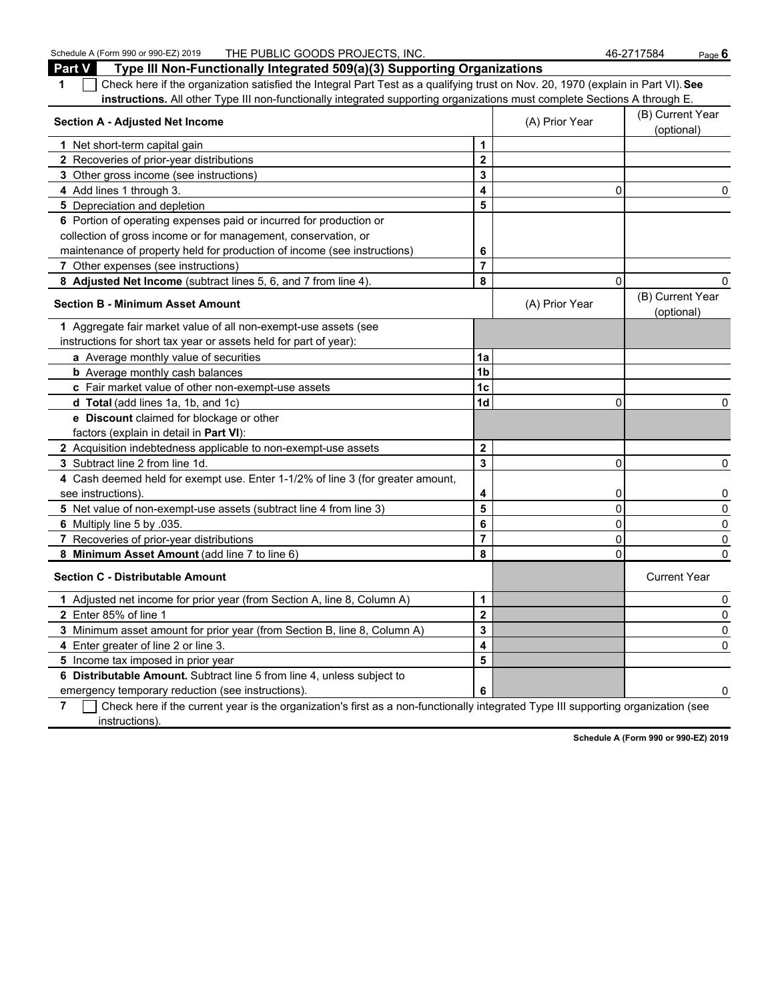Schedule A (Form 990 or 990-EZ) 2019 THE PUBLIC GOODS PROJECTS, INC. 46-2717584 Page 6 **Part V Type III Non-Functionally Integrated 509(a)(3) Supporting Organizations 1** Check here if the organization satisfied the Integral Part Test as a qualifying trust on Nov. 20, 1970 (explain in Part VI). **See instructions.** All other Type III non-functionally integrated supporting organizations must complete Sections A through E. **Section A - Adjusted Net Income** (B) Current Year (B) Current Year (B) Current Year (B) Current Year (B) Current Year (B) Current Year (B) Current Year (B) Current Year (B) Current Year (B) Current Year (B) Current Year ( (optional) **1** Net short-term capital gain **1 1 2** Recoveries of prior-year distributions **2 3** Other gross income (see instructions) **3 4** Add lines 1 through 3. **4** 0 0 **5** Depreciation and depletion **5 5 6** Portion of operating expenses paid or incurred for production or collection of gross income or for management, conservation, or maintenance of property held for production of income (see instructions) **6 7** Other expenses (see instructions) **7 8 Adjusted Net Income** (subtract lines 5, 6, and 7 from line 4). **8** 0 0 **Section B - Minimum Asset Amount Contract Amount** (A) Prior Year (B) Current Year (B) Current Year (B) Current Year (B) Current Year (B) Current Year (B) Current Year (B) Current Year (B) Current Year (B) Current Year ( (optional) **1** Aggregate fair market value of all non-exempt-use assets (see instructions for short tax year or assets held for part of year): **a** Average monthly value of securities **1a b** Average monthly cash balances **1b** Average monthly cash balances **c** Fair market value of other non-exempt-use assets **1c d Total** (add lines 1a, 1b, and 1c) **1d** 0 0 **e Discount** claimed for blockage or other factors (explain in detail in **Part VI**): **2** Acquisition indebtedness applicable to non-exempt-use assets **2 3** Subtract line 2 from line 1d. **3** 0 0 **4** Cash deemed held for exempt use. Enter 1-1/2% of line 3 (for greater amount, see instructions). **4** 0 0 **5** Net value of non-exempt-use assets (subtract line 4 from line 3) **5** 0 0 **6** Multiply line 5 by .035. **6** 0 0 **7** Recoveries of prior-year distributions **7** 0 0 **8 Minimum Asset Amount** (add line 7 to line 6) **8** 0 0 **Section C - Distributable Amount** Current Year Current Year Current Year Current Year Current Year **1** Adjusted net income for prior year (from Section A, line 8, Column A) **1** 0 **2** Enter 85% of line 1 **2** 0 **3** Minimum asset amount for prior year (from Section B, line 8, Column A) **3** 0 **4** Enter greater of line 2 or line 3. **4** 0

**6 Distributable Amount.** Subtract line 5 from line 4, unless subject to emergency temporary reduction (see instructions). **6** 0

**5** Income tax imposed in prior year **5**

**7** Check here if the current year is the organization's first as a non-functionally integrated Type III supporting organization (see instructions).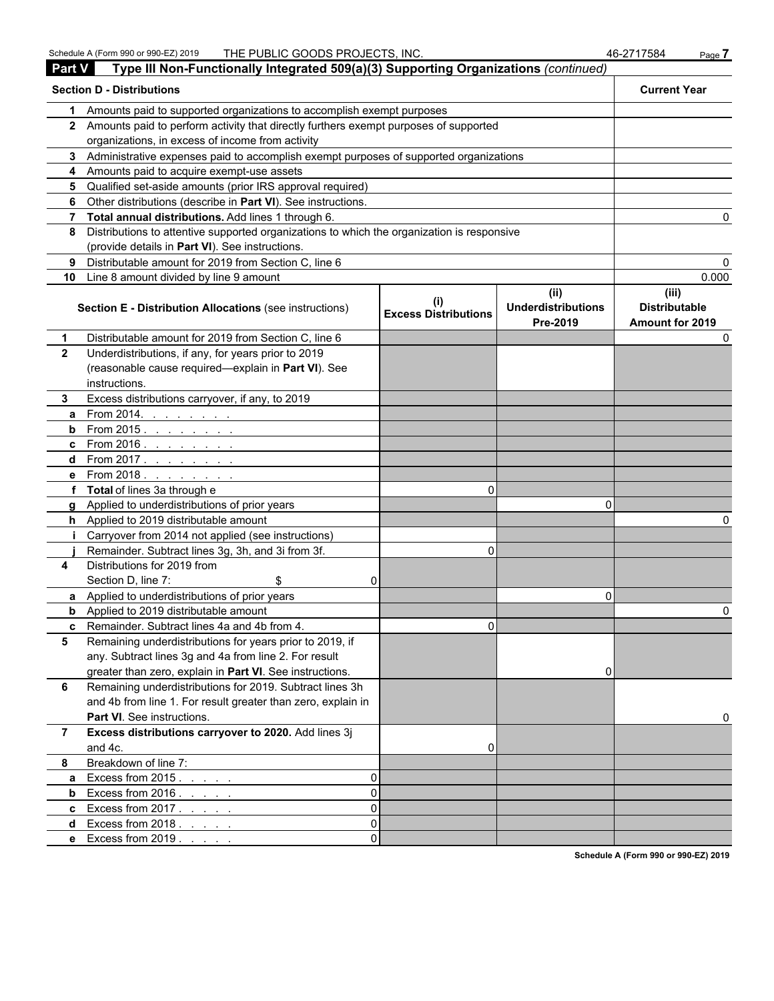| <b>Part V</b>  | Type III Non-Functionally Integrated 509(a)(3) Supporting Organizations (continued)        |                                    |                                               |                                                  |
|----------------|--------------------------------------------------------------------------------------------|------------------------------------|-----------------------------------------------|--------------------------------------------------|
|                | <b>Section D - Distributions</b>                                                           |                                    |                                               | <b>Current Year</b>                              |
| 1.             | Amounts paid to supported organizations to accomplish exempt purposes                      |                                    |                                               |                                                  |
|                | 2 Amounts paid to perform activity that directly furthers exempt purposes of supported     |                                    |                                               |                                                  |
|                | organizations, in excess of income from activity                                           |                                    |                                               |                                                  |
|                | 3 Administrative expenses paid to accomplish exempt purposes of supported organizations    |                                    |                                               |                                                  |
|                | 4 Amounts paid to acquire exempt-use assets                                                |                                    |                                               |                                                  |
|                | 5 Qualified set-aside amounts (prior IRS approval required)                                |                                    |                                               |                                                  |
|                | 6 Other distributions (describe in Part VI). See instructions.                             |                                    |                                               |                                                  |
|                | 7 Total annual distributions. Add lines 1 through 6.                                       |                                    |                                               |                                                  |
| 8              | Distributions to attentive supported organizations to which the organization is responsive |                                    |                                               |                                                  |
|                | (provide details in Part VI). See instructions.                                            |                                    |                                               |                                                  |
| 9              | Distributable amount for 2019 from Section C, line 6                                       |                                    |                                               |                                                  |
|                | 10 Line 8 amount divided by line 9 amount                                                  |                                    |                                               | 0.000                                            |
|                | <b>Section E - Distribution Allocations (see instructions)</b>                             | (i)<br><b>Excess Distributions</b> | (ii)<br><b>Underdistributions</b><br>Pre-2019 | (iii)<br><b>Distributable</b><br>Amount for 2019 |
| 1              | Distributable amount for 2019 from Section C, line 6                                       |                                    |                                               |                                                  |
| $\mathbf{2}$   | Underdistributions, if any, for years prior to 2019                                        |                                    |                                               |                                                  |
|                | (reasonable cause required-explain in Part VI). See                                        |                                    |                                               |                                                  |
|                | instructions.                                                                              |                                    |                                               |                                                  |
| 3.             | Excess distributions carryover, if any, to 2019                                            |                                    |                                               |                                                  |
| a              | From 2014.<br>and the company of the second                                                |                                    |                                               |                                                  |
| b              | From $2015.$                                                                               |                                    |                                               |                                                  |
|                | <b>c</b> From 2016.                                                                        |                                    |                                               |                                                  |
|                | <b>d</b> From 2017. <u>.</u>                                                               |                                    |                                               |                                                  |
|                | e From 2018.<br>the contract of the con-                                                   |                                    |                                               |                                                  |
|                | f Total of lines 3a through e                                                              | 0                                  |                                               |                                                  |
|                | g Applied to underdistributions of prior years                                             |                                    | O                                             |                                                  |
|                | h Applied to 2019 distributable amount                                                     |                                    |                                               |                                                  |
|                | Carryover from 2014 not applied (see instructions)                                         |                                    |                                               |                                                  |
|                | Remainder. Subtract lines 3g, 3h, and 3i from 3f.                                          | 0                                  |                                               |                                                  |
| 4              | Distributions for 2019 from                                                                |                                    |                                               |                                                  |
|                | Section D, line 7:<br>\$                                                                   |                                    |                                               |                                                  |
|                | <b>a</b> Applied to underdistributions of prior years                                      |                                    | 0                                             |                                                  |
|                | <b>b</b> Applied to 2019 distributable amount                                              |                                    |                                               | o                                                |
|                | <b>c</b> Remainder. Subtract lines 4a and 4b from 4.                                       | 0                                  |                                               |                                                  |
| 5              | Remaining underdistributions for years prior to 2019, if                                   |                                    |                                               |                                                  |
|                | any. Subtract lines 3g and 4a from line 2. For result                                      |                                    |                                               |                                                  |
|                | greater than zero, explain in Part VI. See instructions.                                   |                                    | 0                                             |                                                  |
| 6              | Remaining underdistributions for 2019. Subtract lines 3h                                   |                                    |                                               |                                                  |
|                | and 4b from line 1. For result greater than zero, explain in                               |                                    |                                               |                                                  |
|                | Part VI. See instructions.                                                                 |                                    |                                               |                                                  |
| $\overline{7}$ | Excess distributions carryover to 2020. Add lines 3j                                       |                                    |                                               |                                                  |
|                | and 4c.                                                                                    | 0                                  |                                               |                                                  |
| 8              | Breakdown of line 7:                                                                       |                                    |                                               |                                                  |
| a              | Excess from 2015.                                                                          |                                    |                                               |                                                  |
| b              | Excess from $2016.$<br>0                                                                   |                                    |                                               |                                                  |
|                | <b>c</b> Excess from 2017. $\ldots$<br>0                                                   |                                    |                                               |                                                  |
|                | <b>d</b> Excess from $2018.$<br>0                                                          |                                    |                                               |                                                  |
|                | e Excess from 2019<br>$\Omega$                                                             |                                    |                                               |                                                  |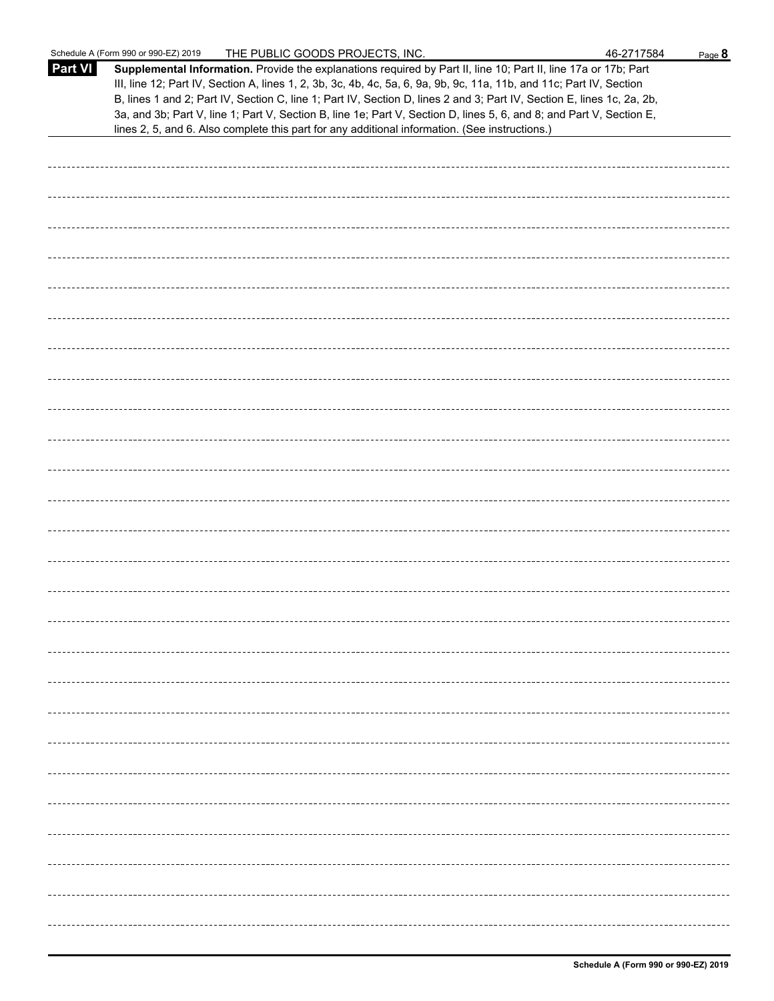|                | Schedule A (Form 990 or 990-EZ) 2019<br>THE PUBLIC GOODS PROJECTS, INC.                                                                                                                                                                                                                                                                                                                                                                                                                                                                                                                     | 46-2717584 | Page 8 |
|----------------|---------------------------------------------------------------------------------------------------------------------------------------------------------------------------------------------------------------------------------------------------------------------------------------------------------------------------------------------------------------------------------------------------------------------------------------------------------------------------------------------------------------------------------------------------------------------------------------------|------------|--------|
| <b>Part VI</b> | Supplemental Information. Provide the explanations required by Part II, line 10; Part II, line 17a or 17b; Part<br>III, line 12; Part IV, Section A, lines 1, 2, 3b, 3c, 4b, 4c, 5a, 6, 9a, 9b, 9c, 11a, 11b, and 11c; Part IV, Section<br>B, lines 1 and 2; Part IV, Section C, line 1; Part IV, Section D, lines 2 and 3; Part IV, Section E, lines 1c, 2a, 2b,<br>3a, and 3b; Part V, line 1; Part V, Section B, line 1e; Part V, Section D, lines 5, 6, and 8; and Part V, Section E,<br>lines 2, 5, and 6. Also complete this part for any additional information. (See instructions.) |            |        |
|                |                                                                                                                                                                                                                                                                                                                                                                                                                                                                                                                                                                                             |            |        |
|                |                                                                                                                                                                                                                                                                                                                                                                                                                                                                                                                                                                                             |            |        |
|                |                                                                                                                                                                                                                                                                                                                                                                                                                                                                                                                                                                                             |            |        |
|                |                                                                                                                                                                                                                                                                                                                                                                                                                                                                                                                                                                                             |            |        |
|                |                                                                                                                                                                                                                                                                                                                                                                                                                                                                                                                                                                                             |            |        |
|                |                                                                                                                                                                                                                                                                                                                                                                                                                                                                                                                                                                                             |            |        |
|                |                                                                                                                                                                                                                                                                                                                                                                                                                                                                                                                                                                                             |            |        |
|                |                                                                                                                                                                                                                                                                                                                                                                                                                                                                                                                                                                                             |            |        |
|                |                                                                                                                                                                                                                                                                                                                                                                                                                                                                                                                                                                                             |            |        |
|                |                                                                                                                                                                                                                                                                                                                                                                                                                                                                                                                                                                                             |            |        |
|                |                                                                                                                                                                                                                                                                                                                                                                                                                                                                                                                                                                                             |            |        |
|                |                                                                                                                                                                                                                                                                                                                                                                                                                                                                                                                                                                                             |            |        |
|                |                                                                                                                                                                                                                                                                                                                                                                                                                                                                                                                                                                                             |            |        |
|                |                                                                                                                                                                                                                                                                                                                                                                                                                                                                                                                                                                                             |            |        |
|                |                                                                                                                                                                                                                                                                                                                                                                                                                                                                                                                                                                                             |            |        |
|                |                                                                                                                                                                                                                                                                                                                                                                                                                                                                                                                                                                                             |            |        |
|                |                                                                                                                                                                                                                                                                                                                                                                                                                                                                                                                                                                                             |            |        |
|                |                                                                                                                                                                                                                                                                                                                                                                                                                                                                                                                                                                                             |            |        |
|                |                                                                                                                                                                                                                                                                                                                                                                                                                                                                                                                                                                                             |            |        |
|                |                                                                                                                                                                                                                                                                                                                                                                                                                                                                                                                                                                                             |            |        |
|                |                                                                                                                                                                                                                                                                                                                                                                                                                                                                                                                                                                                             |            |        |
|                |                                                                                                                                                                                                                                                                                                                                                                                                                                                                                                                                                                                             |            |        |
|                |                                                                                                                                                                                                                                                                                                                                                                                                                                                                                                                                                                                             |            |        |
|                |                                                                                                                                                                                                                                                                                                                                                                                                                                                                                                                                                                                             |            |        |
|                |                                                                                                                                                                                                                                                                                                                                                                                                                                                                                                                                                                                             |            |        |
|                |                                                                                                                                                                                                                                                                                                                                                                                                                                                                                                                                                                                             |            |        |
|                |                                                                                                                                                                                                                                                                                                                                                                                                                                                                                                                                                                                             |            |        |
|                |                                                                                                                                                                                                                                                                                                                                                                                                                                                                                                                                                                                             |            |        |
|                |                                                                                                                                                                                                                                                                                                                                                                                                                                                                                                                                                                                             |            |        |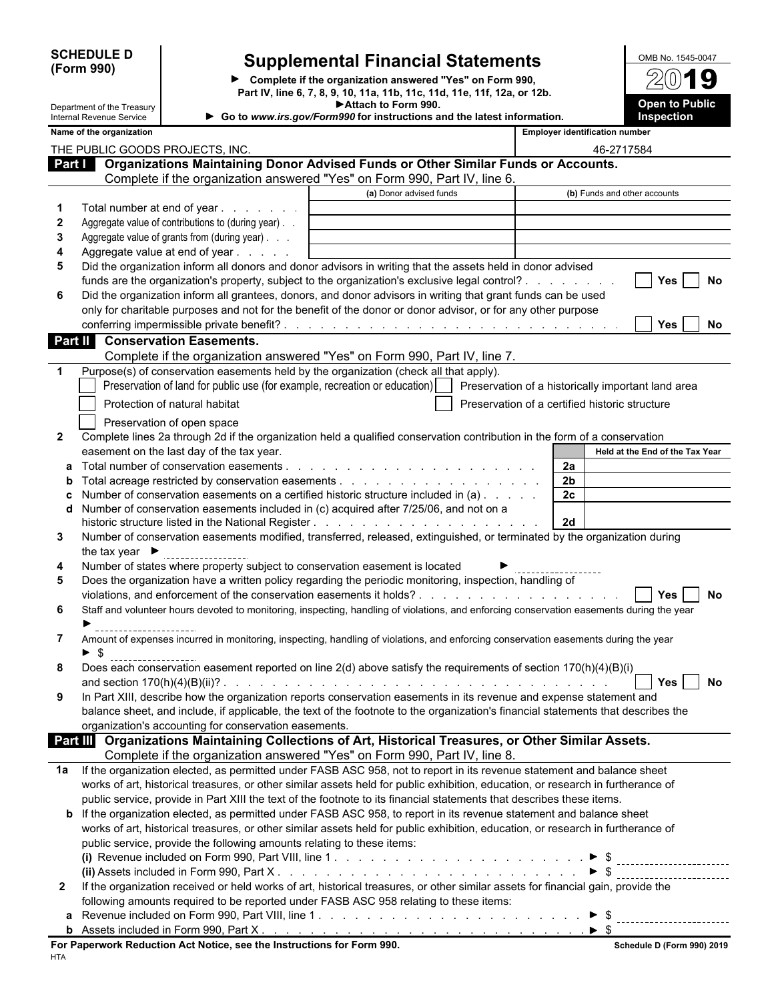| <b>SCHEDULE D</b> |  |
|-------------------|--|
| (Form 990)        |  |

**Par** 

Department of the Treasury Internal Revenue Service

# **Supplemental Financial Statements**

**Complete if the organization answered "Yes" on Form 990, Part IV, line 6, 7, 8, 9, 10, 11a, 11b, 11c, 11d, 11e, 11f, 12a, or 12b. Attach to Form 990. Go to** *www.irs.gov/Form990* **for instructions and the latest information.**

| OMB No. 1545-0047                   |
|-------------------------------------|
| $2(0)$ 19                           |
| <b>Open to Public</b><br>Inspection |

| Name of the organization        |  |
|---------------------------------|--|
| THE PUBLIC GOODS PROJECTS, INC. |  |

|              | Name of the organization                                                                                                                                                                                                            |                         |                | <b>Employer identification number</b>          |
|--------------|-------------------------------------------------------------------------------------------------------------------------------------------------------------------------------------------------------------------------------------|-------------------------|----------------|------------------------------------------------|
|              | THE PUBLIC GOODS PROJECTS, INC.                                                                                                                                                                                                     |                         |                | 46-2717584                                     |
|              | Part <b>Conservery Conserversity Conserversity</b> Operation System Conserversian and Conserversian Conserversian Conserversian Conserversian Conserversian Conserversian Conserversian Conserversian Conserversian Conserversian C |                         |                |                                                |
|              | Complete if the organization answered "Yes" on Form 990, Part IV, line 6.                                                                                                                                                           |                         |                |                                                |
|              |                                                                                                                                                                                                                                     | (a) Donor advised funds |                | (b) Funds and other accounts                   |
| 1            | Total number at end of year                                                                                                                                                                                                         |                         |                |                                                |
| $\mathbf{2}$ | Aggregate value of contributions to (during year).                                                                                                                                                                                  |                         |                |                                                |
| 3            | Aggregate value of grants from (during year)                                                                                                                                                                                        |                         |                |                                                |
| 4            | Aggregate value at end of year                                                                                                                                                                                                      |                         |                |                                                |
| 5            | Did the organization inform all donors and donor advisors in writing that the assets held in donor advised                                                                                                                          |                         |                |                                                |
|              | funds are the organization's property, subject to the organization's exclusive legal control?                                                                                                                                       |                         |                | Yes<br><b>No</b>                               |
| 6            | Did the organization inform all grantees, donors, and donor advisors in writing that grant funds can be used                                                                                                                        |                         |                |                                                |
|              | only for charitable purposes and not for the benefit of the donor or donor advisor, or for any other purpose                                                                                                                        |                         |                |                                                |
|              |                                                                                                                                                                                                                                     |                         |                | Yes<br>No                                      |
| Part II      | <b>Conservation Easements.</b>                                                                                                                                                                                                      |                         |                |                                                |
|              | Complete if the organization answered "Yes" on Form 990, Part IV, line 7.                                                                                                                                                           |                         |                |                                                |
|              | Purpose(s) of conservation easements held by the organization (check all that apply).                                                                                                                                               |                         |                |                                                |
|              | Preservation of land for public use (for example, recreation or education)     Preservation of a historically important land area                                                                                                   |                         |                |                                                |
|              | Protection of natural habitat                                                                                                                                                                                                       |                         |                | Preservation of a certified historic structure |
|              | Preservation of open space                                                                                                                                                                                                          |                         |                |                                                |
| $\mathbf{2}$ | Complete lines 2a through 2d if the organization held a qualified conservation contribution in the form of a conservation                                                                                                           |                         |                |                                                |
|              | easement on the last day of the tax year.                                                                                                                                                                                           |                         |                | Held at the End of the Tax Year                |
|              |                                                                                                                                                                                                                                     |                         | 2a             |                                                |
| $\mathbf{p}$ |                                                                                                                                                                                                                                     |                         | 2 <sub>b</sub> |                                                |
|              | Number of conservation easements on a certified historic structure included in (a)                                                                                                                                                  |                         | 2c             |                                                |
|              | Number of conservation easements included in (c) acquired after 7/25/06, and not on a                                                                                                                                               |                         |                |                                                |
|              |                                                                                                                                                                                                                                     |                         | 2d             |                                                |
| 3            | Number of conservation easements modified, transferred, released, extinguished, or terminated by the organization during                                                                                                            |                         |                |                                                |
|              | the tax year $\blacktriangleright$                                                                                                                                                                                                  |                         |                |                                                |
| 4            | Number of states where property subject to conservation easement is located                                                                                                                                                         |                         |                |                                                |
| 5            | Does the organization have a written policy regarding the periodic monitoring, inspection, handling of                                                                                                                              |                         |                |                                                |
|              |                                                                                                                                                                                                                                     |                         |                | Yes<br><b>No</b>                               |
| 6            | Staff and volunteer hours devoted to monitoring, inspecting, handling of violations, and enforcing conservation easements during the year                                                                                           |                         |                |                                                |
|              |                                                                                                                                                                                                                                     |                         |                |                                                |
| 7            | Amount of expenses incurred in monitoring, inspecting, handling of violations, and enforcing conservation easements during the year                                                                                                 |                         |                |                                                |
|              |                                                                                                                                                                                                                                     |                         |                |                                                |
| 8            | Does each conservation easement reported on line 2(d) above satisfy the requirements of section 170(h)(4)(B)(i)                                                                                                                     |                         |                |                                                |
|              |                                                                                                                                                                                                                                     |                         |                | Yes<br>No                                      |
|              | In Part XIII, describe how the organization reports conservation easements in its revenue and expense statement and                                                                                                                 |                         |                |                                                |
|              | balance sheet, and include, if applicable, the text of the footnote to the organization's financial statements that describes the                                                                                                   |                         |                |                                                |
|              | organization's accounting for conservation easements.                                                                                                                                                                               |                         |                |                                                |
|              | Part III Organizations Maintaining Collections of Art, Historical Treasures, or Other Similar Assets.                                                                                                                               |                         |                |                                                |
|              | Complete if the organization answered "Yes" on Form 990, Part IV, line 8.                                                                                                                                                           |                         |                |                                                |
| 1а           | If the organization elected, as permitted under FASB ASC 958, not to report in its revenue statement and balance sheet                                                                                                              |                         |                |                                                |
|              | works of art, historical treasures, or other similar assets held for public exhibition, education, or research in furtherance of                                                                                                    |                         |                |                                                |
|              | public service, provide in Part XIII the text of the footnote to its financial statements that describes these items.                                                                                                               |                         |                |                                                |
|              | <b>b</b> If the organization elected, as permitted under FASB ASC 958, to report in its revenue statement and balance sheet                                                                                                         |                         |                |                                                |
|              | works of art, historical treasures, or other similar assets held for public exhibition, education, or research in furtherance of                                                                                                    |                         |                |                                                |
|              | public service, provide the following amounts relating to these items:                                                                                                                                                              |                         |                |                                                |
|              |                                                                                                                                                                                                                                     |                         |                |                                                |
|              |                                                                                                                                                                                                                                     |                         |                |                                                |
| $\mathbf{2}$ | If the organization received or held works of art, historical treasures, or other similar assets for financial gain, provide the                                                                                                    |                         |                |                                                |
|              | following amounts required to be reported under FASB ASC 958 relating to these items:                                                                                                                                               |                         |                |                                                |
|              |                                                                                                                                                                                                                                     |                         |                |                                                |

| included in Form 990.<br>Part<br>Assets                                |                            |
|------------------------------------------------------------------------|----------------------------|
| For Paperwork Reduction Act Notice, see the Instructions for Form 990. | Schedule D (Form 990) 2019 |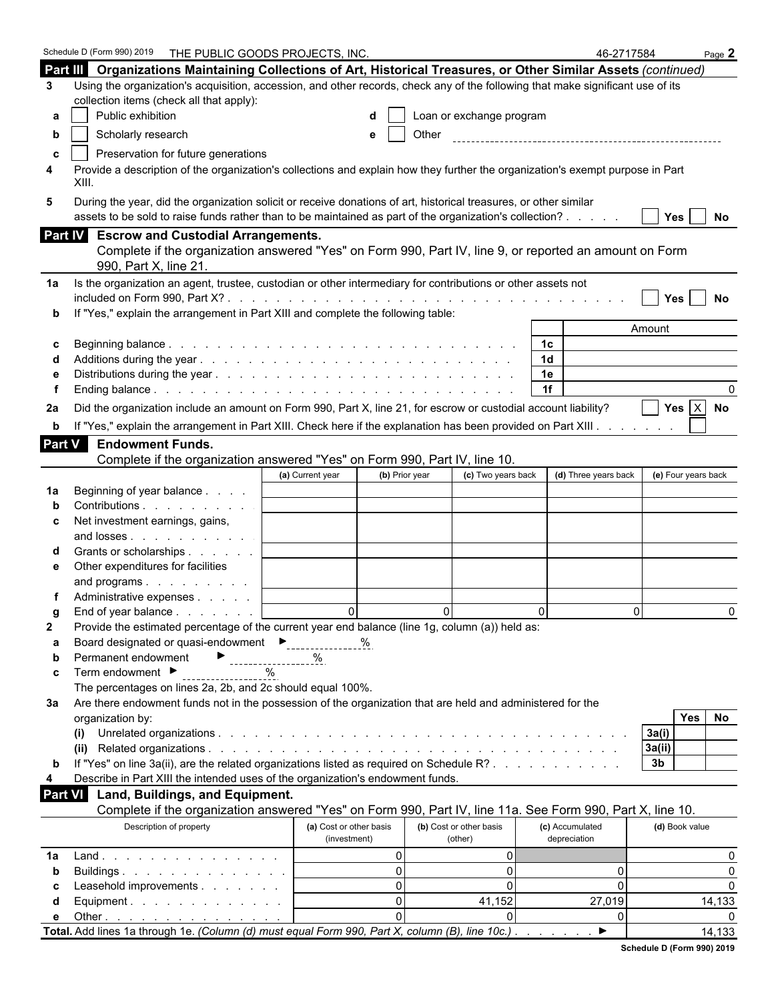|               | Schedule D (Form 990) 2019    THE PUBLIC GOODS PROJECTS, INC.                                                                                                            |                         |                                        |                | 46-2717584           |                     | Page $2$             |
|---------------|--------------------------------------------------------------------------------------------------------------------------------------------------------------------------|-------------------------|----------------------------------------|----------------|----------------------|---------------------|----------------------|
|               | Part III Organizations Maintaining Collections of Art, Historical Treasures, or Other Similar Assets (continued)                                                         |                         |                                        |                |                      |                     |                      |
| 3             | Using the organization's acquisition, accession, and other records, check any of the following that make significant use of its                                          |                         |                                        |                |                      |                     |                      |
|               | collection items (check all that apply):                                                                                                                                 |                         |                                        |                |                      |                     |                      |
| а             | Public exhibition                                                                                                                                                        |                         | Loan or exchange program               |                |                      |                     |                      |
| b             | Scholarly research                                                                                                                                                       | е                       | Other                                  |                |                      |                     |                      |
| c             | Preservation for future generations                                                                                                                                      |                         |                                        |                |                      |                     |                      |
| 4             | Provide a description of the organization's collections and explain how they further the organization's exempt purpose in Part                                           |                         |                                        |                |                      |                     |                      |
|               | XIII.                                                                                                                                                                    |                         |                                        |                |                      |                     |                      |
| 5             | During the year, did the organization solicit or receive donations of art, historical treasures, or other similar                                                        |                         |                                        |                |                      |                     |                      |
|               | assets to be sold to raise funds rather than to be maintained as part of the organization's collection?                                                                  |                         |                                        |                |                      | <b>Yes</b>          | No                   |
|               | Part IV Escrow and Custodial Arrangements.                                                                                                                               |                         |                                        |                |                      |                     |                      |
|               | Complete if the organization answered "Yes" on Form 990, Part IV, line 9, or reported an amount on Form                                                                  |                         |                                        |                |                      |                     |                      |
|               | 990, Part X, line 21.                                                                                                                                                    |                         |                                        |                |                      |                     |                      |
| 1a            | Is the organization an agent, trustee, custodian or other intermediary for contributions or other assets not                                                             |                         |                                        |                |                      |                     |                      |
|               |                                                                                                                                                                          |                         |                                        |                |                      | Yes                 | No                   |
|               | If "Yes," explain the arrangement in Part XIII and complete the following table:                                                                                         |                         |                                        |                |                      |                     |                      |
|               |                                                                                                                                                                          |                         |                                        |                |                      | Amount              |                      |
| С             |                                                                                                                                                                          |                         |                                        | 1 <sup>c</sup> |                      |                     |                      |
|               |                                                                                                                                                                          |                         |                                        | 1 <sub>d</sub> |                      |                     |                      |
|               |                                                                                                                                                                          |                         |                                        | 1e             |                      |                     |                      |
|               |                                                                                                                                                                          |                         |                                        | 1f             |                      |                     |                      |
| 2a            | Did the organization include an amount on Form 990, Part X, line 21, for escrow or custodial account liability?                                                          |                         |                                        |                |                      |                     | Yes $X$ No           |
| b             | If "Yes," explain the arrangement in Part XIII. Check here if the explanation has been provided on Part XIII.                                                            |                         |                                        |                |                      |                     |                      |
| <b>Part V</b> | <b>Endowment Funds.</b>                                                                                                                                                  |                         |                                        |                |                      |                     |                      |
|               | Complete if the organization answered "Yes" on Form 990, Part IV, line 10.                                                                                               |                         |                                        |                |                      |                     |                      |
|               |                                                                                                                                                                          | (a) Current year        | (b) Prior year<br>(c) Two years back   |                | (d) Three years back | (e) Four years back |                      |
| 1a            | Beginning of year balance                                                                                                                                                |                         |                                        |                |                      |                     |                      |
|               | Contributions                                                                                                                                                            |                         |                                        |                |                      |                     |                      |
| c             | Net investment earnings, gains,                                                                                                                                          |                         |                                        |                |                      |                     |                      |
|               | and losses                                                                                                                                                               |                         |                                        |                |                      |                     |                      |
|               | Grants or scholarships                                                                                                                                                   |                         |                                        |                |                      |                     |                      |
| е             | Other expenditures for facilities                                                                                                                                        |                         |                                        |                |                      |                     |                      |
|               | and programs                                                                                                                                                             |                         |                                        |                |                      |                     |                      |
|               | Administrative expenses                                                                                                                                                  |                         |                                        |                |                      |                     |                      |
| g             | End of year balance                                                                                                                                                      | $\Omega$                | $\Omega$                               | $\Omega$       | $\Omega$             |                     | $\Omega$             |
| 2             | Provide the estimated percentage of the current year end balance (line 1g, column (a)) held as:                                                                          |                         |                                        |                |                      |                     |                      |
| а             | Board designated or quasi-endowment<br>Figures 2011                                                                                                                      | %                       |                                        |                |                      |                     |                      |
| b             | Permanent endowment<br>------------------                                                                                                                                | %                       |                                        |                |                      |                     |                      |
| c             | Term endowment ▶<br>$\%$                                                                                                                                                 |                         |                                        |                |                      |                     |                      |
|               | The percentages on lines 2a, 2b, and 2c should equal 100%.                                                                                                               |                         |                                        |                |                      |                     |                      |
| За            | Are there endowment funds not in the possession of the organization that are held and administered for the                                                               |                         |                                        |                |                      |                     |                      |
|               | organization by:                                                                                                                                                         |                         |                                        |                |                      | <b>Yes</b>          | No                   |
|               | (i)                                                                                                                                                                      |                         |                                        |                |                      | 3a(i)               |                      |
|               |                                                                                                                                                                          |                         |                                        |                |                      | 3a(ii)              |                      |
| b             | If "Yes" on line 3a(ii), are the related organizations listed as required on Schedule R?                                                                                 |                         |                                        |                |                      | 3 <sub>b</sub>      |                      |
| 4             | Describe in Part XIII the intended uses of the organization's endowment funds.                                                                                           |                         |                                        |                |                      |                     |                      |
| Part VI       | Land, Buildings, and Equipment.                                                                                                                                          |                         |                                        |                |                      |                     |                      |
|               | Complete if the organization answered "Yes" on Form 990, Part IV, line 11a. See Form 990, Part X, line 10.                                                               |                         |                                        |                |                      |                     |                      |
|               | Description of property                                                                                                                                                  | (a) Cost or other basis | (b) Cost or other basis                |                | (c) Accumulated      | (d) Book value      |                      |
|               |                                                                                                                                                                          | (investment)            | (other)                                |                | depreciation         |                     |                      |
| 1a            | Land.                                                                                                                                                                    |                         | $\Omega$<br>0<br>$\Omega$              |                |                      |                     | 0                    |
| b             | Buildings                                                                                                                                                                |                         | $\overline{0}$<br>$\Omega$<br>$\Omega$ |                | 0<br>0               |                     | $\Omega$<br>$\Omega$ |
| С             | Leasehold improvements                                                                                                                                                   |                         | $\Omega$<br>41,152                     |                | 27,019               |                     | 14,133               |
| d             | Equipment.                                                                                                                                                               |                         | $\Omega$<br>$\Omega$                   |                | 0                    |                     |                      |
| е             | Other $\ldots$ $\ldots$ $\ldots$ $\ldots$ $\ldots$ $\ldots$ $\ldots$<br>Total. Add lines 1a through 1e. (Column (d) must equal Form 990, Part X, column (B), line 10c.). |                         |                                        |                | ▶                    |                     | 14,133               |
|               |                                                                                                                                                                          |                         |                                        |                |                      |                     |                      |

| Schedule D (Form 990) 2019 |  |  |
|----------------------------|--|--|
|                            |  |  |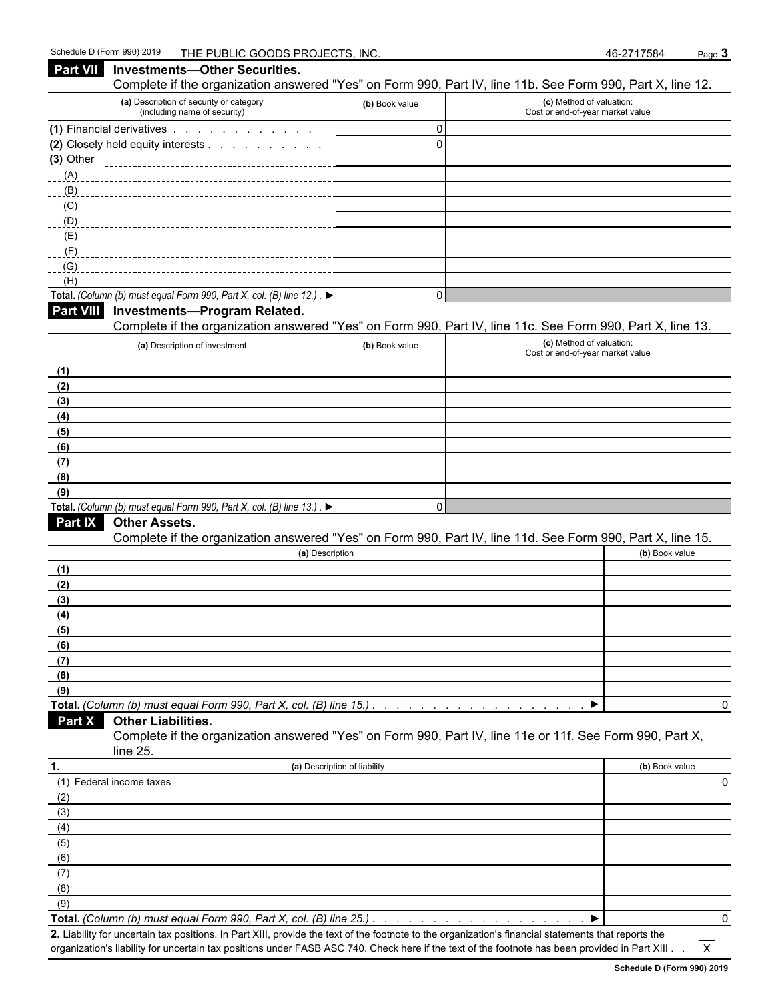| Part VII         | <b>Investments-Other Securities.</b>                                                      |                              |                                                                                                            |   |
|------------------|-------------------------------------------------------------------------------------------|------------------------------|------------------------------------------------------------------------------------------------------------|---|
|                  |                                                                                           |                              | Complete if the organization answered "Yes" on Form 990, Part IV, line 11b. See Form 990, Part X, line 12. |   |
|                  | (a) Description of security or category<br>(including name of security)                   | (b) Book value               | (c) Method of valuation:<br>Cost or end-of-year market value                                               |   |
|                  | (1) Financial derivatives                                                                 | $\mathbf 0$                  |                                                                                                            |   |
|                  | (2) Closely held equity interests                                                         | $\Omega$                     |                                                                                                            |   |
| $(3)$ Other      |                                                                                           |                              |                                                                                                            |   |
| (A)              |                                                                                           |                              |                                                                                                            |   |
| (B)              |                                                                                           |                              |                                                                                                            |   |
| (C)              |                                                                                           |                              |                                                                                                            |   |
| (D)              |                                                                                           |                              |                                                                                                            |   |
| (E)              |                                                                                           |                              |                                                                                                            |   |
| (F)<br>(G)       |                                                                                           |                              |                                                                                                            |   |
| (H)              |                                                                                           |                              |                                                                                                            |   |
|                  | Total. (Column (b) must equal Form 990, Part X, col. (B) line 12.). $\blacktriangleright$ | $\mathbf 0$                  |                                                                                                            |   |
| <b>Part VIII</b> | Investments-Program Related.                                                              |                              | Complete if the organization answered "Yes" on Form 990, Part IV, line 11c. See Form 990, Part X, line 13. |   |
|                  | (a) Description of investment                                                             | (b) Book value               | (c) Method of valuation:                                                                                   |   |
|                  |                                                                                           |                              | Cost or end-of-year market value                                                                           |   |
| (1)              |                                                                                           |                              |                                                                                                            |   |
| (2)              |                                                                                           |                              |                                                                                                            |   |
| (3)              |                                                                                           |                              |                                                                                                            |   |
| (4)              |                                                                                           |                              |                                                                                                            |   |
| (5)              |                                                                                           |                              |                                                                                                            |   |
| (6)              |                                                                                           |                              |                                                                                                            |   |
| (7)              |                                                                                           |                              |                                                                                                            |   |
| (8)              |                                                                                           |                              |                                                                                                            |   |
| (9)              | Total. (Column (b) must equal Form 990, Part X, col. (B) line 13.). $\blacktriangleright$ | $\Omega$                     |                                                                                                            |   |
| <b>Part IX</b>   | <b>Other Assets.</b>                                                                      |                              |                                                                                                            |   |
|                  |                                                                                           |                              | Complete if the organization answered "Yes" on Form 990, Part IV, line 11d. See Form 990, Part X, line 15. |   |
|                  | (a) Description                                                                           |                              | (b) Book value                                                                                             |   |
| (1)              |                                                                                           |                              |                                                                                                            |   |
| (2)              |                                                                                           |                              |                                                                                                            |   |
| (3)              |                                                                                           |                              |                                                                                                            |   |
| (4)              |                                                                                           |                              |                                                                                                            |   |
| (5)              |                                                                                           |                              |                                                                                                            |   |
| (6)              |                                                                                           |                              |                                                                                                            |   |
| (7)              |                                                                                           |                              |                                                                                                            |   |
| (8)              |                                                                                           |                              |                                                                                                            |   |
| (9)              |                                                                                           |                              |                                                                                                            |   |
|                  | Total. (Column (b) must equal Form 990, Part X, col. (B) line 15.)                        |                              |                                                                                                            | 0 |
| <b>Part X</b>    | <b>Other Liabilities.</b>                                                                 |                              |                                                                                                            |   |
|                  | line 25.                                                                                  |                              | Complete if the organization answered "Yes" on Form 990, Part IV, line 11e or 11f. See Form 990, Part X,   |   |
| 1.               |                                                                                           | (a) Description of liability | (b) Book value                                                                                             |   |
|                  | (1) Federal income taxes                                                                  |                              |                                                                                                            | 0 |
| (2)              |                                                                                           |                              |                                                                                                            |   |
| (3)              |                                                                                           |                              |                                                                                                            |   |
| (4)              |                                                                                           |                              |                                                                                                            |   |
| (5)              |                                                                                           |                              |                                                                                                            |   |
| (6)              |                                                                                           |                              |                                                                                                            |   |
| (7)              |                                                                                           |                              |                                                                                                            |   |
| (8)              |                                                                                           |                              |                                                                                                            |   |
| (9)              |                                                                                           |                              |                                                                                                            |   |
|                  |                                                                                           |                              |                                                                                                            |   |

**Total.** *(Column (b) must equal Form 990, Part X, col. (B) line 25.) . . . . . . . . . . . . . . . . . . . . . . . . . . . . . . . . . . . . . . . . . . . . .* 0

**2.** Liability for uncertain tax positions. In Part XIII, provide the text of the footnote to the organization's financial statements that reports the organization's liability for uncertain tax positions under FASB ASC 740. Check here if the text of the footnote has been provided in Part XIII .  $\mathsf{X}$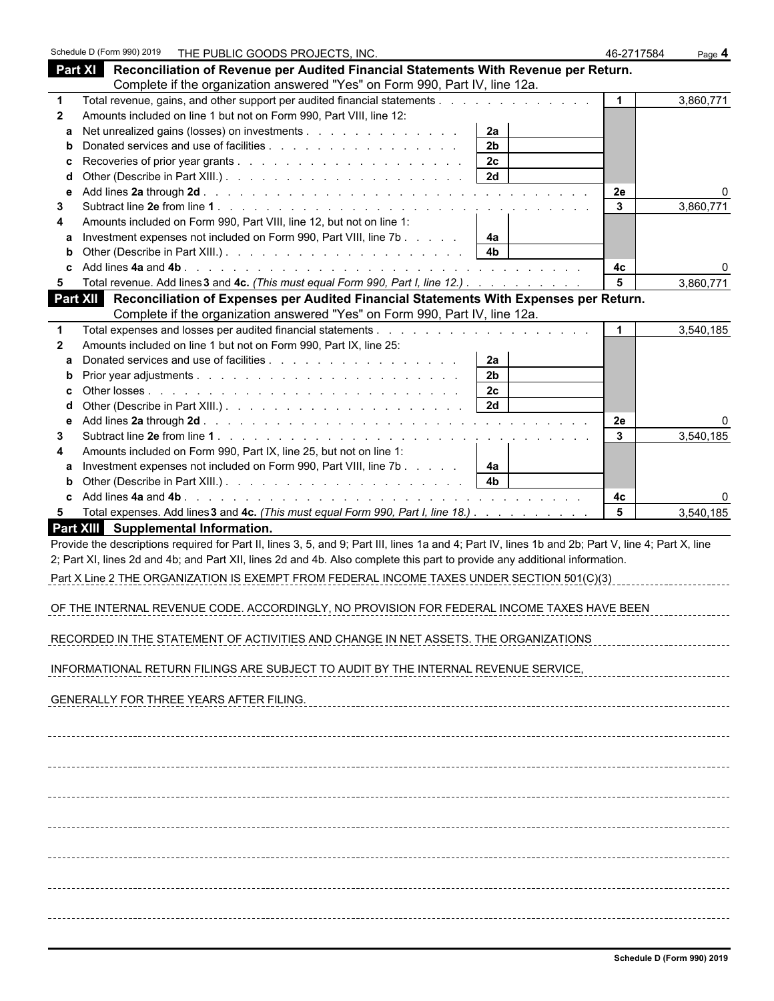|                   | Schedule D (Form 990) 2019<br>THE PUBLIC GOODS PROJECTS, INC.                                                                                                                    | 46-2717584     | Page 4    |
|-------------------|----------------------------------------------------------------------------------------------------------------------------------------------------------------------------------|----------------|-----------|
|                   | Part XI Reconciliation of Revenue per Audited Financial Statements With Revenue per Return.                                                                                      |                |           |
|                   | Complete if the organization answered "Yes" on Form 990, Part IV, line 12a.                                                                                                      |                |           |
| $\mathbf 1$       | Total revenue, gains, and other support per audited financial statements                                                                                                         | $\mathbf{1}$   | 3,860,771 |
| $\mathbf{2}$      | Amounts included on line 1 but not on Form 990, Part VIII, line 12:                                                                                                              |                |           |
| a                 | Net unrealized gains (losses) on investments<br>2a                                                                                                                               |                |           |
| b                 | 2 <sub>b</sub>                                                                                                                                                                   |                |           |
| c                 | 2c                                                                                                                                                                               |                |           |
| d                 | 2d                                                                                                                                                                               |                |           |
| е                 |                                                                                                                                                                                  | 2e             |           |
| 3                 |                                                                                                                                                                                  | 3              | 3,860,771 |
| 4                 | Amounts included on Form 990, Part VIII, line 12, but not on line 1:                                                                                                             |                |           |
| a                 | Investment expenses not included on Form 990, Part VIII, line 7b<br>4a                                                                                                           |                |           |
| b                 | 4 <sub>b</sub>                                                                                                                                                                   |                |           |
|                   |                                                                                                                                                                                  | 4 <sub>c</sub> |           |
| 5                 | Total revenue. Add lines 3 and 4c. (This must equal Form 990, Part I, line 12.)                                                                                                  | 5              | 3,860,771 |
|                   | Part XII<br>Reconciliation of Expenses per Audited Financial Statements With Expenses per Return.<br>Complete if the organization answered "Yes" on Form 990, Part IV, line 12a. |                |           |
|                   |                                                                                                                                                                                  |                | 3,540,185 |
| 1<br>$\mathbf{2}$ | Amounts included on line 1 but not on Form 990, Part IX, line 25:                                                                                                                |                |           |
|                   | 2a                                                                                                                                                                               |                |           |
| b                 | 2 <sub>b</sub>                                                                                                                                                                   |                |           |
| С                 | 2c                                                                                                                                                                               |                |           |
| d                 | 2d                                                                                                                                                                               |                |           |
| е                 |                                                                                                                                                                                  | 2e             |           |
| 3                 |                                                                                                                                                                                  | 3              | 3,540,185 |
|                   | Amounts included on Form 990, Part IX, line 25, but not on line 1:                                                                                                               |                |           |
|                   | Investment expenses not included on Form 990, Part VIII, line 7b<br>4а                                                                                                           |                |           |
|                   | 4 <sub>b</sub>                                                                                                                                                                   |                |           |
|                   | Add lines 4a and 4b.                                                                                                                                                             | 4с             |           |
| 5.                | Total expenses. Add lines 3 and 4c. (This must equal Form 990, Part I, line 18.)                                                                                                 | 5              | 3,540,185 |
|                   | Part XIII Supplemental Information.                                                                                                                                              |                |           |
|                   | Provide the descriptions required for Part II, lines 3, 5, and 9; Part III, lines 1a and 4; Part IV, lines 1b and 2b; Part V, line 4; Part X, line                               |                |           |
|                   | 2; Part XI, lines 2d and 4b; and Part XII, lines 2d and 4b. Also complete this part to provide any additional information.                                                       |                |           |
|                   | Part X Line 2 THE ORGANIZATION IS EXEMPT FROM FEDERAL INCOME TAXES UNDER SECTION 501(C)(3)                                                                                       |                |           |
|                   |                                                                                                                                                                                  |                |           |
|                   | OF THE INTERNAL REVENUE CODE. ACCORDINGLY, NO PROVISION FOR FEDERAL INCOME TAXES HAVE BEEN                                                                                       |                |           |
|                   |                                                                                                                                                                                  |                |           |
|                   | RECORDED IN THE STATEMENT OF ACTIVITIES AND CHANGE IN NET ASSETS. THE ORGANIZATIONS                                                                                              |                |           |
|                   |                                                                                                                                                                                  |                |           |
|                   | INFORMATIONAL RETURN FILINGS ARE SUBJECT TO AUDIT BY THE INTERNAL REVENUE SERVICE,                                                                                               |                |           |
|                   |                                                                                                                                                                                  |                |           |
|                   | GENERALLY FOR THREE YEARS AFTER FILING.                                                                                                                                          |                |           |
|                   |                                                                                                                                                                                  |                |           |
|                   |                                                                                                                                                                                  |                |           |
|                   |                                                                                                                                                                                  |                |           |
|                   |                                                                                                                                                                                  |                |           |
|                   |                                                                                                                                                                                  |                |           |
|                   |                                                                                                                                                                                  |                |           |
|                   |                                                                                                                                                                                  |                |           |
|                   |                                                                                                                                                                                  |                |           |
|                   |                                                                                                                                                                                  |                |           |
|                   |                                                                                                                                                                                  |                |           |
|                   |                                                                                                                                                                                  |                |           |
|                   |                                                                                                                                                                                  |                |           |
|                   |                                                                                                                                                                                  |                |           |
|                   |                                                                                                                                                                                  |                |           |
|                   |                                                                                                                                                                                  |                |           |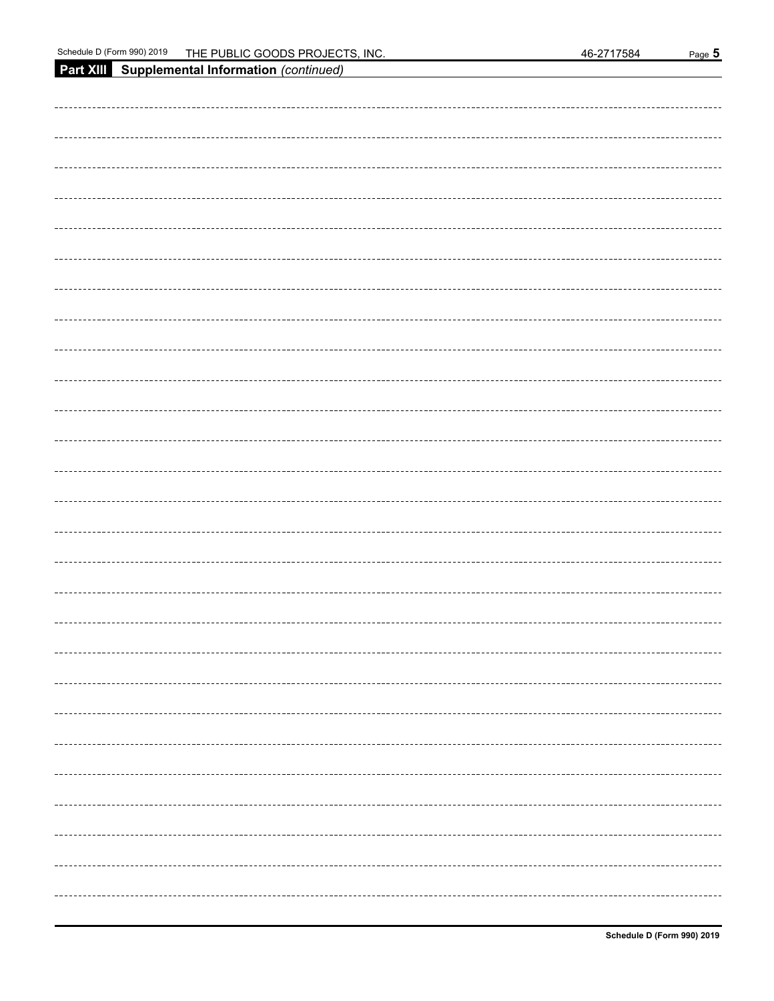| Part XIII Supplemental Information (continued) |
|------------------------------------------------|
|                                                |
|                                                |
|                                                |
|                                                |
|                                                |
|                                                |
|                                                |
|                                                |
|                                                |
|                                                |
|                                                |
|                                                |
|                                                |
|                                                |
|                                                |
|                                                |
|                                                |
|                                                |
|                                                |
|                                                |
|                                                |
|                                                |
|                                                |
|                                                |
|                                                |
|                                                |
|                                                |
|                                                |
|                                                |
|                                                |
|                                                |
|                                                |
|                                                |
|                                                |
|                                                |
|                                                |
|                                                |
|                                                |
|                                                |
|                                                |
|                                                |
|                                                |
|                                                |
|                                                |
|                                                |
|                                                |
|                                                |
|                                                |
|                                                |
|                                                |
|                                                |
|                                                |
|                                                |
|                                                |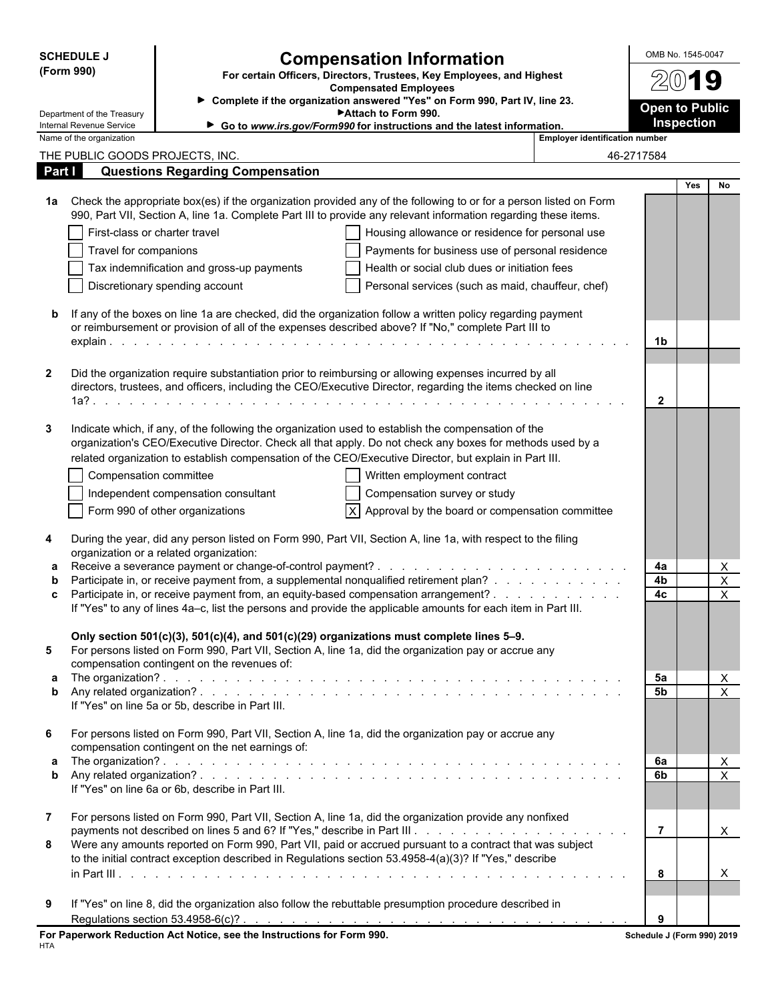|              | <b>SCHEDULE J</b>                                    |                                                                        |                                                                                                                                                                                                                                      |                                       | OMB No. 1545-0047          |                  |
|--------------|------------------------------------------------------|------------------------------------------------------------------------|--------------------------------------------------------------------------------------------------------------------------------------------------------------------------------------------------------------------------------------|---------------------------------------|----------------------------|------------------|
|              | (Form 990)                                           |                                                                        | <b>Compensation Information</b><br>For certain Officers, Directors, Trustees, Key Employees, and Highest                                                                                                                             |                                       |                            |                  |
|              |                                                      | <b>Compensated Employees</b>                                           | $2(0)$ 19                                                                                                                                                                                                                            |                                       |                            |                  |
|              | Department of the Treasury                           |                                                                        | Complete if the organization answered "Yes" on Form 990, Part IV, line 23.<br>Attach to Form 990.                                                                                                                                    |                                       | <b>Open to Public</b>      |                  |
|              | Internal Revenue Service<br>Name of the organization |                                                                        | Go to www.irs.gov/Form990 for instructions and the latest information.                                                                                                                                                               | <b>Employer identification number</b> | <b>Inspection</b>          |                  |
|              | THE PUBLIC GOODS PROJECTS, INC.                      |                                                                        |                                                                                                                                                                                                                                      |                                       | 46-2717584                 |                  |
| Part I       |                                                      | <b>Questions Regarding Compensation</b>                                |                                                                                                                                                                                                                                      |                                       |                            |                  |
|              |                                                      |                                                                        |                                                                                                                                                                                                                                      |                                       |                            | <b>Yes</b><br>No |
| 1a l         |                                                      |                                                                        | Check the appropriate box(es) if the organization provided any of the following to or for a person listed on Form<br>990, Part VII, Section A, line 1a. Complete Part III to provide any relevant information regarding these items. |                                       |                            |                  |
|              | First-class or charter travel                        |                                                                        | Housing allowance or residence for personal use                                                                                                                                                                                      |                                       |                            |                  |
|              | Travel for companions                                |                                                                        | Payments for business use of personal residence                                                                                                                                                                                      |                                       |                            |                  |
|              |                                                      | Tax indemnification and gross-up payments                              | Health or social club dues or initiation fees                                                                                                                                                                                        |                                       |                            |                  |
|              |                                                      | Discretionary spending account                                         | Personal services (such as maid, chauffeur, chef)                                                                                                                                                                                    |                                       |                            |                  |
| b            |                                                      |                                                                        | If any of the boxes on line 1a are checked, did the organization follow a written policy regarding payment<br>or reimbursement or provision of all of the expenses described above? If "No," complete Part III to                    |                                       |                            |                  |
|              |                                                      |                                                                        |                                                                                                                                                                                                                                      |                                       | 1b                         |                  |
| $\mathbf{2}$ |                                                      |                                                                        | Did the organization require substantiation prior to reimbursing or allowing expenses incurred by all                                                                                                                                |                                       |                            |                  |
|              |                                                      |                                                                        | directors, trustees, and officers, including the CEO/Executive Director, regarding the items checked on line                                                                                                                         |                                       |                            |                  |
|              |                                                      |                                                                        |                                                                                                                                                                                                                                      |                                       | $\mathbf{2}$               |                  |
| 3            |                                                      |                                                                        | Indicate which, if any, of the following the organization used to establish the compensation of the<br>organization's CEO/Executive Director. Check all that apply. Do not check any boxes for methods used by a                     |                                       |                            |                  |
|              |                                                      |                                                                        | related organization to establish compensation of the CEO/Executive Director, but explain in Part III.                                                                                                                               |                                       |                            |                  |
|              | Compensation committee                               |                                                                        | Written employment contract                                                                                                                                                                                                          |                                       |                            |                  |
|              |                                                      | Independent compensation consultant                                    | Compensation survey or study                                                                                                                                                                                                         |                                       |                            |                  |
|              |                                                      | Form 990 of other organizations                                        | $ X $ Approval by the board or compensation committee                                                                                                                                                                                |                                       |                            |                  |
| 4            |                                                      | organization or a related organization:                                | During the year, did any person listed on Form 990, Part VII, Section A, line 1a, with respect to the filing                                                                                                                         |                                       |                            |                  |
| a            |                                                      | Receive a severance payment or change-of-control payment? .            | the second contract of the second contract of the second                                                                                                                                                                             |                                       | 4a                         | X                |
| b            |                                                      |                                                                        | Participate in, or receive payment from, a supplemental nonqualified retirement plan?<br>Participate in, or receive payment from, an equity-based compensation arrangement?                                                          |                                       | 4b<br>4c                   | X                |
| c            |                                                      |                                                                        | If "Yes" to any of lines 4a-c, list the persons and provide the applicable amounts for each item in Part III.                                                                                                                        |                                       |                            | X                |
|              |                                                      |                                                                        |                                                                                                                                                                                                                                      |                                       |                            |                  |
|              |                                                      |                                                                        | Only section 501(c)(3), 501(c)(4), and 501(c)(29) organizations must complete lines 5-9.                                                                                                                                             |                                       |                            |                  |
| 5            |                                                      | compensation contingent on the revenues of:                            | For persons listed on Form 990, Part VII, Section A, line 1a, did the organization pay or accrue any                                                                                                                                 |                                       |                            |                  |
| a            |                                                      |                                                                        |                                                                                                                                                                                                                                      |                                       | 5а                         | X                |
| b            |                                                      | If "Yes" on line 5a or 5b, describe in Part III.                       |                                                                                                                                                                                                                                      |                                       | 5 <sub>b</sub>             | $\sf X$          |
| 6            |                                                      | compensation contingent on the net earnings of:                        | For persons listed on Form 990, Part VII, Section A, line 1a, did the organization pay or accrue any                                                                                                                                 |                                       |                            |                  |
| a            |                                                      |                                                                        |                                                                                                                                                                                                                                      |                                       | 6а                         | X                |
| b            |                                                      | If "Yes" on line 6a or 6b, describe in Part III.                       |                                                                                                                                                                                                                                      |                                       | 6b                         | $\overline{X}$   |
|              |                                                      |                                                                        |                                                                                                                                                                                                                                      |                                       |                            |                  |
| $7^{\circ}$  |                                                      |                                                                        | For persons listed on Form 990, Part VII, Section A, line 1a, did the organization provide any nonfixed                                                                                                                              |                                       |                            |                  |
| 8            |                                                      |                                                                        | Were any amounts reported on Form 990, Part VII, paid or accrued pursuant to a contract that was subject<br>to the initial contract exception described in Regulations section 53.4958-4(a)(3)? If "Yes," describe                   |                                       | $\overline{7}$             | X                |
|              |                                                      |                                                                        |                                                                                                                                                                                                                                      |                                       | 8                          | X                |
|              |                                                      |                                                                        |                                                                                                                                                                                                                                      |                                       |                            |                  |
| 9            |                                                      |                                                                        | If "Yes" on line 8, did the organization also follow the rebuttable presumption procedure described in                                                                                                                               |                                       |                            |                  |
|              |                                                      |                                                                        |                                                                                                                                                                                                                                      |                                       | 9                          |                  |
|              |                                                      | For Paperwork Reduction Act Notice, see the Instructions for Form 990. |                                                                                                                                                                                                                                      |                                       | Schedule J (Form 990) 2019 |                  |

| For Paperwork Reduction Act Notice, see the Instructions for Form 990. |  |
|------------------------------------------------------------------------|--|
| HTA                                                                    |  |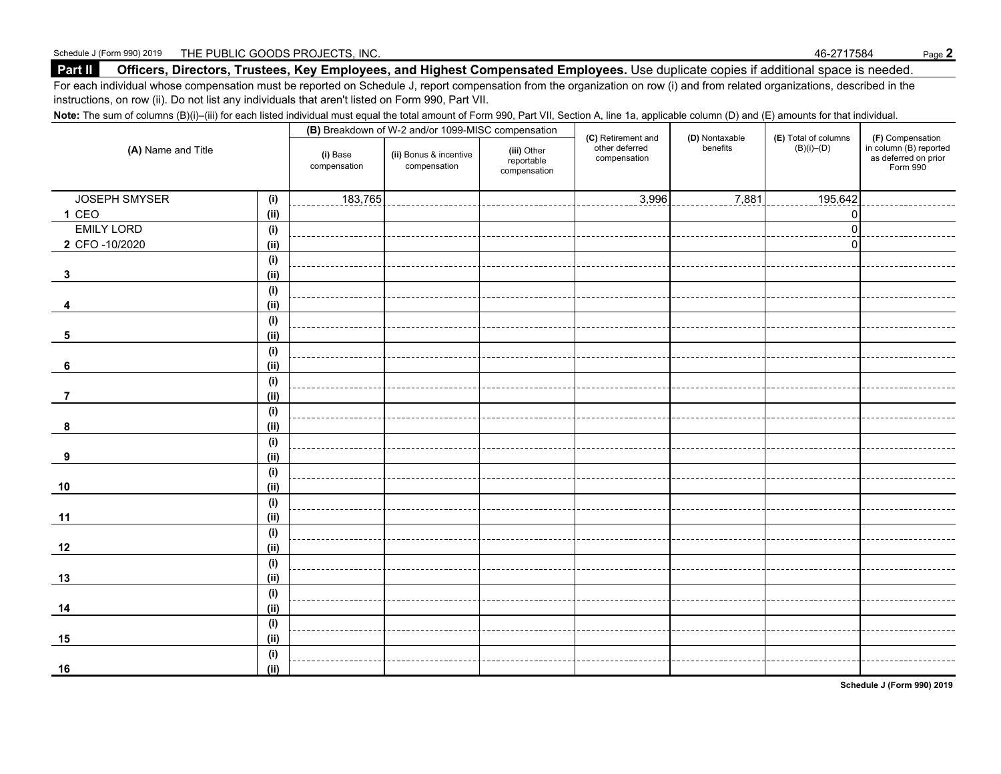#### **Part II Officers, Directors, Trustees, Key Employees, and Highest Compensated Employees.** Use duplicate copies if additional space is needed.

For each individual whose compensation must be reported on Schedule J, report compensation from the organization on row (i) and from related organizations, described in the instructions, on row (ii). Do not list any individuals that aren't listed on Form 990, Part VII.

Note: The sum of columns (B)(i)–(iii) for each listed individual must equal the total amount of Form 990, Part VII, Section A, line 1a, applicable column (D) and (E) amounts for that individual.

|                    |      |                          | (B) Breakdown of W-2 and/or 1099-MISC compensation |                                           |                                                      |                            |                                          |                                                                                |
|--------------------|------|--------------------------|----------------------------------------------------|-------------------------------------------|------------------------------------------------------|----------------------------|------------------------------------------|--------------------------------------------------------------------------------|
| (A) Name and Title |      | (i) Base<br>compensation | (ii) Bonus & incentive<br>compensation             | (iii) Other<br>reportable<br>compensation | (C) Retirement and<br>other deferred<br>compensation | (D) Nontaxable<br>benefits | (E) Total of columns<br>$(B)(i)$ – $(D)$ | (F) Compensation<br>in column (B) reported<br>as deferred on prior<br>Form 990 |
| JOSEPH SMYSER      | (i)  | 183,765                  |                                                    |                                           | 3,996                                                | 7,881                      | 195,642                                  |                                                                                |
| 1 CEO              | (ii) |                          |                                                    |                                           |                                                      |                            | 0                                        |                                                                                |
| <b>EMILY LORD</b>  | (i)  |                          |                                                    |                                           |                                                      |                            | $\mathbf 0$                              |                                                                                |
| 2 CFO -10/2020     | (ii) |                          |                                                    |                                           |                                                      |                            | $\Omega$                                 |                                                                                |
|                    | (i)  |                          |                                                    |                                           |                                                      |                            |                                          |                                                                                |
| $\mathbf{3}$       | (ii) |                          |                                                    |                                           |                                                      |                            |                                          |                                                                                |
|                    | (i)  |                          |                                                    |                                           |                                                      |                            |                                          |                                                                                |
|                    | (ii) |                          |                                                    |                                           |                                                      |                            |                                          |                                                                                |
|                    | (i)  |                          |                                                    |                                           |                                                      |                            |                                          |                                                                                |
| 5                  | (ii) |                          |                                                    |                                           |                                                      |                            |                                          |                                                                                |
|                    | (i)  |                          |                                                    |                                           |                                                      |                            |                                          |                                                                                |
| 6                  | (ii) |                          |                                                    |                                           |                                                      |                            |                                          |                                                                                |
|                    | (i)  |                          |                                                    |                                           |                                                      |                            |                                          |                                                                                |
| -7                 | (ii) |                          |                                                    |                                           |                                                      |                            |                                          |                                                                                |
|                    | (i)  |                          |                                                    |                                           |                                                      |                            |                                          |                                                                                |
| 8                  | (ii) |                          |                                                    |                                           |                                                      |                            |                                          |                                                                                |
|                    | (i)  |                          |                                                    |                                           |                                                      |                            |                                          |                                                                                |
| 9                  | (i)  |                          |                                                    |                                           |                                                      |                            |                                          |                                                                                |
|                    | (i)  |                          |                                                    |                                           |                                                      |                            |                                          |                                                                                |
| 10                 | (ii) |                          |                                                    |                                           |                                                      |                            |                                          |                                                                                |
|                    | (i)  |                          |                                                    |                                           |                                                      |                            |                                          |                                                                                |
| 11                 | (i)  |                          |                                                    |                                           |                                                      |                            |                                          |                                                                                |
|                    | (i)  |                          |                                                    |                                           |                                                      |                            |                                          |                                                                                |
| 12                 | (ii) |                          |                                                    |                                           |                                                      |                            |                                          |                                                                                |
|                    | (i)  |                          |                                                    |                                           |                                                      |                            |                                          |                                                                                |
| 13                 | (ii) |                          |                                                    |                                           |                                                      |                            |                                          |                                                                                |
|                    | (i)  |                          |                                                    |                                           |                                                      |                            |                                          |                                                                                |
| 14                 | (ii) |                          |                                                    |                                           |                                                      |                            |                                          |                                                                                |
|                    | (i)  |                          |                                                    |                                           |                                                      |                            |                                          |                                                                                |
| 15                 | (ii) |                          |                                                    |                                           |                                                      |                            |                                          |                                                                                |
|                    | (i)  |                          |                                                    |                                           |                                                      |                            |                                          |                                                                                |
| 16                 | (ii) |                          |                                                    |                                           |                                                      |                            |                                          |                                                                                |

**Schedule J (Form 990) 2019**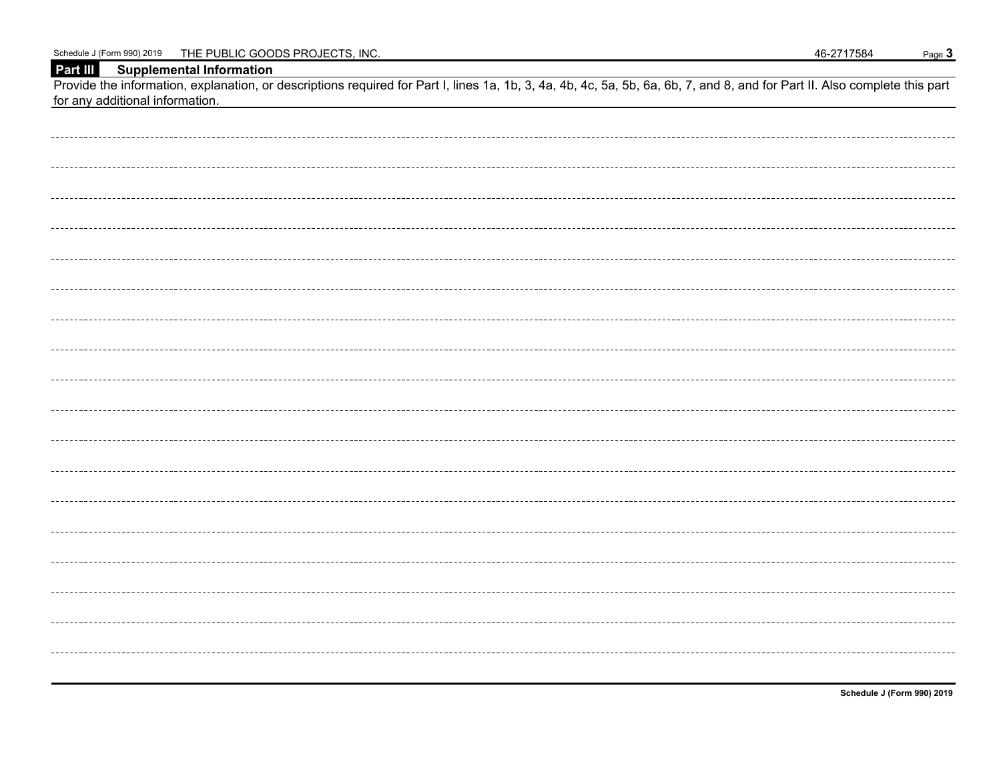| Schedule J (Form 990) 2019 | THE PUBLIC GOODS PROJECTS, INC. |  | 46-2717584 | Page <b>c</b> |
|----------------------------|---------------------------------|--|------------|---------------|
|----------------------------|---------------------------------|--|------------|---------------|

**Part III Supplemental Information**

Provide the information, explanation, or descriptions required for Part I, lines 1a, 1b, 3, 4a, 4b, 4c, 5a, 5b, 6a, 6b, 7, and 8, and for Part II. Also complete this part for any additional information.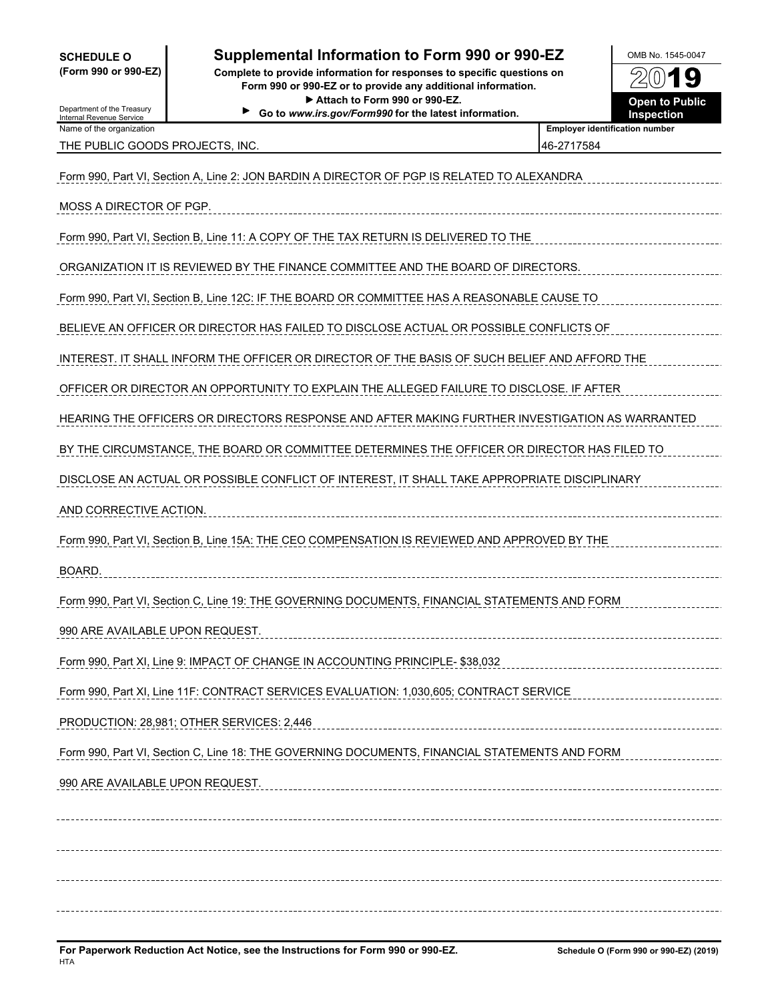## **SCHEDULE O Supplemental Information to Form 990 or 990-EZ OMB No. 1545-0047**

**(Form 990 or 990-EZ) Complete to provide information for responses to specific questions on Form 990 or 990-EZ or to provide any additional information.** ▶ Attach to Form 990 or 990-EZ. **Demand at the State of Public** 

**Go to** *www.irs.gov/Form990* **for the latest information. Inspection**



Department of the Treasury Internal Revenue Service Name of the organization<br>**Name of the organization** 

THE PUBLIC GOODS PROJECTS, INC. **And COOPS** 2717584

| Form 990, Part VI, Section A, Line 2: JON BARDIN A DIRECTOR OF PGP IS RELATED TO ALEXANDRA     |
|------------------------------------------------------------------------------------------------|
| MOSS A DIRECTOR OF PGP.                                                                        |
| Form 990, Part VI, Section B, Line 11: A COPY OF THE TAX RETURN IS DELIVERED TO THE            |
| ORGANIZATION IT IS REVIEWED BY THE FINANCE COMMITTEE AND THE BOARD OF DIRECTORS.               |
| Form 990, Part VI, Section B, Line 12C: IF THE BOARD OR COMMITTEE HAS A REASONABLE CAUSE TO    |
| BELIEVE AN OFFICER OR DIRECTOR HAS FAILED TO DISCLOSE ACTUAL OR POSSIBLE CONFLICTS OF          |
| INTEREST. IT SHALL INFORM THE OFFICER OR DIRECTOR OF THE BASIS OF SUCH BELIEF AND AFFORD THE   |
| OFFICER OR DIRECTOR AN OPPORTUNITY TO EXPLAIN THE ALLEGED FAILURE TO DISCLOSE. IF AFTER        |
| HEARING THE OFFICERS OR DIRECTORS RESPONSE AND AFTER MAKING FURTHER INVESTIGATION AS WARRANTED |
| BY THE CIRCUMSTANCE, THE BOARD OR COMMITTEE DETERMINES THE OFFICER OR DIRECTOR HAS FILED TO    |
| DISCLOSE AN ACTUAL OR POSSIBLE CONFLICT OF INTEREST, IT SHALL TAKE APPROPRIATE DISCIPLINARY    |
| AND CORRECTIVE ACTION.                                                                         |
| Form 990, Part VI, Section B, Line 15A: THE CEO COMPENSATION IS REVIEWED AND APPROVED BY THE   |
| BOARD.                                                                                         |
| Form 990, Part VI, Section C, Line 19: THE GOVERNING DOCUMENTS, FINANCIAL STATEMENTS AND FORM  |
| 990 ARE AVAILABLE UPON REQUEST.                                                                |
| Form 990, Part XI, Line 9: IMPACT OF CHANGE IN ACCOUNTING PRINCIPLE- \$38,032                  |
| Form 990, Part XI, Line 11F: CONTRACT SERVICES EVALUATION: 1,030,605; CONTRACT SERVICE         |
| PRODUCTION: 28,981; OTHER SERVICES: 2,446                                                      |
| Form 990, Part VI, Section C, Line 18: THE GOVERNING DOCUMENTS, FINANCIAL STATEMENTS AND FORM  |
| 990 ARE AVAILABLE UPON REQUEST.                                                                |
|                                                                                                |
|                                                                                                |
|                                                                                                |
|                                                                                                |
|                                                                                                |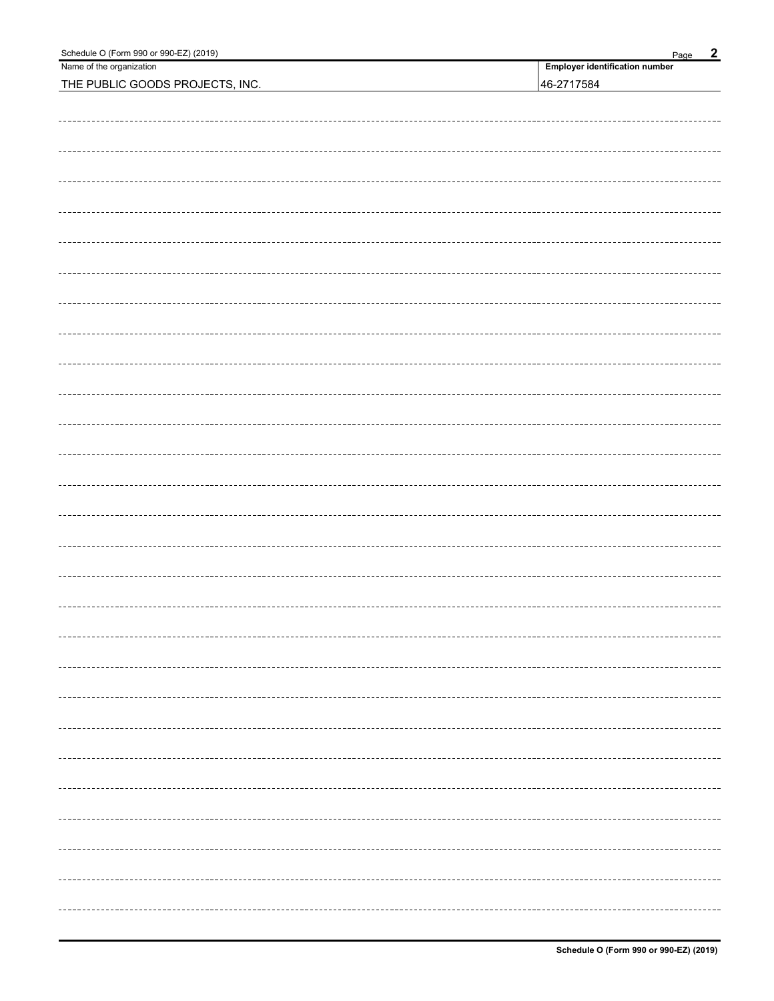| Schedule O (Form 990 or 990-EZ) (2019) | $\overline{2}$<br>Page         |
|----------------------------------------|--------------------------------|
| Name of the organization               | Employer identification number |
| THE PUBLIC GOODS PROJECTS, INC.        | 46-2717584                     |
|                                        |                                |
|                                        |                                |
|                                        |                                |
|                                        |                                |
|                                        |                                |
|                                        |                                |
|                                        |                                |
|                                        |                                |
|                                        |                                |
|                                        |                                |
|                                        |                                |
|                                        |                                |
|                                        |                                |
|                                        |                                |
|                                        |                                |
|                                        |                                |
|                                        |                                |
|                                        |                                |
|                                        |                                |
|                                        |                                |
|                                        |                                |
|                                        |                                |
|                                        |                                |
|                                        |                                |
|                                        |                                |
|                                        |                                |
|                                        |                                |
|                                        |                                |
|                                        |                                |
|                                        |                                |
|                                        |                                |
|                                        |                                |
|                                        |                                |
|                                        |                                |
|                                        |                                |
|                                        |                                |
|                                        |                                |
|                                        |                                |
|                                        |                                |
|                                        |                                |
|                                        |                                |
|                                        |                                |
|                                        |                                |
|                                        |                                |
|                                        |                                |
|                                        |                                |
|                                        |                                |
|                                        |                                |
|                                        |                                |
|                                        |                                |
|                                        |                                |
|                                        |                                |
|                                        |                                |